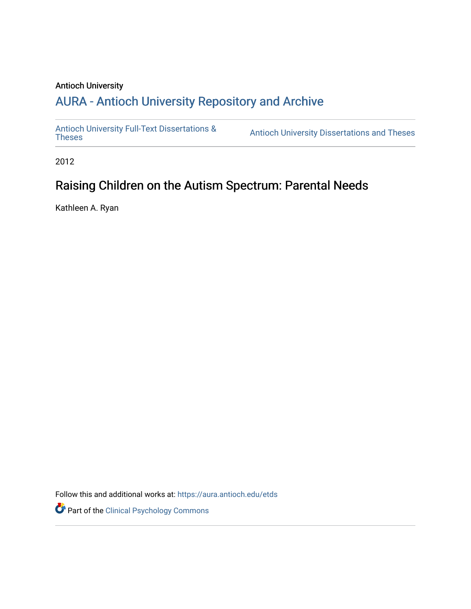### Antioch University

# A[URA - Antioch University Reposit](https://aura.antioch.edu/)ory and Archive

[Antioch University Full-Text Dissertations &](https://aura.antioch.edu/etds) Antioch University Dissertations and Theses

2012

# Raising Children on the Autism Spectrum: Parental Needs

Kathleen A. Ryan

Follow this and additional works at: [https://aura.antioch.edu/etds](https://aura.antioch.edu/etds?utm_source=aura.antioch.edu%2Fetds%2F844&utm_medium=PDF&utm_campaign=PDFCoverPages)

Part of the [Clinical Psychology Commons](https://network.bepress.com/hgg/discipline/406?utm_source=aura.antioch.edu%2Fetds%2F844&utm_medium=PDF&utm_campaign=PDFCoverPages)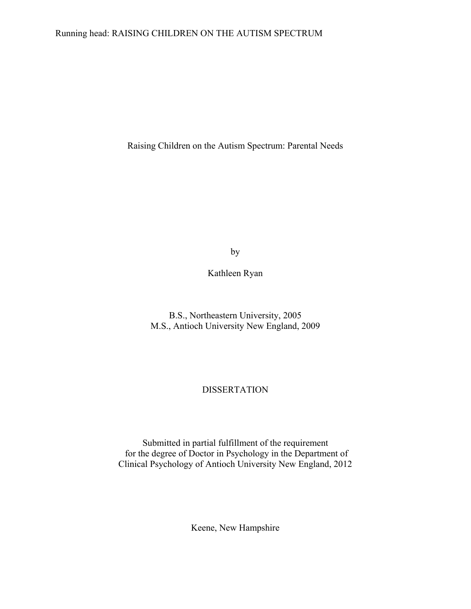### Running head: RAISING CHILDREN ON THE AUTISM SPECTRUM

Raising Children on the Autism Spectrum: Parental Needs

by

Kathleen Ryan

B.S., Northeastern University, 2005 M.S., Antioch University New England, 2009

### DISSERTATION

Submitted in partial fulfillment of the requirement for the degree of Doctor in Psychology in the Department of Clinical Psychology of Antioch University New England, 2012

Keene, New Hampshire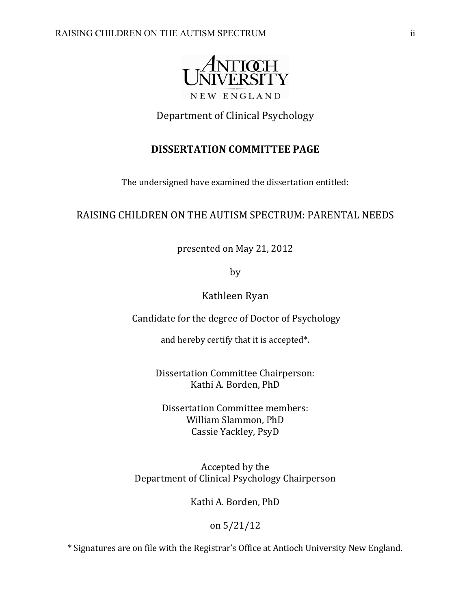

# Department of Clinical Psychology

## **DISSERTATION COMMITTEE PAGE**

The undersigned have examined the dissertation entitled:

### RAISING CHILDREN ON THE AUTISM SPECTRUM: PARENTAL NEEDS

presented on May 21, 2012

by 

Kathleen Ryan 

Candidate for the degree of Doctor of Psychology

and hereby certify that it is accepted\*.

Dissertation Committee Chairperson: Kathi A. Borden, PhD

Dissertation Committee members: William Slammon, PhD Cassie Yackley, PsyD 

Accepted by the Department of Clinical Psychology Chairperson

Kathi A. Borden, PhD

### on 5/21/12

\* Signatures are on file with the Registrar's Office at Antioch University New England.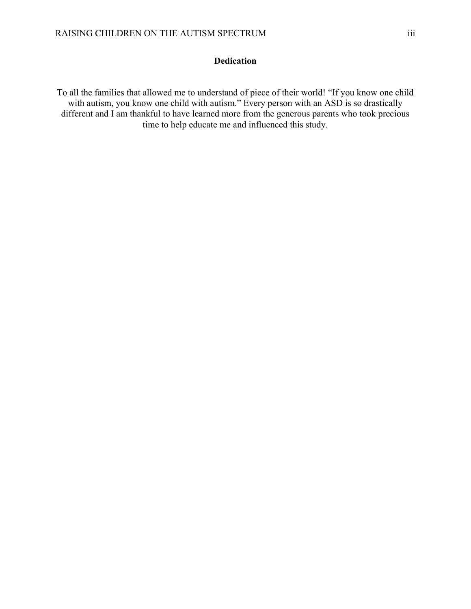### **Dedication**

To all the families that allowed me to understand of piece of their world! "If you know one child with autism, you know one child with autism." Every person with an ASD is so drastically different and I am thankful to have learned more from the generous parents who took precious time to help educate me and influenced this study.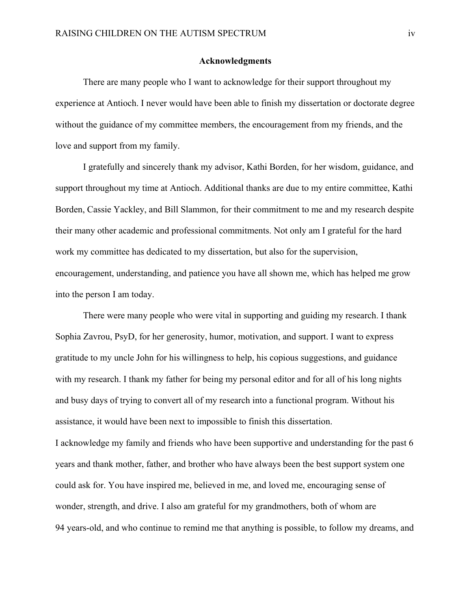#### **Acknowledgments**

 There are many people who I want to acknowledge for their support throughout my experience at Antioch. I never would have been able to finish my dissertation or doctorate degree without the guidance of my committee members, the encouragement from my friends, and the love and support from my family.

 I gratefully and sincerely thank my advisor, Kathi Borden, for her wisdom, guidance, and support throughout my time at Antioch. Additional thanks are due to my entire committee, Kathi Borden, Cassie Yackley, and Bill Slammon, for their commitment to me and my research despite their many other academic and professional commitments. Not only am I grateful for the hard work my committee has dedicated to my dissertation, but also for the supervision, encouragement, understanding, and patience you have all shown me, which has helped me grow into the person I am today.

 There were many people who were vital in supporting and guiding my research. I thank Sophia Zavrou, PsyD, for her generosity, humor, motivation, and support. I want to express gratitude to my uncle John for his willingness to help, his copious suggestions, and guidance with my research. I thank my father for being my personal editor and for all of his long nights and busy days of trying to convert all of my research into a functional program. Without his assistance, it would have been next to impossible to finish this dissertation. I acknowledge my family and friends who have been supportive and understanding for the past 6 years and thank mother, father, and brother who have always been the best support system one could ask for. You have inspired me, believed in me, and loved me, encouraging sense of wonder, strength, and drive. I also am grateful for my grandmothers, both of whom are

94 years-old, and who continue to remind me that anything is possible, to follow my dreams, and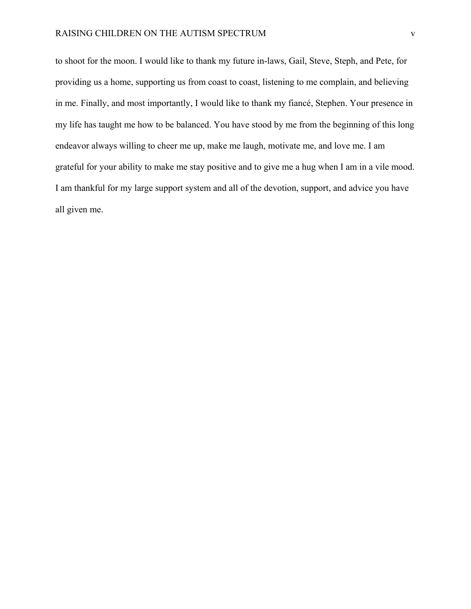#### RAISING CHILDREN ON THE AUTISM SPECTRUM V

to shoot for the moon. I would like to thank my future in-laws, Gail, Steve, Steph, and Pete, for providing us a home, supporting us from coast to coast, listening to me complain, and believing in me. Finally, and most importantly, I would like to thank my fiancé, Stephen. Your presence in my life has taught me how to be balanced. You have stood by me from the beginning of this long endeavor always willing to cheer me up, make me laugh, motivate me, and love me. I am grateful for your ability to make me stay positive and to give me a hug when I am in a vile mood. I am thankful for my large support system and all of the devotion, support, and advice you have all given me.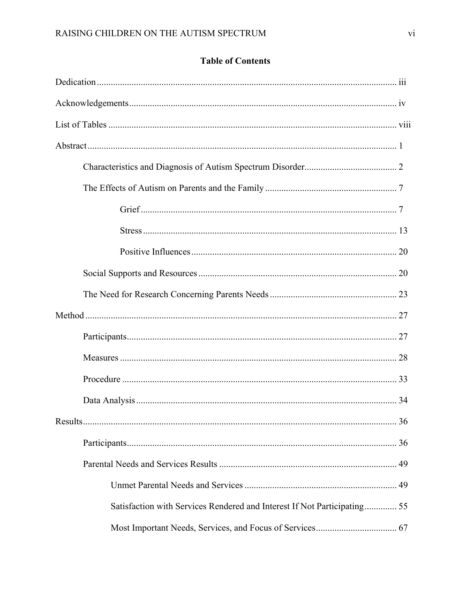# **Table of Contents**

| Results                                                                  | 36 |
|--------------------------------------------------------------------------|----|
|                                                                          |    |
|                                                                          |    |
|                                                                          |    |
| Satisfaction with Services Rendered and Interest If Not Participating 55 |    |
|                                                                          |    |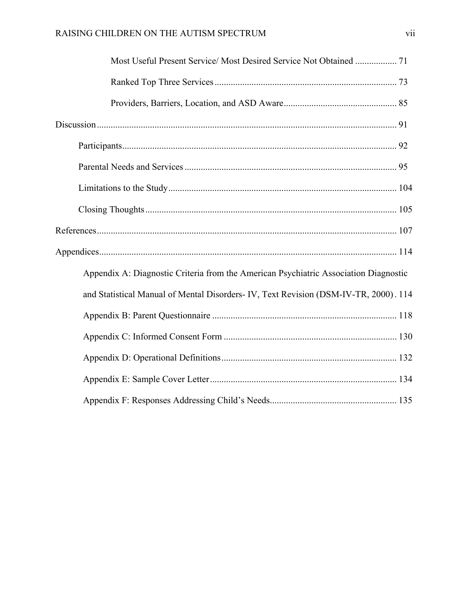| Most Useful Present Service/ Most Desired Service Not Obtained  71                   |
|--------------------------------------------------------------------------------------|
|                                                                                      |
|                                                                                      |
|                                                                                      |
|                                                                                      |
|                                                                                      |
|                                                                                      |
|                                                                                      |
|                                                                                      |
|                                                                                      |
| Appendix A: Diagnostic Criteria from the American Psychiatric Association Diagnostic |
| and Statistical Manual of Mental Disorders- IV, Text Revision (DSM-IV-TR, 2000). 114 |
|                                                                                      |
|                                                                                      |
|                                                                                      |
|                                                                                      |
|                                                                                      |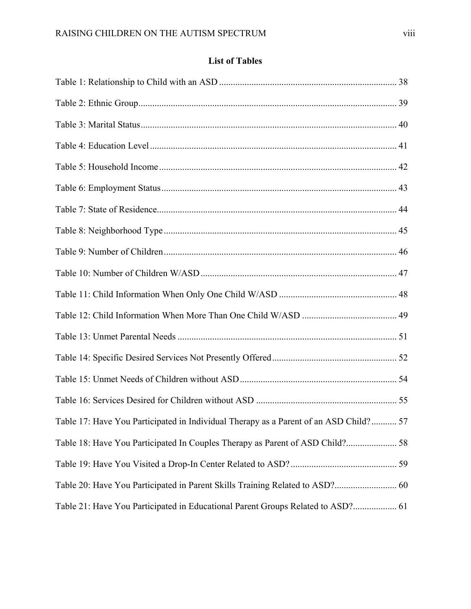# **List of Tables**

| Table 17: Have You Participated in Individual Therapy as a Parent of an ASD Child? 57 |  |
|---------------------------------------------------------------------------------------|--|
|                                                                                       |  |
|                                                                                       |  |
|                                                                                       |  |
| Table 21: Have You Participated in Educational Parent Groups Related to ASD? 61       |  |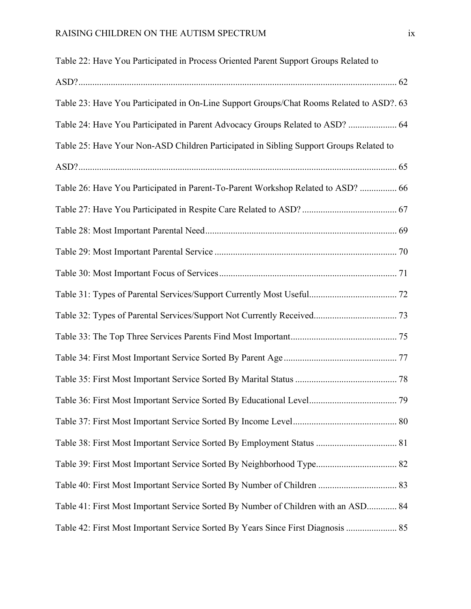| Table 22: Have You Participated in Process Oriented Parent Support Groups Related to     |  |
|------------------------------------------------------------------------------------------|--|
|                                                                                          |  |
| Table 23: Have You Participated in On-Line Support Groups/Chat Rooms Related to ASD?. 63 |  |
| Table 24: Have You Participated in Parent Advocacy Groups Related to ASD?  64            |  |
| Table 25: Have Your Non-ASD Children Participated in Sibling Support Groups Related to   |  |
|                                                                                          |  |
| Table 26: Have You Participated in Parent-To-Parent Workshop Related to ASD?  66         |  |
|                                                                                          |  |
|                                                                                          |  |
|                                                                                          |  |
|                                                                                          |  |
|                                                                                          |  |
|                                                                                          |  |
|                                                                                          |  |
|                                                                                          |  |
|                                                                                          |  |
|                                                                                          |  |
|                                                                                          |  |
|                                                                                          |  |
|                                                                                          |  |
|                                                                                          |  |
| Table 41: First Most Important Service Sorted By Number of Children with an ASD 84       |  |
|                                                                                          |  |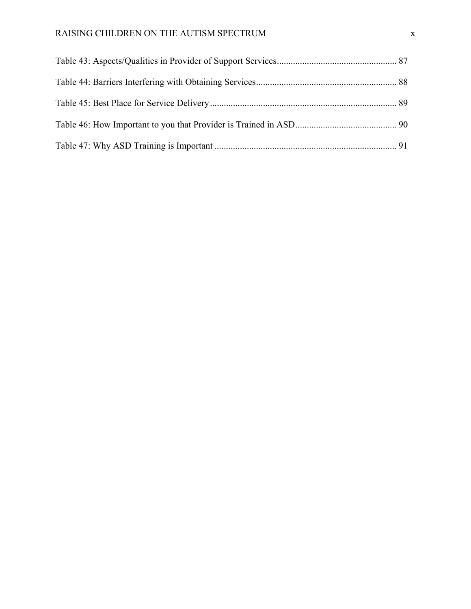## RAISING CHILDREN ON THE AUTISM SPECTRUM **x**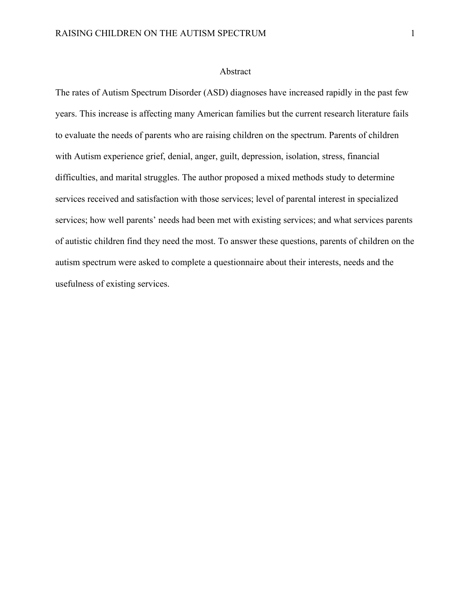#### Abstract

The rates of Autism Spectrum Disorder (ASD) diagnoses have increased rapidly in the past few years. This increase is affecting many American families but the current research literature fails to evaluate the needs of parents who are raising children on the spectrum. Parents of children with Autism experience grief, denial, anger, guilt, depression, isolation, stress, financial difficulties, and marital struggles. The author proposed a mixed methods study to determine services received and satisfaction with those services; level of parental interest in specialized services; how well parents' needs had been met with existing services; and what services parents of autistic children find they need the most. To answer these questions, parents of children on the autism spectrum were asked to complete a questionnaire about their interests, needs and the usefulness of existing services.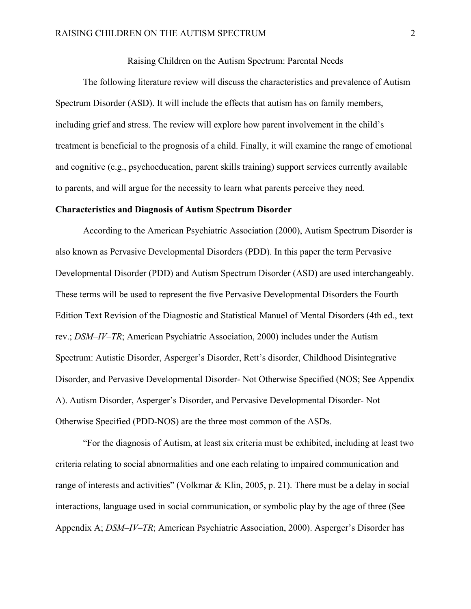#### Raising Children on the Autism Spectrum: Parental Needs

The following literature review will discuss the characteristics and prevalence of Autism Spectrum Disorder (ASD). It will include the effects that autism has on family members, including grief and stress. The review will explore how parent involvement in the child's treatment is beneficial to the prognosis of a child. Finally, it will examine the range of emotional and cognitive (e.g., psychoeducation, parent skills training) support services currently available to parents, and will argue for the necessity to learn what parents perceive they need.

#### **Characteristics and Diagnosis of Autism Spectrum Disorder**

 According to the American Psychiatric Association (2000), Autism Spectrum Disorder is also known as Pervasive Developmental Disorders (PDD). In this paper the term Pervasive Developmental Disorder (PDD) and Autism Spectrum Disorder (ASD) are used interchangeably. These terms will be used to represent the five Pervasive Developmental Disorders the Fourth Edition Text Revision of the Diagnostic and Statistical Manuel of Mental Disorders (4th ed., text rev.; *DSM–IV–TR*; American Psychiatric Association, 2000) includes under the Autism Spectrum: Autistic Disorder, Asperger's Disorder, Rett's disorder, Childhood Disintegrative Disorder, and Pervasive Developmental Disorder- Not Otherwise Specified (NOS; See Appendix A). Autism Disorder, Asperger's Disorder, and Pervasive Developmental Disorder- Not Otherwise Specified (PDD-NOS) are the three most common of the ASDs.

"For the diagnosis of Autism, at least six criteria must be exhibited, including at least two criteria relating to social abnormalities and one each relating to impaired communication and range of interests and activities" (Volkmar & Klin, 2005, p. 21). There must be a delay in social interactions, language used in social communication, or symbolic play by the age of three (See Appendix A; *DSM–IV–TR*; American Psychiatric Association, 2000). Asperger's Disorder has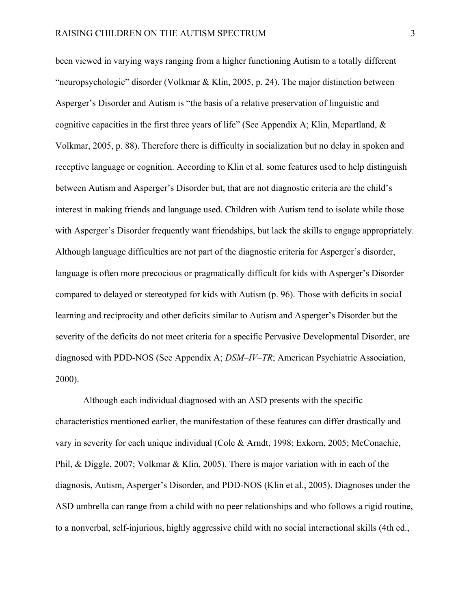been viewed in varying ways ranging from a higher functioning Autism to a totally different "neuropsychologic" disorder (Volkmar & Klin, 2005, p. 24). The major distinction between Asperger's Disorder and Autism is "the basis of a relative preservation of linguistic and cognitive capacities in the first three years of life" (See Appendix A; Klin, Mcpartland,  $\&$ Volkmar, 2005, p. 88). Therefore there is difficulty in socialization but no delay in spoken and receptive language or cognition. According to Klin et al. some features used to help distinguish between Autism and Asperger's Disorder but, that are not diagnostic criteria are the child's interest in making friends and language used. Children with Autism tend to isolate while those with Asperger's Disorder frequently want friendships, but lack the skills to engage appropriately. Although language difficulties are not part of the diagnostic criteria for Asperger's disorder, language is often more precocious or pragmatically difficult for kids with Asperger's Disorder compared to delayed or stereotyped for kids with Autism (p. 96). Those with deficits in social learning and reciprocity and other deficits similar to Autism and Asperger's Disorder but the severity of the deficits do not meet criteria for a specific Pervasive Developmental Disorder, are diagnosed with PDD-NOS (See Appendix A; *DSM–IV–TR*; American Psychiatric Association, 2000).

Although each individual diagnosed with an ASD presents with the specific characteristics mentioned earlier, the manifestation of these features can differ drastically and vary in severity for each unique individual (Cole & Arndt, 1998; Exkorn, 2005; McConachie, Phil, & Diggle, 2007; Volkmar & Klin, 2005). There is major variation with in each of the diagnosis, Autism, Asperger's Disorder, and PDD-NOS (Klin et al., 2005). Diagnoses under the ASD umbrella can range from a child with no peer relationships and who follows a rigid routine, to a nonverbal, self-injurious, highly aggressive child with no social interactional skills (4th ed.,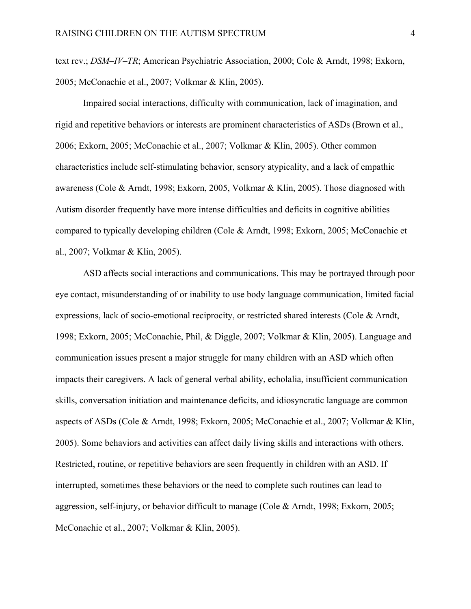text rev.; *DSM–IV–TR*; American Psychiatric Association, 2000; Cole & Arndt, 1998; Exkorn, 2005; McConachie et al., 2007; Volkmar & Klin, 2005).

Impaired social interactions, difficulty with communication, lack of imagination, and rigid and repetitive behaviors or interests are prominent characteristics of ASDs (Brown et al., 2006; Exkorn, 2005; McConachie et al., 2007; Volkmar & Klin, 2005). Other common characteristics include self-stimulating behavior, sensory atypicality, and a lack of empathic awareness (Cole & Arndt, 1998; Exkorn, 2005, Volkmar & Klin, 2005). Those diagnosed with Autism disorder frequently have more intense difficulties and deficits in cognitive abilities compared to typically developing children (Cole & Arndt, 1998; Exkorn, 2005; McConachie et al., 2007; Volkmar & Klin, 2005).

ASD affects social interactions and communications. This may be portrayed through poor eye contact, misunderstanding of or inability to use body language communication, limited facial expressions, lack of socio-emotional reciprocity, or restricted shared interests (Cole & Arndt, 1998; Exkorn, 2005; McConachie, Phil, & Diggle, 2007; Volkmar & Klin, 2005). Language and communication issues present a major struggle for many children with an ASD which often impacts their caregivers. A lack of general verbal ability, echolalia, insufficient communication skills, conversation initiation and maintenance deficits, and idiosyncratic language are common aspects of ASDs (Cole & Arndt, 1998; Exkorn, 2005; McConachie et al., 2007; Volkmar & Klin, 2005). Some behaviors and activities can affect daily living skills and interactions with others. Restricted, routine, or repetitive behaviors are seen frequently in children with an ASD. If interrupted, sometimes these behaviors or the need to complete such routines can lead to aggression, self-injury, or behavior difficult to manage (Cole & Arndt, 1998; Exkorn, 2005; McConachie et al., 2007; Volkmar & Klin, 2005).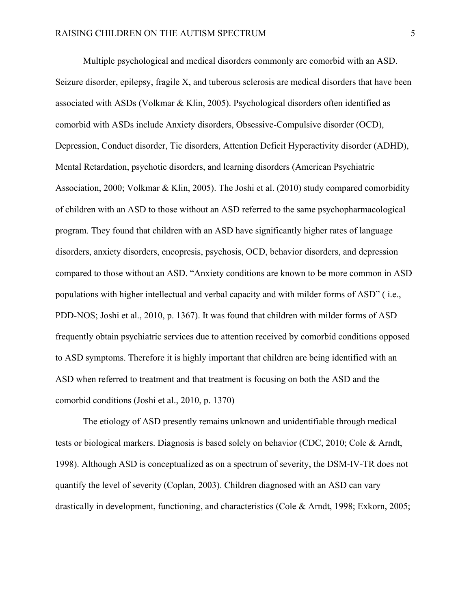Multiple psychological and medical disorders commonly are comorbid with an ASD. Seizure disorder, epilepsy, fragile X, and tuberous sclerosis are medical disorders that have been associated with ASDs (Volkmar & Klin, 2005). Psychological disorders often identified as comorbid with ASDs include Anxiety disorders, Obsessive-Compulsive disorder (OCD), Depression, Conduct disorder, Tic disorders, Attention Deficit Hyperactivity disorder (ADHD), Mental Retardation, psychotic disorders, and learning disorders (American Psychiatric Association, 2000; Volkmar & Klin, 2005). The Joshi et al. (2010) study compared comorbidity of children with an ASD to those without an ASD referred to the same psychopharmacological program. They found that children with an ASD have significantly higher rates of language disorders, anxiety disorders, encopresis, psychosis, OCD, behavior disorders, and depression compared to those without an ASD. "Anxiety conditions are known to be more common in ASD populations with higher intellectual and verbal capacity and with milder forms of ASD" ( i.e., PDD-NOS; Joshi et al., 2010, p. 1367). It was found that children with milder forms of ASD frequently obtain psychiatric services due to attention received by comorbid conditions opposed to ASD symptoms. Therefore it is highly important that children are being identified with an ASD when referred to treatment and that treatment is focusing on both the ASD and the comorbid conditions (Joshi et al., 2010, p. 1370)

The etiology of ASD presently remains unknown and unidentifiable through medical tests or biological markers. Diagnosis is based solely on behavior (CDC, 2010; Cole & Arndt, 1998). Although ASD is conceptualized as on a spectrum of severity, the DSM-IV-TR does not quantify the level of severity (Coplan, 2003). Children diagnosed with an ASD can vary drastically in development, functioning, and characteristics (Cole & Arndt, 1998; Exkorn, 2005;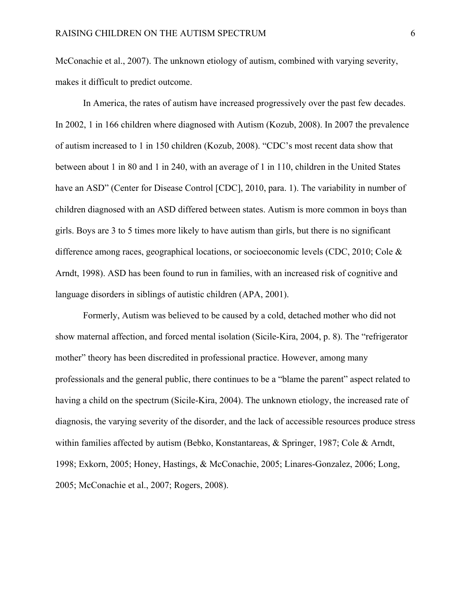McConachie et al., 2007). The unknown etiology of autism, combined with varying severity, makes it difficult to predict outcome.

In America, the rates of autism have increased progressively over the past few decades. In 2002, 1 in 166 children where diagnosed with Autism (Kozub, 2008). In 2007 the prevalence of autism increased to 1 in 150 children (Kozub, 2008). "CDC's most recent data show that between about 1 in 80 and 1 in 240, with an average of 1 in 110, children in the United States have an ASD" (Center for Disease Control [CDC], 2010, para. 1). The variability in number of children diagnosed with an ASD differed between states. Autism is more common in boys than girls. Boys are 3 to 5 times more likely to have autism than girls, but there is no significant difference among races, geographical locations, or socioeconomic levels (CDC, 2010; Cole & Arndt, 1998). ASD has been found to run in families, with an increased risk of cognitive and language disorders in siblings of autistic children (APA, 2001).

Formerly, Autism was believed to be caused by a cold, detached mother who did not show maternal affection, and forced mental isolation (Sicile-Kira, 2004, p. 8). The "refrigerator mother" theory has been discredited in professional practice. However, among many professionals and the general public, there continues to be a "blame the parent" aspect related to having a child on the spectrum (Sicile-Kira, 2004). The unknown etiology, the increased rate of diagnosis, the varying severity of the disorder, and the lack of accessible resources produce stress within families affected by autism (Bebko, Konstantareas, & Springer, 1987; Cole & Arndt, 1998; Exkorn, 2005; Honey, Hastings, & McConachie, 2005; Linares-Gonzalez, 2006; Long, 2005; McConachie et al., 2007; Rogers, 2008).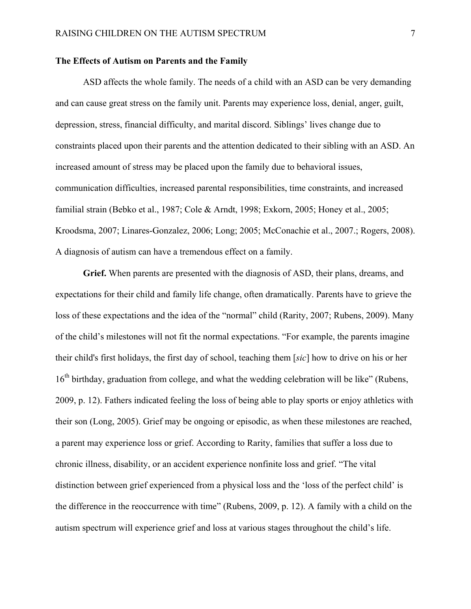#### **The Effects of Autism on Parents and the Family**

 ASD affects the whole family. The needs of a child with an ASD can be very demanding and can cause great stress on the family unit. Parents may experience loss, denial, anger, guilt, depression, stress, financial difficulty, and marital discord. Siblings' lives change due to constraints placed upon their parents and the attention dedicated to their sibling with an ASD. An increased amount of stress may be placed upon the family due to behavioral issues, communication difficulties, increased parental responsibilities, time constraints, and increased familial strain (Bebko et al., 1987; Cole & Arndt, 1998; Exkorn, 2005; Honey et al., 2005; Kroodsma, 2007; Linares-Gonzalez, 2006; Long; 2005; McConachie et al., 2007.; Rogers, 2008). A diagnosis of autism can have a tremendous effect on a family.

**Grief.** When parents are presented with the diagnosis of ASD, their plans, dreams, and expectations for their child and family life change, often dramatically. Parents have to grieve the loss of these expectations and the idea of the "normal" child (Rarity, 2007; Rubens, 2009). Many of the child's milestones will not fit the normal expectations. "For example, the parents imagine their child's first holidays, the first day of school, teaching them [*sic*] how to drive on his or her 16<sup>th</sup> birthday, graduation from college, and what the wedding celebration will be like" (Rubens, 2009, p. 12). Fathers indicated feeling the loss of being able to play sports or enjoy athletics with their son (Long, 2005). Grief may be ongoing or episodic, as when these milestones are reached, a parent may experience loss or grief. According to Rarity, families that suffer a loss due to chronic illness, disability, or an accident experience nonfinite loss and grief. "The vital distinction between grief experienced from a physical loss and the 'loss of the perfect child' is the difference in the reoccurrence with time" (Rubens, 2009, p. 12). A family with a child on the autism spectrum will experience grief and loss at various stages throughout the child's life.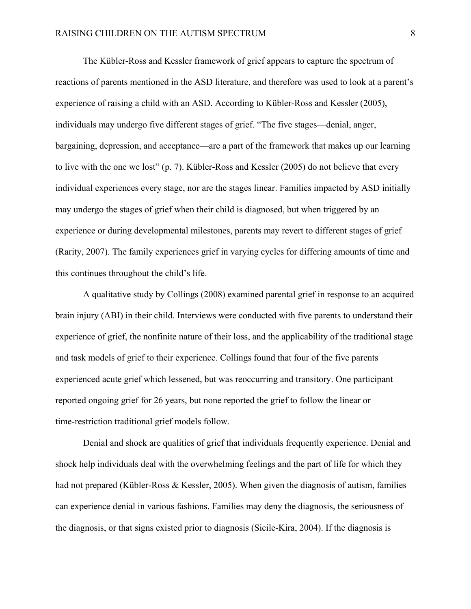The Kübler-Ross and Kessler framework of grief appears to capture the spectrum of reactions of parents mentioned in the ASD literature, and therefore was used to look at a parent's experience of raising a child with an ASD. According to Kübler-Ross and Kessler (2005), individuals may undergo five different stages of grief. "The five stages—denial, anger, bargaining, depression, and acceptance—are a part of the framework that makes up our learning to live with the one we lost" (p. 7). Kübler-Ross and Kessler (2005) do not believe that every individual experiences every stage, nor are the stages linear. Families impacted by ASD initially may undergo the stages of grief when their child is diagnosed, but when triggered by an experience or during developmental milestones, parents may revert to different stages of grief (Rarity, 2007). The family experiences grief in varying cycles for differing amounts of time and this continues throughout the child's life.

A qualitative study by Collings (2008) examined parental grief in response to an acquired brain injury (ABI) in their child. Interviews were conducted with five parents to understand their experience of grief, the nonfinite nature of their loss, and the applicability of the traditional stage and task models of grief to their experience. Collings found that four of the five parents experienced acute grief which lessened, but was reoccurring and transitory. One participant reported ongoing grief for 26 years, but none reported the grief to follow the linear or time-restriction traditional grief models follow.

 Denial and shock are qualities of grief that individuals frequently experience. Denial and shock help individuals deal with the overwhelming feelings and the part of life for which they had not prepared (Kübler-Ross & Kessler, 2005). When given the diagnosis of autism, families can experience denial in various fashions. Families may deny the diagnosis, the seriousness of the diagnosis, or that signs existed prior to diagnosis (Sicile-Kira, 2004). If the diagnosis is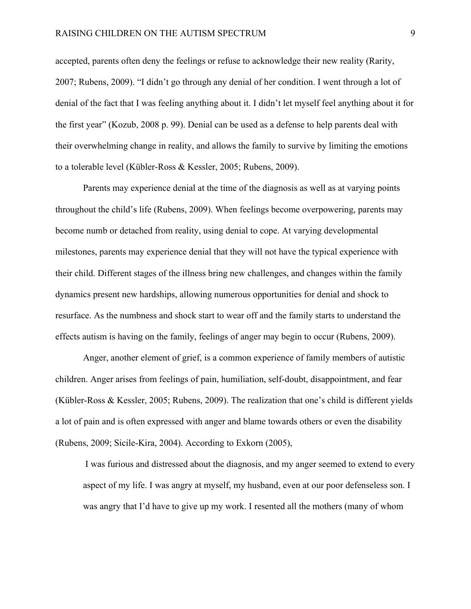accepted, parents often deny the feelings or refuse to acknowledge their new reality (Rarity, 2007; Rubens, 2009). "I didn't go through any denial of her condition. I went through a lot of denial of the fact that I was feeling anything about it. I didn't let myself feel anything about it for the first year" (Kozub, 2008 p. 99). Denial can be used as a defense to help parents deal with their overwhelming change in reality, and allows the family to survive by limiting the emotions to a tolerable level (Kübler-Ross & Kessler, 2005; Rubens, 2009).

Parents may experience denial at the time of the diagnosis as well as at varying points throughout the child's life (Rubens, 2009). When feelings become overpowering, parents may become numb or detached from reality, using denial to cope. At varying developmental milestones, parents may experience denial that they will not have the typical experience with their child. Different stages of the illness bring new challenges, and changes within the family dynamics present new hardships, allowing numerous opportunities for denial and shock to resurface. As the numbness and shock start to wear off and the family starts to understand the effects autism is having on the family, feelings of anger may begin to occur (Rubens, 2009).

Anger, another element of grief, is a common experience of family members of autistic children. Anger arises from feelings of pain, humiliation, self-doubt, disappointment, and fear (Kübler-Ross & Kessler, 2005; Rubens, 2009). The realization that one's child is different yields a lot of pain and is often expressed with anger and blame towards others or even the disability (Rubens, 2009; Sicile-Kira, 2004). According to Exkorn (2005),

 I was furious and distressed about the diagnosis, and my anger seemed to extend to every aspect of my life. I was angry at myself, my husband, even at our poor defenseless son. I was angry that I'd have to give up my work. I resented all the mothers (many of whom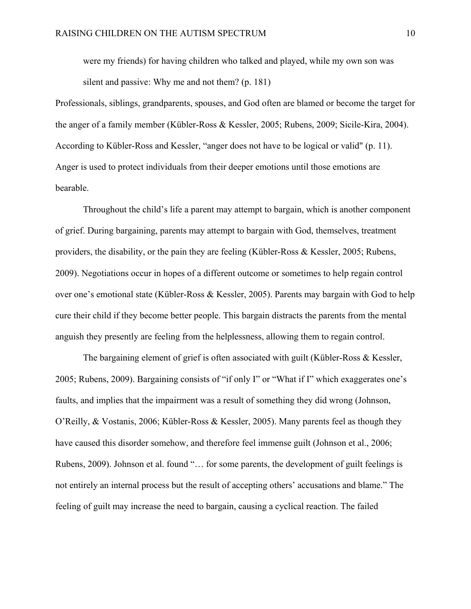were my friends) for having children who talked and played, while my own son was silent and passive: Why me and not them? (p. 181)

Professionals, siblings, grandparents, spouses, and God often are blamed or become the target for the anger of a family member (Kübler-Ross & Kessler, 2005; Rubens, 2009; Sicile-Kira, 2004). According to Kübler-Ross and Kessler, "anger does not have to be logical or valid" (p. 11). Anger is used to protect individuals from their deeper emotions until those emotions are bearable.

Throughout the child's life a parent may attempt to bargain, which is another component of grief. During bargaining, parents may attempt to bargain with God, themselves, treatment providers, the disability, or the pain they are feeling (Kübler-Ross & Kessler, 2005; Rubens, 2009). Negotiations occur in hopes of a different outcome or sometimes to help regain control over one's emotional state (Kübler-Ross & Kessler, 2005). Parents may bargain with God to help cure their child if they become better people. This bargain distracts the parents from the mental anguish they presently are feeling from the helplessness, allowing them to regain control.

The bargaining element of grief is often associated with guilt (Kübler-Ross  $\&$  Kessler, 2005; Rubens, 2009). Bargaining consists of "if only I" or "What if I" which exaggerates one's faults, and implies that the impairment was a result of something they did wrong (Johnson, O'Reilly, & Vostanis, 2006; Kübler-Ross & Kessler, 2005). Many parents feel as though they have caused this disorder somehow, and therefore feel immense guilt (Johnson et al., 2006; Rubens, 2009). Johnson et al. found "… for some parents, the development of guilt feelings is not entirely an internal process but the result of accepting others' accusations and blame." The feeling of guilt may increase the need to bargain, causing a cyclical reaction. The failed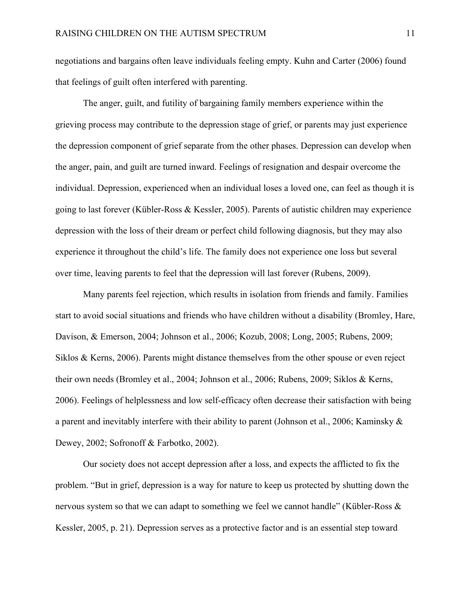negotiations and bargains often leave individuals feeling empty. Kuhn and Carter (2006) found that feelings of guilt often interfered with parenting.

The anger, guilt, and futility of bargaining family members experience within the grieving process may contribute to the depression stage of grief, or parents may just experience the depression component of grief separate from the other phases. Depression can develop when the anger, pain, and guilt are turned inward. Feelings of resignation and despair overcome the individual. Depression, experienced when an individual loses a loved one, can feel as though it is going to last forever (Kübler-Ross & Kessler, 2005). Parents of autistic children may experience depression with the loss of their dream or perfect child following diagnosis, but they may also experience it throughout the child's life. The family does not experience one loss but several over time, leaving parents to feel that the depression will last forever (Rubens, 2009).

Many parents feel rejection, which results in isolation from friends and family. Families start to avoid social situations and friends who have children without a disability (Bromley, Hare, Davison, & Emerson, 2004; Johnson et al., 2006; Kozub, 2008; Long, 2005; Rubens, 2009; Siklos & Kerns, 2006). Parents might distance themselves from the other spouse or even reject their own needs (Bromley et al., 2004; Johnson et al., 2006; Rubens, 2009; Siklos & Kerns, 2006). Feelings of helplessness and low self-efficacy often decrease their satisfaction with being a parent and inevitably interfere with their ability to parent (Johnson et al., 2006; Kaminsky & Dewey, 2002; Sofronoff & Farbotko, 2002).

Our society does not accept depression after a loss, and expects the afflicted to fix the problem. "But in grief, depression is a way for nature to keep us protected by shutting down the nervous system so that we can adapt to something we feel we cannot handle" (Kübler-Ross & Kessler, 2005, p. 21). Depression serves as a protective factor and is an essential step toward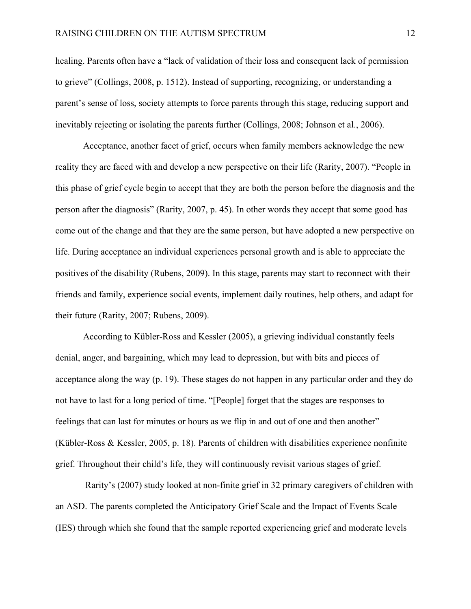healing. Parents often have a "lack of validation of their loss and consequent lack of permission to grieve" (Collings, 2008, p. 1512). Instead of supporting, recognizing, or understanding a parent's sense of loss, society attempts to force parents through this stage, reducing support and inevitably rejecting or isolating the parents further (Collings, 2008; Johnson et al., 2006).

Acceptance, another facet of grief, occurs when family members acknowledge the new reality they are faced with and develop a new perspective on their life (Rarity, 2007). "People in this phase of grief cycle begin to accept that they are both the person before the diagnosis and the person after the diagnosis" (Rarity, 2007, p. 45). In other words they accept that some good has come out of the change and that they are the same person, but have adopted a new perspective on life. During acceptance an individual experiences personal growth and is able to appreciate the positives of the disability (Rubens, 2009). In this stage, parents may start to reconnect with their friends and family, experience social events, implement daily routines, help others, and adapt for their future (Rarity, 2007; Rubens, 2009).

According to Kübler-Ross and Kessler (2005), a grieving individual constantly feels denial, anger, and bargaining, which may lead to depression, but with bits and pieces of acceptance along the way (p. 19). These stages do not happen in any particular order and they do not have to last for a long period of time. "[People] forget that the stages are responses to feelings that can last for minutes or hours as we flip in and out of one and then another" (Kübler-Ross & Kessler, 2005, p. 18). Parents of children with disabilities experience nonfinite grief. Throughout their child's life, they will continuously revisit various stages of grief.

 Rarity's (2007) study looked at non-finite grief in 32 primary caregivers of children with an ASD. The parents completed the Anticipatory Grief Scale and the Impact of Events Scale (IES) through which she found that the sample reported experiencing grief and moderate levels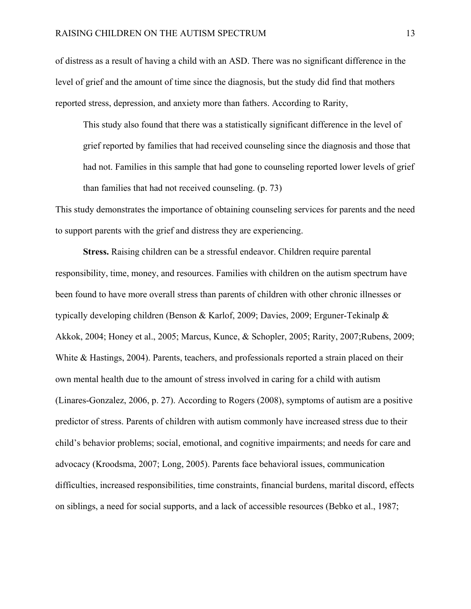of distress as a result of having a child with an ASD. There was no significant difference in the level of grief and the amount of time since the diagnosis, but the study did find that mothers reported stress, depression, and anxiety more than fathers. According to Rarity,

This study also found that there was a statistically significant difference in the level of grief reported by families that had received counseling since the diagnosis and those that had not. Families in this sample that had gone to counseling reported lower levels of grief than families that had not received counseling. (p. 73)

This study demonstrates the importance of obtaining counseling services for parents and the need to support parents with the grief and distress they are experiencing.

**Stress.** Raising children can be a stressful endeavor. Children require parental responsibility, time, money, and resources. Families with children on the autism spectrum have been found to have more overall stress than parents of children with other chronic illnesses or typically developing children (Benson & Karlof, 2009; Davies, 2009; Erguner-Tekinalp & Akkok, 2004; Honey et al., 2005; Marcus, Kunce, & Schopler, 2005; Rarity, 2007;Rubens, 2009; White & Hastings, 2004). Parents, teachers, and professionals reported a strain placed on their own mental health due to the amount of stress involved in caring for a child with autism (Linares-Gonzalez, 2006, p. 27). According to Rogers (2008), symptoms of autism are a positive predictor of stress. Parents of children with autism commonly have increased stress due to their child's behavior problems; social, emotional, and cognitive impairments; and needs for care and advocacy (Kroodsma, 2007; Long, 2005). Parents face behavioral issues, communication difficulties, increased responsibilities, time constraints, financial burdens, marital discord, effects on siblings, a need for social supports, and a lack of accessible resources (Bebko et al., 1987;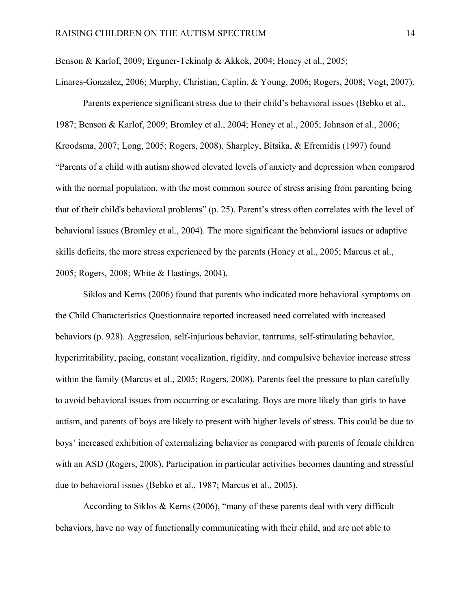Benson & Karlof, 2009; Erguner-Tekinalp & Akkok, 2004; Honey et al., 2005;

Linares-Gonzalez, 2006; Murphy, Christian, Caplin, & Young, 2006; Rogers, 2008; Vogt, 2007).

Parents experience significant stress due to their child's behavioral issues (Bebko et al., 1987; Benson & Karlof, 2009; Bromley et al., 2004; Honey et al., 2005; Johnson et al., 2006; Kroodsma, 2007; Long, 2005; Rogers, 2008). Sharpley, Bitsika, & Efremidis (1997) found "Parents of a child with autism showed elevated levels of anxiety and depression when compared with the normal population, with the most common source of stress arising from parenting being that of their child's behavioral problems" (p. 25). Parent's stress often correlates with the level of behavioral issues (Bromley et al., 2004). The more significant the behavioral issues or adaptive skills deficits, the more stress experienced by the parents (Honey et al., 2005; Marcus et al., 2005; Rogers, 2008; White & Hastings, 2004).

Siklos and Kerns (2006) found that parents who indicated more behavioral symptoms on the Child Characteristics Questionnaire reported increased need correlated with increased behaviors (p. 928). Aggression, self-injurious behavior, tantrums, self-stimulating behavior, hyperirritability, pacing, constant vocalization, rigidity, and compulsive behavior increase stress within the family (Marcus et al., 2005; Rogers, 2008). Parents feel the pressure to plan carefully to avoid behavioral issues from occurring or escalating. Boys are more likely than girls to have autism, and parents of boys are likely to present with higher levels of stress. This could be due to boys' increased exhibition of externalizing behavior as compared with parents of female children with an ASD (Rogers, 2008). Participation in particular activities becomes daunting and stressful due to behavioral issues (Bebko et al., 1987; Marcus et al., 2005).

According to Siklos & Kerns (2006), "many of these parents deal with very difficult behaviors, have no way of functionally communicating with their child, and are not able to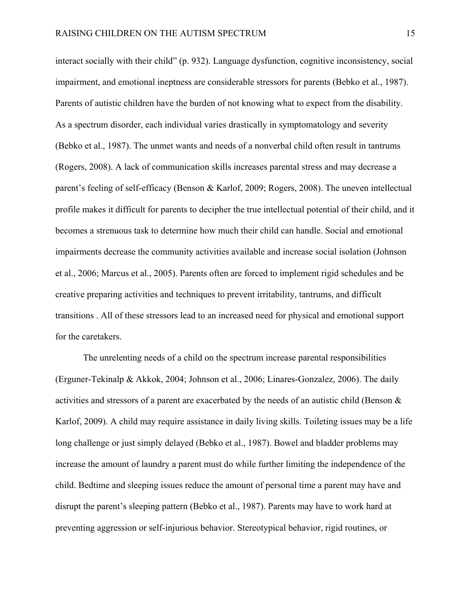interact socially with their child" (p. 932). Language dysfunction, cognitive inconsistency, social impairment, and emotional ineptness are considerable stressors for parents (Bebko et al., 1987). Parents of autistic children have the burden of not knowing what to expect from the disability. As a spectrum disorder, each individual varies drastically in symptomatology and severity (Bebko et al., 1987). The unmet wants and needs of a nonverbal child often result in tantrums (Rogers, 2008). A lack of communication skills increases parental stress and may decrease a parent's feeling of self-efficacy (Benson & Karlof, 2009; Rogers, 2008). The uneven intellectual profile makes it difficult for parents to decipher the true intellectual potential of their child, and it becomes a strenuous task to determine how much their child can handle. Social and emotional impairments decrease the community activities available and increase social isolation (Johnson et al., 2006; Marcus et al., 2005). Parents often are forced to implement rigid schedules and be creative preparing activities and techniques to prevent irritability, tantrums, and difficult transitions . All of these stressors lead to an increased need for physical and emotional support for the caretakers.

The unrelenting needs of a child on the spectrum increase parental responsibilities (Erguner-Tekinalp & Akkok, 2004; Johnson et al., 2006; Linares-Gonzalez, 2006). The daily activities and stressors of a parent are exacerbated by the needs of an autistic child (Benson & Karlof, 2009). A child may require assistance in daily living skills. Toileting issues may be a life long challenge or just simply delayed (Bebko et al., 1987). Bowel and bladder problems may increase the amount of laundry a parent must do while further limiting the independence of the child. Bedtime and sleeping issues reduce the amount of personal time a parent may have and disrupt the parent's sleeping pattern (Bebko et al., 1987). Parents may have to work hard at preventing aggression or self-injurious behavior. Stereotypical behavior, rigid routines, or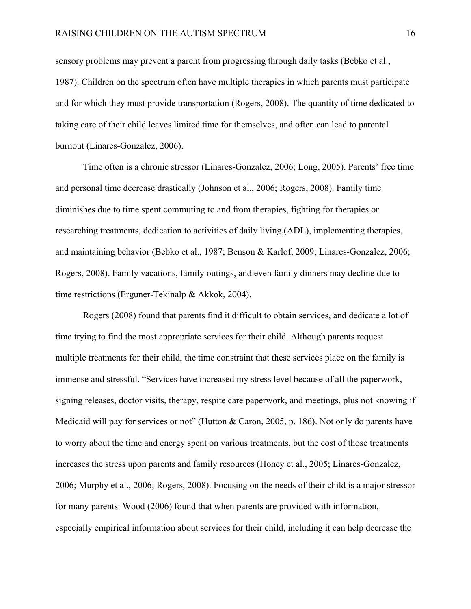sensory problems may prevent a parent from progressing through daily tasks (Bebko et al., 1987). Children on the spectrum often have multiple therapies in which parents must participate and for which they must provide transportation (Rogers, 2008). The quantity of time dedicated to taking care of their child leaves limited time for themselves, and often can lead to parental burnout (Linares-Gonzalez, 2006).

Time often is a chronic stressor (Linares-Gonzalez, 2006; Long, 2005). Parents' free time and personal time decrease drastically (Johnson et al., 2006; Rogers, 2008). Family time diminishes due to time spent commuting to and from therapies, fighting for therapies or researching treatments, dedication to activities of daily living (ADL), implementing therapies, and maintaining behavior (Bebko et al., 1987; Benson & Karlof, 2009; Linares-Gonzalez, 2006; Rogers, 2008). Family vacations, family outings, and even family dinners may decline due to time restrictions (Erguner-Tekinalp & Akkok, 2004).

Rogers (2008) found that parents find it difficult to obtain services, and dedicate a lot of time trying to find the most appropriate services for their child. Although parents request multiple treatments for their child, the time constraint that these services place on the family is immense and stressful. "Services have increased my stress level because of all the paperwork, signing releases, doctor visits, therapy, respite care paperwork, and meetings, plus not knowing if Medicaid will pay for services or not" (Hutton & Caron, 2005, p. 186). Not only do parents have to worry about the time and energy spent on various treatments, but the cost of those treatments increases the stress upon parents and family resources (Honey et al., 2005; Linares-Gonzalez, 2006; Murphy et al., 2006; Rogers, 2008). Focusing on the needs of their child is a major stressor for many parents. Wood (2006) found that when parents are provided with information, especially empirical information about services for their child, including it can help decrease the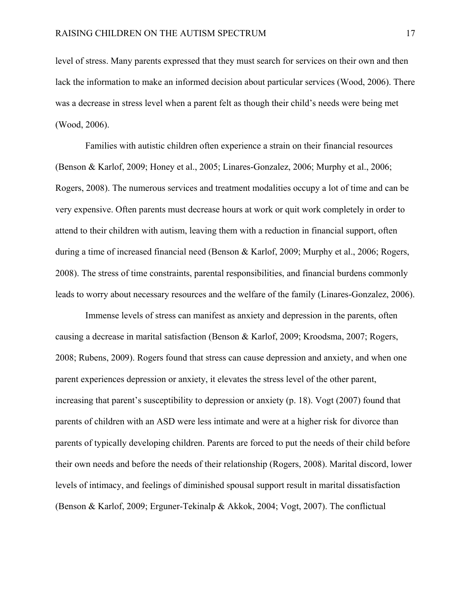level of stress. Many parents expressed that they must search for services on their own and then lack the information to make an informed decision about particular services (Wood, 2006). There was a decrease in stress level when a parent felt as though their child's needs were being met (Wood, 2006).

 Families with autistic children often experience a strain on their financial resources (Benson & Karlof, 2009; Honey et al., 2005; Linares-Gonzalez, 2006; Murphy et al., 2006; Rogers, 2008). The numerous services and treatment modalities occupy a lot of time and can be very expensive. Often parents must decrease hours at work or quit work completely in order to attend to their children with autism, leaving them with a reduction in financial support, often during a time of increased financial need (Benson & Karlof, 2009; Murphy et al., 2006; Rogers, 2008). The stress of time constraints, parental responsibilities, and financial burdens commonly leads to worry about necessary resources and the welfare of the family (Linares-Gonzalez, 2006).

 Immense levels of stress can manifest as anxiety and depression in the parents, often causing a decrease in marital satisfaction (Benson & Karlof, 2009; Kroodsma, 2007; Rogers, 2008; Rubens, 2009). Rogers found that stress can cause depression and anxiety, and when one parent experiences depression or anxiety, it elevates the stress level of the other parent, increasing that parent's susceptibility to depression or anxiety (p. 18). Vogt (2007) found that parents of children with an ASD were less intimate and were at a higher risk for divorce than parents of typically developing children. Parents are forced to put the needs of their child before their own needs and before the needs of their relationship (Rogers, 2008). Marital discord, lower levels of intimacy, and feelings of diminished spousal support result in marital dissatisfaction (Benson & Karlof, 2009; Erguner-Tekinalp & Akkok, 2004; Vogt, 2007). The conflictual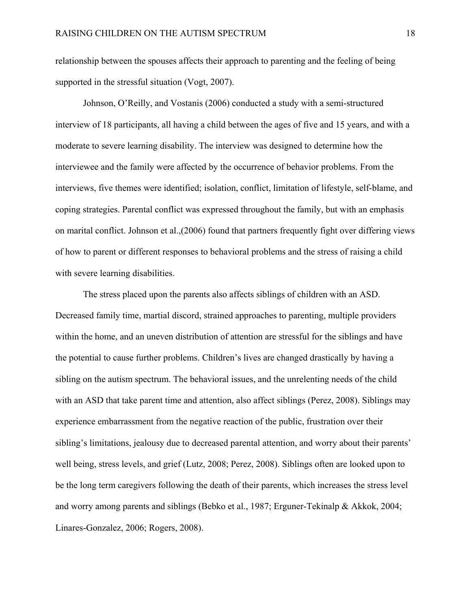relationship between the spouses affects their approach to parenting and the feeling of being supported in the stressful situation (Vogt, 2007).

Johnson, O'Reilly, and Vostanis (2006) conducted a study with a semi-structured interview of 18 participants, all having a child between the ages of five and 15 years, and with a moderate to severe learning disability. The interview was designed to determine how the interviewee and the family were affected by the occurrence of behavior problems. From the interviews, five themes were identified; isolation, conflict, limitation of lifestyle, self-blame, and coping strategies. Parental conflict was expressed throughout the family, but with an emphasis on marital conflict. Johnson et al.,(2006) found that partners frequently fight over differing views of how to parent or different responses to behavioral problems and the stress of raising a child with severe learning disabilities.

The stress placed upon the parents also affects siblings of children with an ASD. Decreased family time, martial discord, strained approaches to parenting, multiple providers within the home, and an uneven distribution of attention are stressful for the siblings and have the potential to cause further problems. Children's lives are changed drastically by having a sibling on the autism spectrum. The behavioral issues, and the unrelenting needs of the child with an ASD that take parent time and attention, also affect siblings (Perez, 2008). Siblings may experience embarrassment from the negative reaction of the public, frustration over their sibling's limitations, jealousy due to decreased parental attention, and worry about their parents' well being, stress levels, and grief (Lutz, 2008; Perez, 2008). Siblings often are looked upon to be the long term caregivers following the death of their parents, which increases the stress level and worry among parents and siblings (Bebko et al., 1987; Erguner-Tekinalp & Akkok, 2004; Linares-Gonzalez, 2006; Rogers, 2008).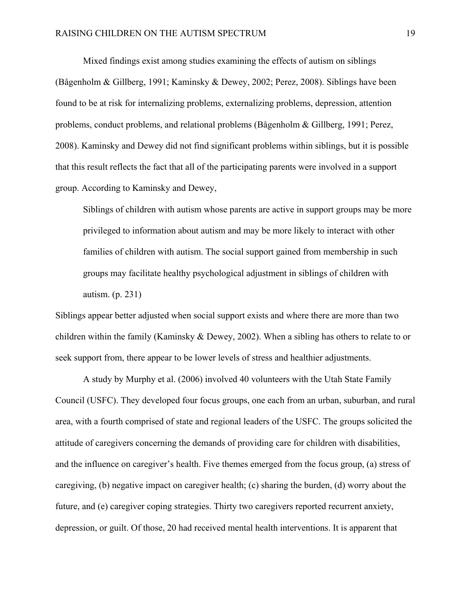Mixed findings exist among studies examining the effects of autism on siblings (Bågenholm & Gillberg, 1991; Kaminsky & Dewey, 2002; Perez, 2008). Siblings have been found to be at risk for internalizing problems, externalizing problems, depression, attention problems, conduct problems, and relational problems (Bågenholm & Gillberg, 1991; Perez, 2008). Kaminsky and Dewey did not find significant problems within siblings, but it is possible that this result reflects the fact that all of the participating parents were involved in a support group. According to Kaminsky and Dewey,

Siblings of children with autism whose parents are active in support groups may be more privileged to information about autism and may be more likely to interact with other families of children with autism. The social support gained from membership in such groups may facilitate healthy psychological adjustment in siblings of children with autism. (p. 231)

Siblings appear better adjusted when social support exists and where there are more than two children within the family (Kaminsky & Dewey, 2002). When a sibling has others to relate to or seek support from, there appear to be lower levels of stress and healthier adjustments.

 A study by Murphy et al. (2006) involved 40 volunteers with the Utah State Family Council (USFC). They developed four focus groups, one each from an urban, suburban, and rural area, with a fourth comprised of state and regional leaders of the USFC. The groups solicited the attitude of caregivers concerning the demands of providing care for children with disabilities, and the influence on caregiver's health. Five themes emerged from the focus group, (a) stress of caregiving, (b) negative impact on caregiver health; (c) sharing the burden, (d) worry about the future, and (e) caregiver coping strategies. Thirty two caregivers reported recurrent anxiety, depression, or guilt. Of those, 20 had received mental health interventions. It is apparent that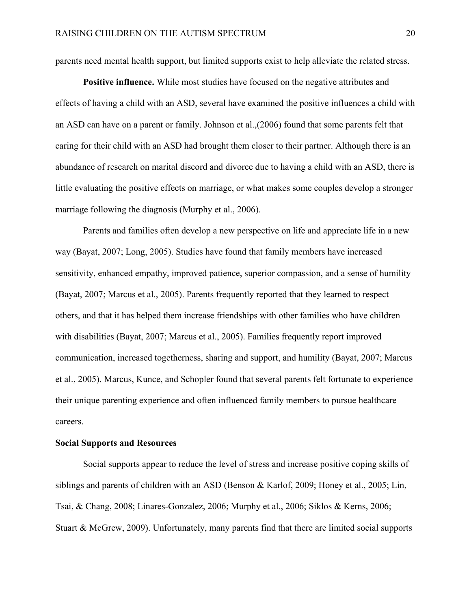parents need mental health support, but limited supports exist to help alleviate the related stress.

**Positive influence.** While most studies have focused on the negative attributes and effects of having a child with an ASD, several have examined the positive influences a child with an ASD can have on a parent or family. Johnson et al.,(2006) found that some parents felt that caring for their child with an ASD had brought them closer to their partner. Although there is an abundance of research on marital discord and divorce due to having a child with an ASD, there is little evaluating the positive effects on marriage, or what makes some couples develop a stronger marriage following the diagnosis (Murphy et al., 2006).

 Parents and families often develop a new perspective on life and appreciate life in a new way (Bayat, 2007; Long, 2005). Studies have found that family members have increased sensitivity, enhanced empathy, improved patience, superior compassion, and a sense of humility (Bayat, 2007; Marcus et al., 2005). Parents frequently reported that they learned to respect others, and that it has helped them increase friendships with other families who have children with disabilities (Bayat, 2007; Marcus et al., 2005). Families frequently report improved communication, increased togetherness, sharing and support, and humility (Bayat, 2007; Marcus et al., 2005). Marcus, Kunce, and Schopler found that several parents felt fortunate to experience their unique parenting experience and often influenced family members to pursue healthcare careers.

#### **Social Supports and Resources**

Social supports appear to reduce the level of stress and increase positive coping skills of siblings and parents of children with an ASD (Benson & Karlof, 2009; Honey et al., 2005; Lin, Tsai, & Chang, 2008; Linares-Gonzalez, 2006; Murphy et al., 2006; Siklos & Kerns, 2006; Stuart & McGrew, 2009). Unfortunately, many parents find that there are limited social supports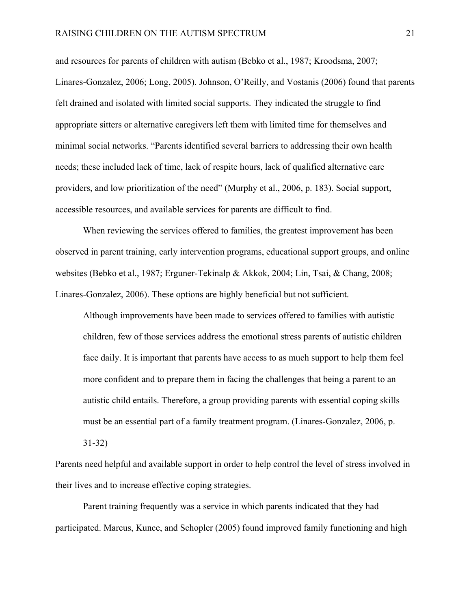and resources for parents of children with autism (Bebko et al., 1987; Kroodsma, 2007; Linares-Gonzalez, 2006; Long, 2005). Johnson, O'Reilly, and Vostanis (2006) found that parents felt drained and isolated with limited social supports. They indicated the struggle to find appropriate sitters or alternative caregivers left them with limited time for themselves and minimal social networks. "Parents identified several barriers to addressing their own health needs; these included lack of time, lack of respite hours, lack of qualified alternative care providers, and low prioritization of the need" (Murphy et al., 2006, p. 183). Social support, accessible resources, and available services for parents are difficult to find.

When reviewing the services offered to families, the greatest improvement has been observed in parent training, early intervention programs, educational support groups, and online websites (Bebko et al., 1987; Erguner-Tekinalp & Akkok, 2004; Lin, Tsai, & Chang, 2008; Linares-Gonzalez, 2006). These options are highly beneficial but not sufficient.

Although improvements have been made to services offered to families with autistic children, few of those services address the emotional stress parents of autistic children face daily. It is important that parents have access to as much support to help them feel more confident and to prepare them in facing the challenges that being a parent to an autistic child entails. Therefore, a group providing parents with essential coping skills must be an essential part of a family treatment program. (Linares-Gonzalez, 2006, p.

31-32)

Parents need helpful and available support in order to help control the level of stress involved in their lives and to increase effective coping strategies.

Parent training frequently was a service in which parents indicated that they had participated. Marcus, Kunce, and Schopler (2005) found improved family functioning and high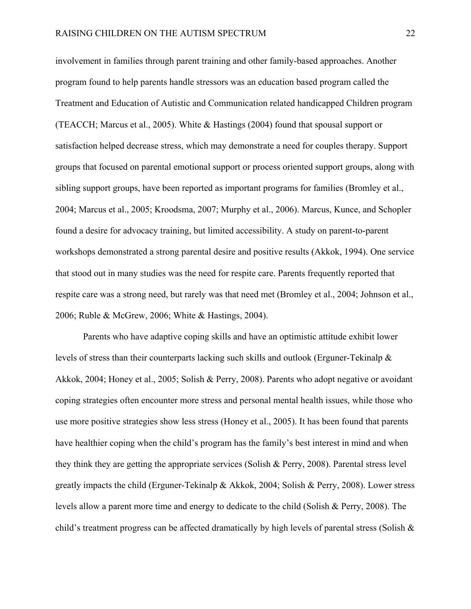involvement in families through parent training and other family-based approaches. Another program found to help parents handle stressors was an education based program called the Treatment and Education of Autistic and Communication related handicapped Children program (TEACCH; Marcus et al., 2005). White & Hastings (2004) found that spousal support or satisfaction helped decrease stress, which may demonstrate a need for couples therapy. Support groups that focused on parental emotional support or process oriented support groups, along with sibling support groups, have been reported as important programs for families (Bromley et al., 2004; Marcus et al., 2005; Kroodsma, 2007; Murphy et al., 2006). Marcus, Kunce, and Schopler found a desire for advocacy training, but limited accessibility. A study on parent-to-parent workshops demonstrated a strong parental desire and positive results (Akkok, 1994). One service that stood out in many studies was the need for respite care. Parents frequently reported that respite care was a strong need, but rarely was that need met (Bromley et al., 2004; Johnson et al., 2006; Ruble & McGrew, 2006; White & Hastings, 2004).

 Parents who have adaptive coping skills and have an optimistic attitude exhibit lower levels of stress than their counterparts lacking such skills and outlook (Erguner-Tekinalp & Akkok, 2004; Honey et al., 2005; Solish & Perry, 2008). Parents who adopt negative or avoidant coping strategies often encounter more stress and personal mental health issues, while those who use more positive strategies show less stress (Honey et al., 2005). It has been found that parents have healthier coping when the child's program has the family's best interest in mind and when they think they are getting the appropriate services (Solish & Perry, 2008). Parental stress level greatly impacts the child (Erguner-Tekinalp & Akkok, 2004; Solish & Perry, 2008). Lower stress levels allow a parent more time and energy to dedicate to the child (Solish & Perry, 2008). The child's treatment progress can be affected dramatically by high levels of parental stress (Solish &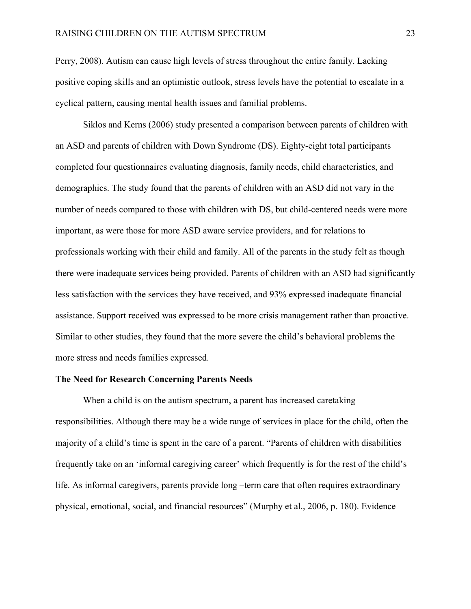Perry, 2008). Autism can cause high levels of stress throughout the entire family. Lacking positive coping skills and an optimistic outlook, stress levels have the potential to escalate in a cyclical pattern, causing mental health issues and familial problems.

Siklos and Kerns (2006) study presented a comparison between parents of children with an ASD and parents of children with Down Syndrome (DS). Eighty-eight total participants completed four questionnaires evaluating diagnosis, family needs, child characteristics, and demographics. The study found that the parents of children with an ASD did not vary in the number of needs compared to those with children with DS, but child-centered needs were more important, as were those for more ASD aware service providers, and for relations to professionals working with their child and family. All of the parents in the study felt as though there were inadequate services being provided. Parents of children with an ASD had significantly less satisfaction with the services they have received, and 93% expressed inadequate financial assistance. Support received was expressed to be more crisis management rather than proactive. Similar to other studies, they found that the more severe the child's behavioral problems the more stress and needs families expressed.

#### **The Need for Research Concerning Parents Needs**

When a child is on the autism spectrum, a parent has increased caretaking responsibilities. Although there may be a wide range of services in place for the child, often the majority of a child's time is spent in the care of a parent. "Parents of children with disabilities frequently take on an 'informal caregiving career' which frequently is for the rest of the child's life. As informal caregivers, parents provide long –term care that often requires extraordinary physical, emotional, social, and financial resources" (Murphy et al., 2006, p. 180). Evidence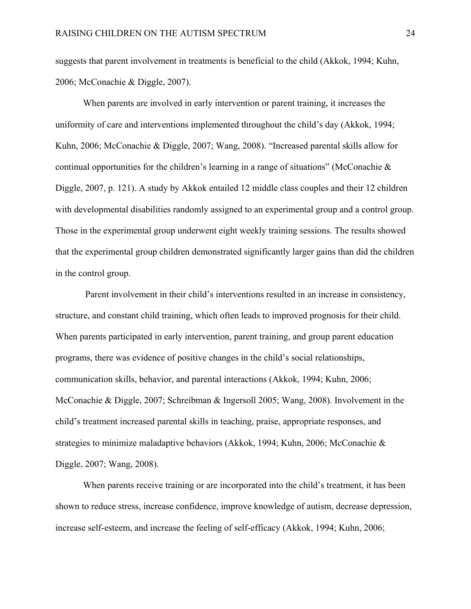suggests that parent involvement in treatments is beneficial to the child (Akkok, 1994; Kuhn, 2006; McConachie & Diggle, 2007).

When parents are involved in early intervention or parent training, it increases the uniformity of care and interventions implemented throughout the child's day (Akkok, 1994; Kuhn, 2006; McConachie & Diggle, 2007; Wang, 2008). "Increased parental skills allow for continual opportunities for the children's learning in a range of situations" (McConachie & Diggle, 2007, p. 121). A study by Akkok entailed 12 middle class couples and their 12 children with developmental disabilities randomly assigned to an experimental group and a control group. Those in the experimental group underwent eight weekly training sessions. The results showed that the experimental group children demonstrated significantly larger gains than did the children in the control group.

 Parent involvement in their child's interventions resulted in an increase in consistency, structure, and constant child training, which often leads to improved prognosis for their child. When parents participated in early intervention, parent training, and group parent education programs, there was evidence of positive changes in the child's social relationships, communication skills, behavior, and parental interactions (Akkok, 1994; Kuhn, 2006; McConachie & Diggle, 2007; Schreibman & Ingersoll 2005; Wang, 2008). Involvement in the child's treatment increased parental skills in teaching, praise, appropriate responses, and strategies to minimize maladaptive behaviors (Akkok, 1994; Kuhn, 2006; McConachie & Diggle, 2007; Wang, 2008).

When parents receive training or are incorporated into the child's treatment, it has been shown to reduce stress, increase confidence, improve knowledge of autism, decrease depression, increase self-esteem, and increase the feeling of self-efficacy (Akkok, 1994; Kuhn, 2006;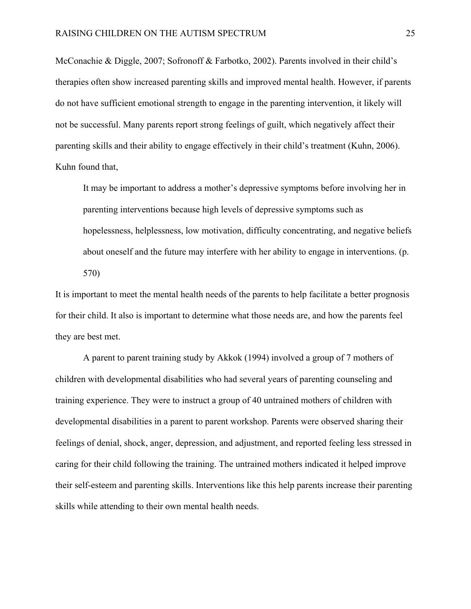McConachie & Diggle, 2007; Sofronoff & Farbotko, 2002). Parents involved in their child's therapies often show increased parenting skills and improved mental health. However, if parents do not have sufficient emotional strength to engage in the parenting intervention, it likely will not be successful. Many parents report strong feelings of guilt, which negatively affect their parenting skills and their ability to engage effectively in their child's treatment (Kuhn, 2006). Kuhn found that,

It may be important to address a mother's depressive symptoms before involving her in parenting interventions because high levels of depressive symptoms such as hopelessness, helplessness, low motivation, difficulty concentrating, and negative beliefs about oneself and the future may interfere with her ability to engage in interventions. (p. 570)

It is important to meet the mental health needs of the parents to help facilitate a better prognosis for their child. It also is important to determine what those needs are, and how the parents feel they are best met.

 A parent to parent training study by Akkok (1994) involved a group of 7 mothers of children with developmental disabilities who had several years of parenting counseling and training experience. They were to instruct a group of 40 untrained mothers of children with developmental disabilities in a parent to parent workshop. Parents were observed sharing their feelings of denial, shock, anger, depression, and adjustment, and reported feeling less stressed in caring for their child following the training. The untrained mothers indicated it helped improve their self-esteem and parenting skills. Interventions like this help parents increase their parenting skills while attending to their own mental health needs.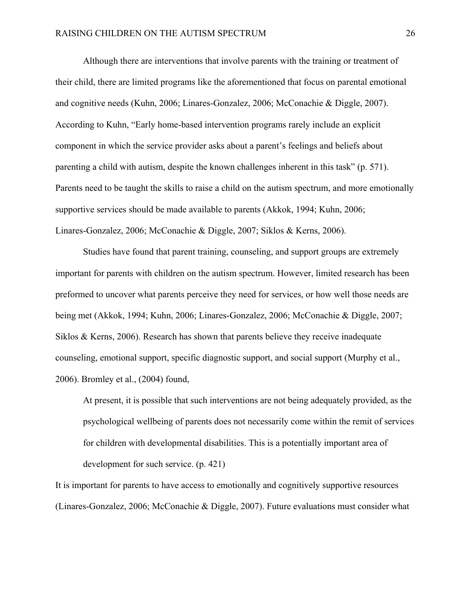Although there are interventions that involve parents with the training or treatment of their child, there are limited programs like the aforementioned that focus on parental emotional and cognitive needs (Kuhn, 2006; Linares-Gonzalez, 2006; McConachie & Diggle, 2007). According to Kuhn, "Early home-based intervention programs rarely include an explicit component in which the service provider asks about a parent's feelings and beliefs about parenting a child with autism, despite the known challenges inherent in this task" (p. 571). Parents need to be taught the skills to raise a child on the autism spectrum, and more emotionally supportive services should be made available to parents (Akkok, 1994; Kuhn, 2006; Linares-Gonzalez, 2006; McConachie & Diggle, 2007; Siklos & Kerns, 2006).

 Studies have found that parent training, counseling, and support groups are extremely important for parents with children on the autism spectrum. However, limited research has been preformed to uncover what parents perceive they need for services, or how well those needs are being met (Akkok, 1994; Kuhn, 2006; Linares-Gonzalez, 2006; McConachie & Diggle, 2007; Siklos & Kerns, 2006). Research has shown that parents believe they receive inadequate counseling, emotional support, specific diagnostic support, and social support (Murphy et al., 2006). Bromley et al., (2004) found,

At present, it is possible that such interventions are not being adequately provided, as the psychological wellbeing of parents does not necessarily come within the remit of services for children with developmental disabilities. This is a potentially important area of development for such service. (p. 421)

It is important for parents to have access to emotionally and cognitively supportive resources (Linares-Gonzalez, 2006; McConachie & Diggle, 2007). Future evaluations must consider what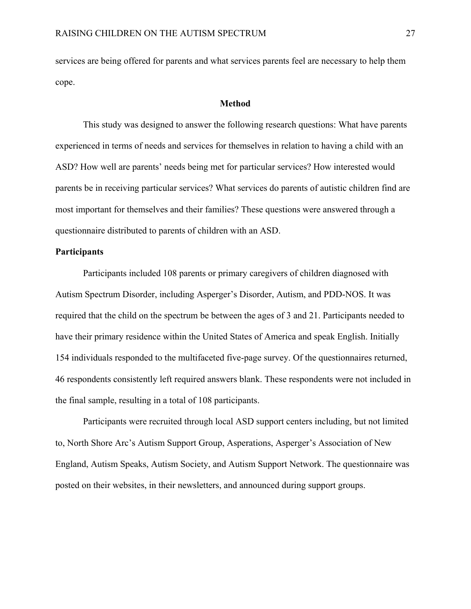services are being offered for parents and what services parents feel are necessary to help them cope.

#### **Method**

This study was designed to answer the following research questions: What have parents experienced in terms of needs and services for themselves in relation to having a child with an ASD? How well are parents' needs being met for particular services? How interested would parents be in receiving particular services? What services do parents of autistic children find are most important for themselves and their families? These questions were answered through a questionnaire distributed to parents of children with an ASD.

### **Participants**

Participants included 108 parents or primary caregivers of children diagnosed with Autism Spectrum Disorder, including Asperger's Disorder, Autism, and PDD-NOS. It was required that the child on the spectrum be between the ages of 3 and 21. Participants needed to have their primary residence within the United States of America and speak English. Initially 154 individuals responded to the multifaceted five-page survey. Of the questionnaires returned, 46 respondents consistently left required answers blank. These respondents were not included in the final sample, resulting in a total of 108 participants.

Participants were recruited through local ASD support centers including, but not limited to, North Shore Arc's Autism Support Group, Asperations, Asperger's Association of New England, Autism Speaks, Autism Society, and Autism Support Network. The questionnaire was posted on their websites, in their newsletters, and announced during support groups.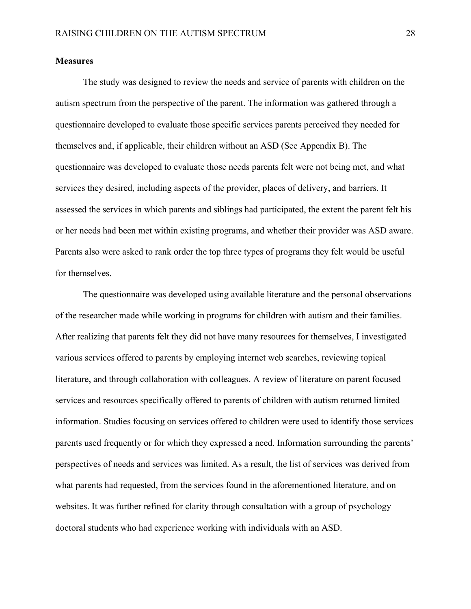#### **Measures**

The study was designed to review the needs and service of parents with children on the autism spectrum from the perspective of the parent. The information was gathered through a questionnaire developed to evaluate those specific services parents perceived they needed for themselves and, if applicable, their children without an ASD (See Appendix B). The questionnaire was developed to evaluate those needs parents felt were not being met, and what services they desired, including aspects of the provider, places of delivery, and barriers. It assessed the services in which parents and siblings had participated, the extent the parent felt his or her needs had been met within existing programs, and whether their provider was ASD aware. Parents also were asked to rank order the top three types of programs they felt would be useful for themselves.

The questionnaire was developed using available literature and the personal observations of the researcher made while working in programs for children with autism and their families. After realizing that parents felt they did not have many resources for themselves, I investigated various services offered to parents by employing internet web searches, reviewing topical literature, and through collaboration with colleagues. A review of literature on parent focused services and resources specifically offered to parents of children with autism returned limited information. Studies focusing on services offered to children were used to identify those services parents used frequently or for which they expressed a need. Information surrounding the parents' perspectives of needs and services was limited. As a result, the list of services was derived from what parents had requested, from the services found in the aforementioned literature, and on websites. It was further refined for clarity through consultation with a group of psychology doctoral students who had experience working with individuals with an ASD.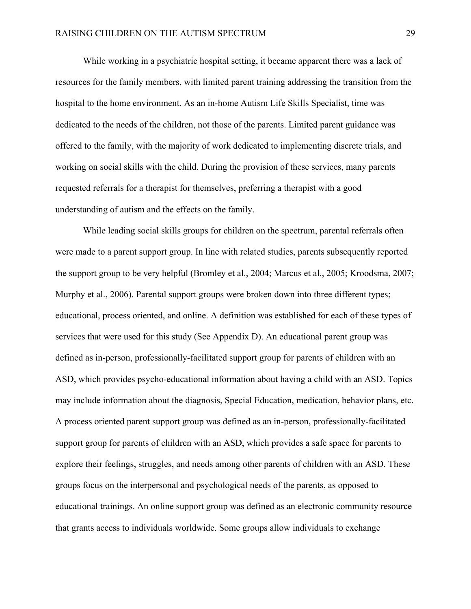While working in a psychiatric hospital setting, it became apparent there was a lack of resources for the family members, with limited parent training addressing the transition from the hospital to the home environment. As an in-home Autism Life Skills Specialist, time was dedicated to the needs of the children, not those of the parents. Limited parent guidance was offered to the family, with the majority of work dedicated to implementing discrete trials, and working on social skills with the child. During the provision of these services, many parents requested referrals for a therapist for themselves, preferring a therapist with a good understanding of autism and the effects on the family.

While leading social skills groups for children on the spectrum, parental referrals often were made to a parent support group. In line with related studies, parents subsequently reported the support group to be very helpful (Bromley et al., 2004; Marcus et al., 2005; Kroodsma, 2007; Murphy et al., 2006). Parental support groups were broken down into three different types; educational, process oriented, and online. A definition was established for each of these types of services that were used for this study (See Appendix D). An educational parent group was defined as in-person, professionally-facilitated support group for parents of children with an ASD, which provides psycho-educational information about having a child with an ASD. Topics may include information about the diagnosis, Special Education, medication, behavior plans, etc. A process oriented parent support group was defined as an in-person, professionally-facilitated support group for parents of children with an ASD, which provides a safe space for parents to explore their feelings, struggles, and needs among other parents of children with an ASD. These groups focus on the interpersonal and psychological needs of the parents, as opposed to educational trainings. An online support group was defined as an electronic community resource that grants access to individuals worldwide. Some groups allow individuals to exchange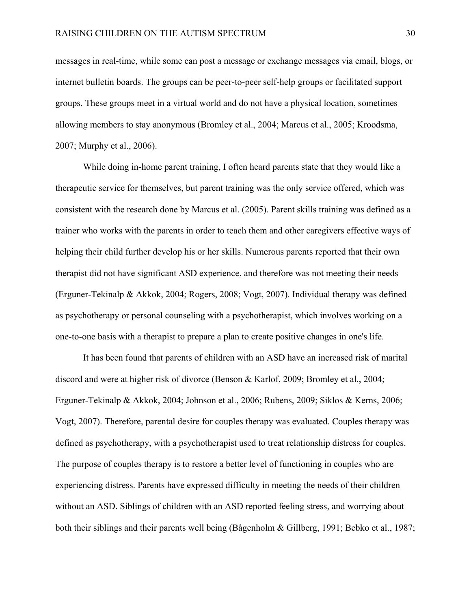messages in real-time, while some can post a message or exchange messages via email, blogs, or internet bulletin boards. The groups can be peer-to-peer self-help groups or facilitated support groups. These groups meet in a virtual world and do not have a physical location, sometimes allowing members to stay anonymous (Bromley et al., 2004; Marcus et al., 2005; Kroodsma, 2007; Murphy et al., 2006).

While doing in-home parent training, I often heard parents state that they would like a therapeutic service for themselves, but parent training was the only service offered, which was consistent with the research done by Marcus et al. (2005). Parent skills training was defined as a trainer who works with the parents in order to teach them and other caregivers effective ways of helping their child further develop his or her skills. Numerous parents reported that their own therapist did not have significant ASD experience, and therefore was not meeting their needs (Erguner-Tekinalp & Akkok, 2004; Rogers, 2008; Vogt, 2007). Individual therapy was defined as psychotherapy or personal counseling with a psychotherapist, which involves working on a one-to-one basis with a therapist to prepare a plan to create positive changes in one's life.

It has been found that parents of children with an ASD have an increased risk of marital discord and were at higher risk of divorce (Benson & Karlof, 2009; Bromley et al., 2004; Erguner-Tekinalp & Akkok, 2004; Johnson et al., 2006; Rubens, 2009; Siklos & Kerns, 2006; Vogt, 2007). Therefore, parental desire for couples therapy was evaluated. Couples therapy was defined as psychotherapy, with a psychotherapist used to treat relationship distress for couples. The purpose of couples therapy is to restore a better level of functioning in couples who are experiencing distress. Parents have expressed difficulty in meeting the needs of their children without an ASD. Siblings of children with an ASD reported feeling stress, and worrying about both their siblings and their parents well being (Bågenholm & Gillberg, 1991; Bebko et al., 1987;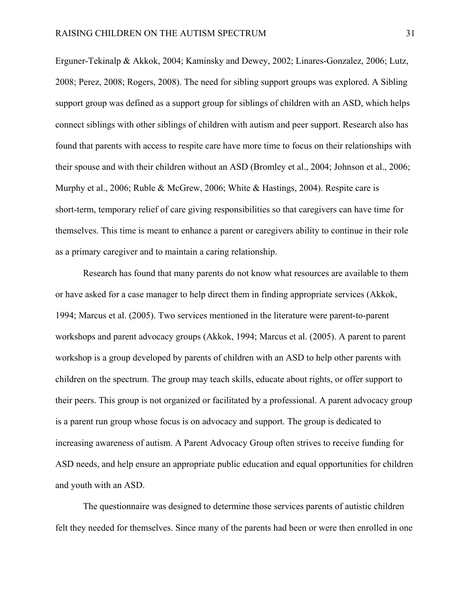Erguner-Tekinalp & Akkok, 2004; Kaminsky and Dewey, 2002; Linares-Gonzalez, 2006; Lutz, 2008; Perez, 2008; Rogers, 2008). The need for sibling support groups was explored. A Sibling support group was defined as a support group for siblings of children with an ASD, which helps connect siblings with other siblings of children with autism and peer support. Research also has found that parents with access to respite care have more time to focus on their relationships with their spouse and with their children without an ASD (Bromley et al., 2004; Johnson et al., 2006; Murphy et al., 2006; Ruble & McGrew, 2006; White & Hastings, 2004). Respite care is short-term, temporary relief of care giving responsibilities so that caregivers can have time for themselves. This time is meant to enhance a parent or caregivers ability to continue in their role as a primary caregiver and to maintain a caring relationship.

Research has found that many parents do not know what resources are available to them or have asked for a case manager to help direct them in finding appropriate services (Akkok, 1994; Marcus et al. (2005). Two services mentioned in the literature were parent-to-parent workshops and parent advocacy groups (Akkok, 1994; Marcus et al. (2005). A parent to parent workshop is a group developed by parents of children with an ASD to help other parents with children on the spectrum. The group may teach skills, educate about rights, or offer support to their peers. This group is not organized or facilitated by a professional. A parent advocacy group is a parent run group whose focus is on advocacy and support. The group is dedicated to increasing awareness of autism. A Parent Advocacy Group often strives to receive funding for ASD needs, and help ensure an appropriate public education and equal opportunities for children and youth with an ASD.

The questionnaire was designed to determine those services parents of autistic children felt they needed for themselves. Since many of the parents had been or were then enrolled in one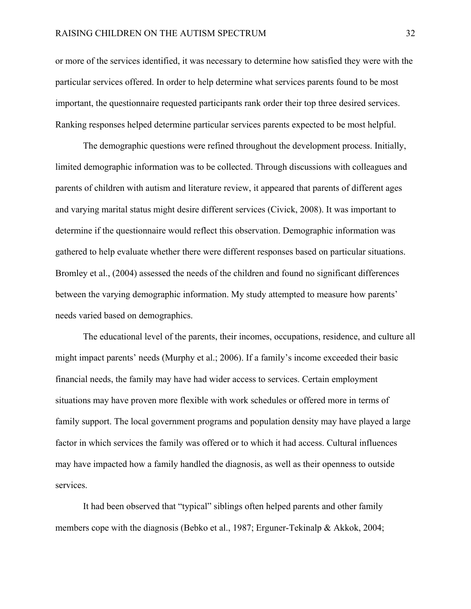or more of the services identified, it was necessary to determine how satisfied they were with the particular services offered. In order to help determine what services parents found to be most important, the questionnaire requested participants rank order their top three desired services. Ranking responses helped determine particular services parents expected to be most helpful.

The demographic questions were refined throughout the development process. Initially, limited demographic information was to be collected. Through discussions with colleagues and parents of children with autism and literature review, it appeared that parents of different ages and varying marital status might desire different services (Civick, 2008). It was important to determine if the questionnaire would reflect this observation. Demographic information was gathered to help evaluate whether there were different responses based on particular situations. Bromley et al., (2004) assessed the needs of the children and found no significant differences between the varying demographic information. My study attempted to measure how parents' needs varied based on demographics.

The educational level of the parents, their incomes, occupations, residence, and culture all might impact parents' needs (Murphy et al.; 2006). If a family's income exceeded their basic financial needs, the family may have had wider access to services. Certain employment situations may have proven more flexible with work schedules or offered more in terms of family support. The local government programs and population density may have played a large factor in which services the family was offered or to which it had access. Cultural influences may have impacted how a family handled the diagnosis, as well as their openness to outside services.

It had been observed that "typical" siblings often helped parents and other family members cope with the diagnosis (Bebko et al., 1987; Erguner-Tekinalp & Akkok, 2004;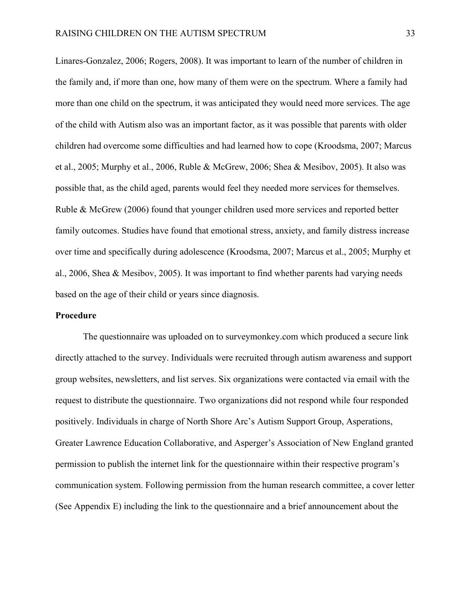Linares-Gonzalez, 2006; Rogers, 2008). It was important to learn of the number of children in the family and, if more than one, how many of them were on the spectrum. Where a family had more than one child on the spectrum, it was anticipated they would need more services. The age of the child with Autism also was an important factor, as it was possible that parents with older children had overcome some difficulties and had learned how to cope (Kroodsma, 2007; Marcus et al., 2005; Murphy et al., 2006, Ruble & McGrew, 2006; Shea & Mesibov, 2005). It also was possible that, as the child aged, parents would feel they needed more services for themselves. Ruble & McGrew (2006) found that younger children used more services and reported better family outcomes. Studies have found that emotional stress, anxiety, and family distress increase over time and specifically during adolescence (Kroodsma, 2007; Marcus et al., 2005; Murphy et al., 2006, Shea & Mesibov, 2005). It was important to find whether parents had varying needs based on the age of their child or years since diagnosis.

#### **Procedure**

The questionnaire was uploaded on to surveymonkey.com which produced a secure link directly attached to the survey. Individuals were recruited through autism awareness and support group websites, newsletters, and list serves. Six organizations were contacted via email with the request to distribute the questionnaire. Two organizations did not respond while four responded positively. Individuals in charge of North Shore Arc's Autism Support Group, Asperations, Greater Lawrence Education Collaborative, and Asperger's Association of New England granted permission to publish the internet link for the questionnaire within their respective program's communication system. Following permission from the human research committee, a cover letter (See Appendix E) including the link to the questionnaire and a brief announcement about the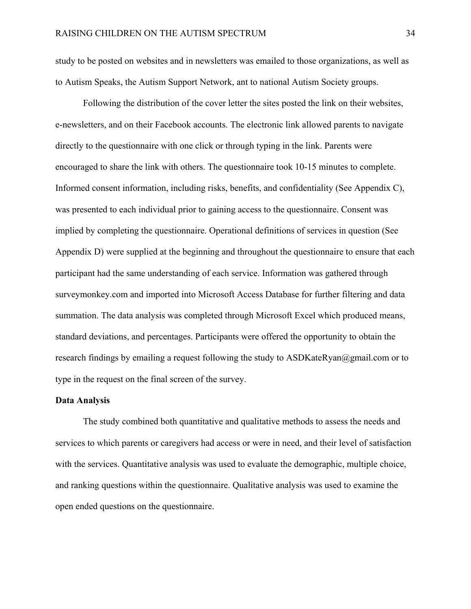study to be posted on websites and in newsletters was emailed to those organizations, as well as to Autism Speaks, the Autism Support Network, ant to national Autism Society groups.

Following the distribution of the cover letter the sites posted the link on their websites, e-newsletters, and on their Facebook accounts. The electronic link allowed parents to navigate directly to the questionnaire with one click or through typing in the link. Parents were encouraged to share the link with others. The questionnaire took 10-15 minutes to complete. Informed consent information, including risks, benefits, and confidentiality (See Appendix C), was presented to each individual prior to gaining access to the questionnaire. Consent was implied by completing the questionnaire. Operational definitions of services in question (See Appendix D) were supplied at the beginning and throughout the questionnaire to ensure that each participant had the same understanding of each service. Information was gathered through surveymonkey.com and imported into Microsoft Access Database for further filtering and data summation. The data analysis was completed through Microsoft Excel which produced means, standard deviations, and percentages. Participants were offered the opportunity to obtain the research findings by emailing a request following the study to ASDKateRyan@gmail.com or to type in the request on the final screen of the survey.

#### **Data Analysis**

The study combined both quantitative and qualitative methods to assess the needs and services to which parents or caregivers had access or were in need, and their level of satisfaction with the services. Quantitative analysis was used to evaluate the demographic, multiple choice, and ranking questions within the questionnaire. Qualitative analysis was used to examine the open ended questions on the questionnaire.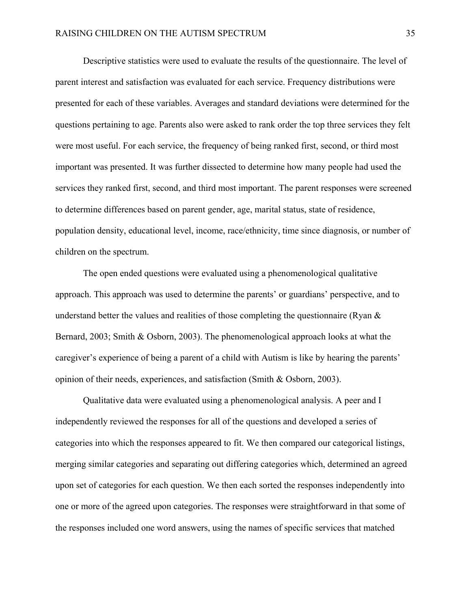Descriptive statistics were used to evaluate the results of the questionnaire. The level of parent interest and satisfaction was evaluated for each service. Frequency distributions were presented for each of these variables. Averages and standard deviations were determined for the questions pertaining to age. Parents also were asked to rank order the top three services they felt were most useful. For each service, the frequency of being ranked first, second, or third most important was presented. It was further dissected to determine how many people had used the services they ranked first, second, and third most important. The parent responses were screened to determine differences based on parent gender, age, marital status, state of residence, population density, educational level, income, race/ethnicity, time since diagnosis, or number of children on the spectrum.

The open ended questions were evaluated using a phenomenological qualitative approach. This approach was used to determine the parents' or guardians' perspective, and to understand better the values and realities of those completing the questionnaire (Ryan & Bernard, 2003; Smith & Osborn, 2003). The phenomenological approach looks at what the caregiver's experience of being a parent of a child with Autism is like by hearing the parents' opinion of their needs, experiences, and satisfaction (Smith & Osborn, 2003).

Qualitative data were evaluated using a phenomenological analysis. A peer and I independently reviewed the responses for all of the questions and developed a series of categories into which the responses appeared to fit. We then compared our categorical listings, merging similar categories and separating out differing categories which, determined an agreed upon set of categories for each question. We then each sorted the responses independently into one or more of the agreed upon categories. The responses were straightforward in that some of the responses included one word answers, using the names of specific services that matched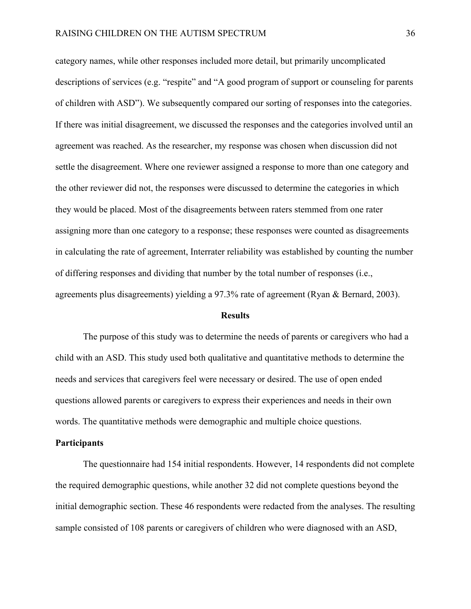category names, while other responses included more detail, but primarily uncomplicated descriptions of services (e.g. "respite" and "A good program of support or counseling for parents of children with ASD"). We subsequently compared our sorting of responses into the categories. If there was initial disagreement, we discussed the responses and the categories involved until an agreement was reached. As the researcher, my response was chosen when discussion did not settle the disagreement. Where one reviewer assigned a response to more than one category and the other reviewer did not, the responses were discussed to determine the categories in which they would be placed. Most of the disagreements between raters stemmed from one rater assigning more than one category to a response; these responses were counted as disagreements in calculating the rate of agreement, Interrater reliability was established by counting the number of differing responses and dividing that number by the total number of responses (i.e., agreements plus disagreements) yielding a 97.3% rate of agreement (Ryan & Bernard, 2003).

#### **Results**

The purpose of this study was to determine the needs of parents or caregivers who had a child with an ASD. This study used both qualitative and quantitative methods to determine the needs and services that caregivers feel were necessary or desired. The use of open ended questions allowed parents or caregivers to express their experiences and needs in their own words. The quantitative methods were demographic and multiple choice questions.

#### **Participants**

The questionnaire had 154 initial respondents. However, 14 respondents did not complete the required demographic questions, while another 32 did not complete questions beyond the initial demographic section. These 46 respondents were redacted from the analyses. The resulting sample consisted of 108 parents or caregivers of children who were diagnosed with an ASD,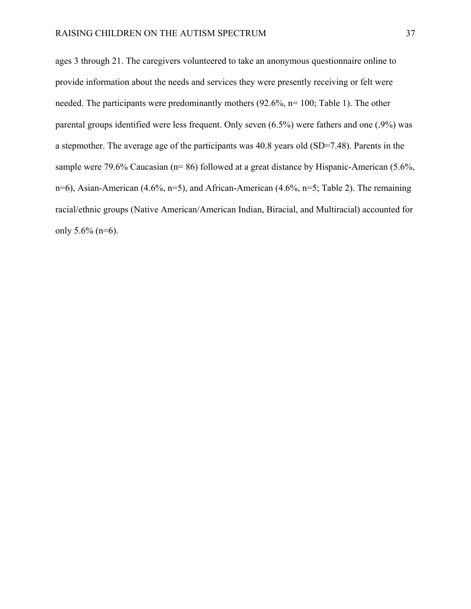ages 3 through 21. The caregivers volunteered to take an anonymous questionnaire online to provide information about the needs and services they were presently receiving or felt were needed. The participants were predominantly mothers (92.6%, n= 100; Table 1). The other parental groups identified were less frequent. Only seven (6.5%) were fathers and one (.9%) was a stepmother. The average age of the participants was 40.8 years old (SD=7.48). Parents in the sample were 79.6% Caucasian (n= 86) followed at a great distance by Hispanic-American (5.6%, n=6), Asian-American (4.6%, n=5), and African-American (4.6%, n=5; Table 2). The remaining racial/ethnic groups (Native American/American Indian, Biracial, and Multiracial) accounted for only  $5.6\%$  (n=6).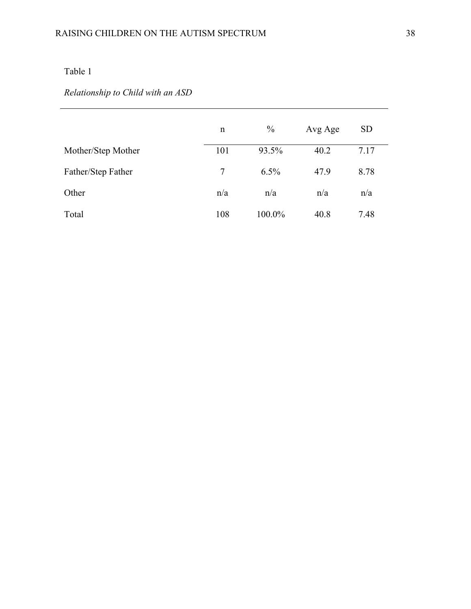# *Relationship to Child with an ASD*

|                    | n   | $\frac{0}{0}$ | Avg Age | <b>SD</b> |
|--------------------|-----|---------------|---------|-----------|
| Mother/Step Mother | 101 | 93.5%         | 40.2    | 7.17      |
| Father/Step Father | 7   | $6.5\%$       | 47.9    | 8.78      |
| Other              | n/a | n/a           | n/a     | n/a       |
| Total              | 108 | 100.0%        | 40.8    | 7.48      |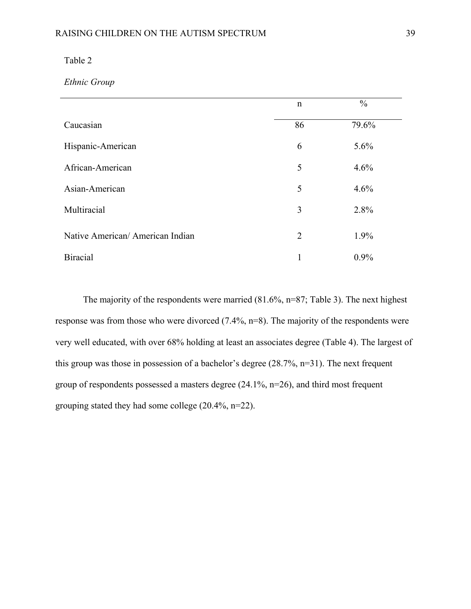*Ethnic Group* 

|                                 | $\mathbf n$    | $\frac{0}{0}$ |  |
|---------------------------------|----------------|---------------|--|
| Caucasian                       | 86             | 79.6%         |  |
| Hispanic-American               | 6              | 5.6%          |  |
| African-American                | 5              | 4.6%          |  |
| Asian-American                  | 5              | 4.6%          |  |
| Multiracial                     | 3              | 2.8%          |  |
| Native American/American Indian | $\overline{2}$ | 1.9%          |  |
| <b>Biracial</b>                 | 1              | $0.9\%$       |  |

 The majority of the respondents were married (81.6%, n=87; Table 3). The next highest response was from those who were divorced (7.4%, n=8). The majority of the respondents were very well educated, with over 68% holding at least an associates degree (Table 4). The largest of this group was those in possession of a bachelor's degree (28.7%, n=31). The next frequent group of respondents possessed a masters degree (24.1%, n=26), and third most frequent grouping stated they had some college (20.4%, n=22).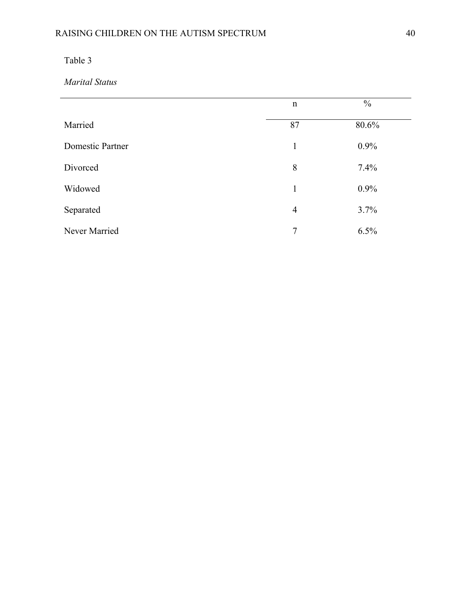*Marital Status* 

|                  | $\mathbf n$    | $\frac{0}{0}$ |
|------------------|----------------|---------------|
| Married          | 87             | 80.6%         |
| Domestic Partner | $\mathbf{1}$   | 0.9%          |
| Divorced         | 8              | 7.4%          |
| Widowed          | $\mathbf{1}$   | 0.9%          |
| Separated        | $\overline{4}$ | 3.7%          |
| Never Married    | $\overline{7}$ | 6.5%          |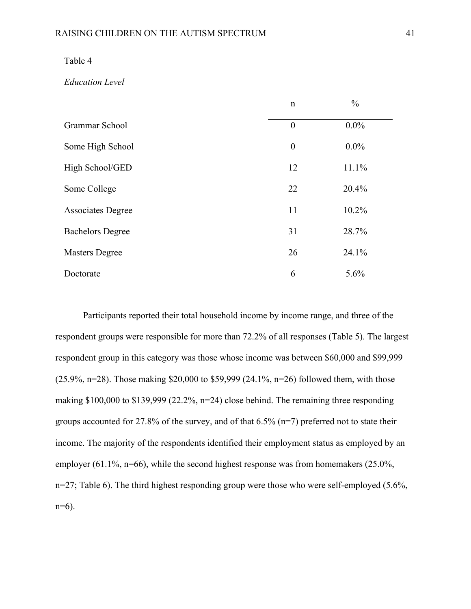#### *Education Level*

|                          | $\mathbf n$      | $\frac{0}{0}$ |
|--------------------------|------------------|---------------|
| Grammar School           | $\boldsymbol{0}$ | $0.0\%$       |
| Some High School         | $\boldsymbol{0}$ | $0.0\%$       |
| High School/GED          | 12               | 11.1%         |
| Some College             | 22               | 20.4%         |
| <b>Associates Degree</b> | 11               | 10.2%         |
| <b>Bachelors Degree</b>  | 31               | 28.7%         |
| <b>Masters Degree</b>    | 26               | 24.1%         |
| Doctorate                | 6                | 5.6%          |

Participants reported their total household income by income range, and three of the respondent groups were responsible for more than 72.2% of all responses (Table 5). The largest respondent group in this category was those whose income was between \$60,000 and \$99,999 (25.9%, n=28). Those making \$20,000 to \$59,999 (24.1%, n=26) followed them, with those making \$100,000 to \$139,999 (22.2%, n=24) close behind. The remaining three responding groups accounted for 27.8% of the survey, and of that 6.5% (n=7) preferred not to state their income. The majority of the respondents identified their employment status as employed by an employer (61.1%, n=66), while the second highest response was from homemakers (25.0%, n=27; Table 6). The third highest responding group were those who were self-employed (5.6%, n=6).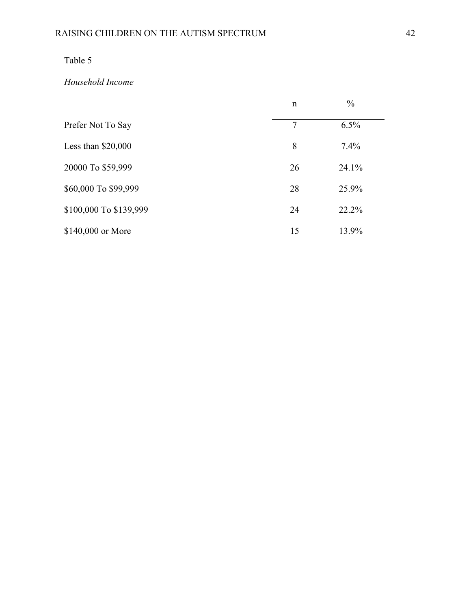### *Household Income*

|                        | $\mathbf n$ | $\frac{0}{0}$ |
|------------------------|-------------|---------------|
| Prefer Not To Say      | 7           | 6.5%          |
| Less than $$20,000$    | 8           | 7.4%          |
| 20000 To \$59,999      | 26          | 24.1%         |
| \$60,000 To \$99,999   | 28          | 25.9%         |
| \$100,000 To \$139,999 | 24          | 22.2%         |
| \$140,000 or More      | 15          | 13.9%         |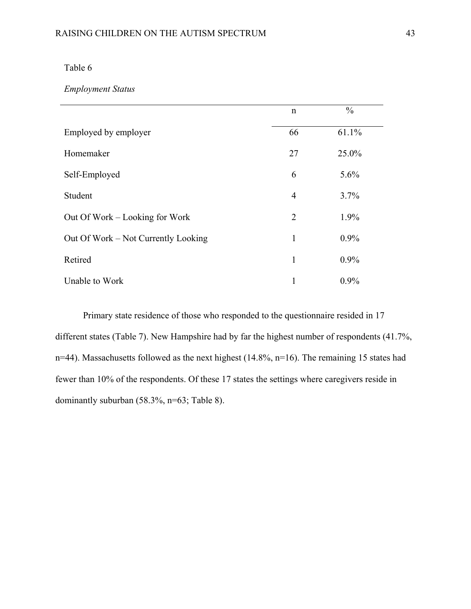### *Employment Status*

|                                     | $\mathbf n$    | $\frac{0}{0}$ |  |
|-------------------------------------|----------------|---------------|--|
| Employed by employer                | 66             | 61.1%         |  |
| Homemaker                           | 27             | 25.0%         |  |
| Self-Employed                       | 6              | $5.6\%$       |  |
| Student                             | 4              | 3.7%          |  |
| Out Of Work – Looking for Work      | $\overline{2}$ | 1.9%          |  |
| Out Of Work – Not Currently Looking | 1              | $0.9\%$       |  |
| Retired                             | 1              | $0.9\%$       |  |
| Unable to Work                      | 1              | $0.9\%$       |  |

Primary state residence of those who responded to the questionnaire resided in 17 different states (Table 7). New Hampshire had by far the highest number of respondents (41.7%, n=44). Massachusetts followed as the next highest (14.8%, n=16). The remaining 15 states had fewer than 10% of the respondents. Of these 17 states the settings where caregivers reside in dominantly suburban (58.3%, n=63; Table 8).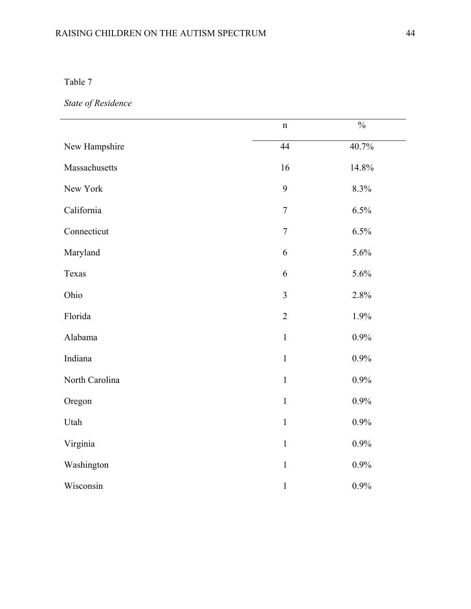# RAISING CHILDREN ON THE AUTISM SPECTRUM 44

Table 7

*State of Residence* 

|                | $\mathbf n$      | $\frac{0}{0}$ |
|----------------|------------------|---------------|
| New Hampshire  | 44               | 40.7%         |
| Massachusetts  | 16               | 14.8%         |
| New York       | 9                | 8.3%          |
| California     | $\overline{7}$   | 6.5%          |
| Connecticut    | $\boldsymbol{7}$ | 6.5%          |
| Maryland       | 6                | 5.6%          |
| Texas          | 6                | 5.6%          |
| Ohio           | $\overline{3}$   | 2.8%          |
| Florida        | $\overline{2}$   | 1.9%          |
| Alabama        | $\mathbf{1}$     | 0.9%          |
| Indiana        | $\mathbf{1}$     | 0.9%          |
| North Carolina | $\,1\,$          | 0.9%          |
| Oregon         | $\mathbf{1}$     | 0.9%          |
| Utah           | $\mathbf{1}$     | 0.9%          |
| Virginia       | $\mathbf{1}$     | 0.9%          |
| Washington     | $\mathbf{1}$     | 0.9%          |
| Wisconsin      | $\,1$            | 0.9%          |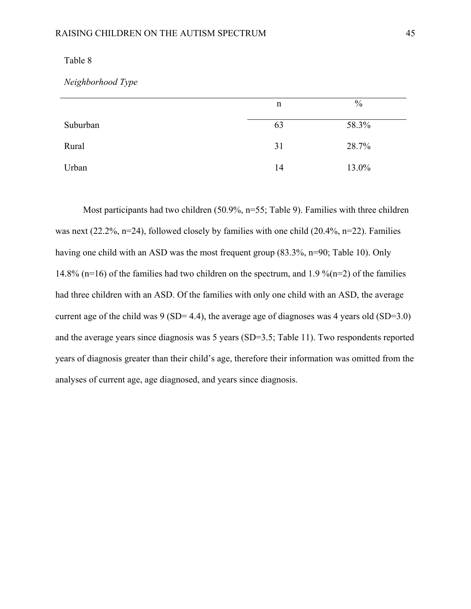*Neighborhood Type* 

|          | n  | $\%$  |
|----------|----|-------|
| Suburban | 63 | 58.3% |
| Rural    | 31 | 28.7% |
| Urban    | 14 | 13.0% |

Most participants had two children (50.9%, n=55; Table 9). Families with three children was next (22.2%, n=24), followed closely by families with one child (20.4%, n=22). Families having one child with an ASD was the most frequent group (83.3%, n=90; Table 10). Only 14.8% (n=16) of the families had two children on the spectrum, and 1.9 % (n=2) of the families had three children with an ASD. Of the families with only one child with an ASD, the average current age of the child was  $9 (SD = 4.4)$ , the average age of diagnoses was 4 years old  $(SD=3.0)$ and the average years since diagnosis was 5 years (SD=3.5; Table 11). Two respondents reported years of diagnosis greater than their child's age, therefore their information was omitted from the analyses of current age, age diagnosed, and years since diagnosis.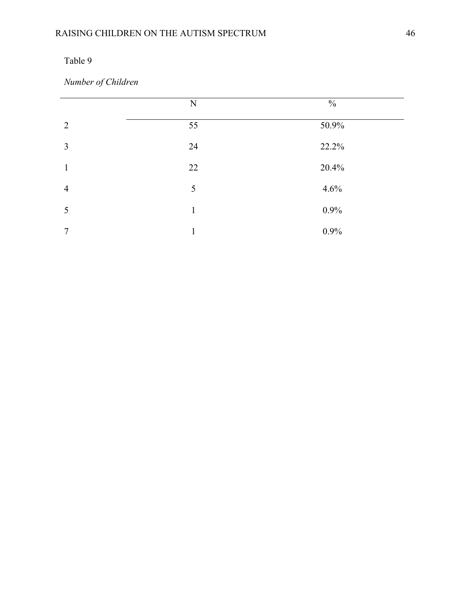*Number of Children* 

|                | N  | $\frac{0}{0}$ |
|----------------|----|---------------|
| $\overline{2}$ | 55 | 50.9%         |
| $\overline{3}$ | 24 | 22.2%         |
| 1              | 22 | 20.4%         |
| $\overline{4}$ | 5  | 4.6%          |
| 5              | 1  | 0.9%          |
| 7              | 1  | 0.9%          |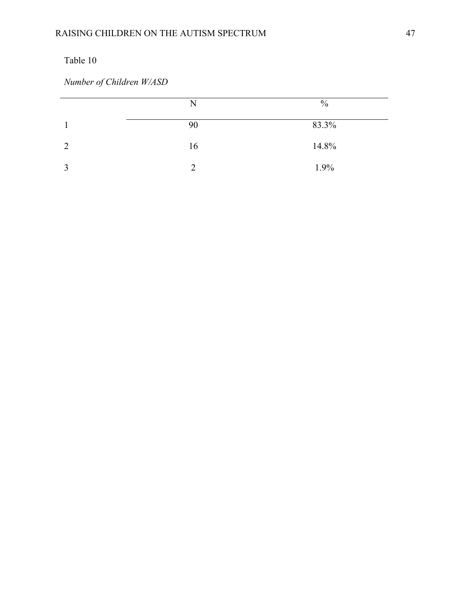*Number of Children W/ASD* 

|   | N             | $\frac{0}{0}$ |
|---|---------------|---------------|
|   | 90            | 83.3%         |
| 2 | 16            | 14.8%         |
| 3 | $\mathcal{D}$ | 1.9%          |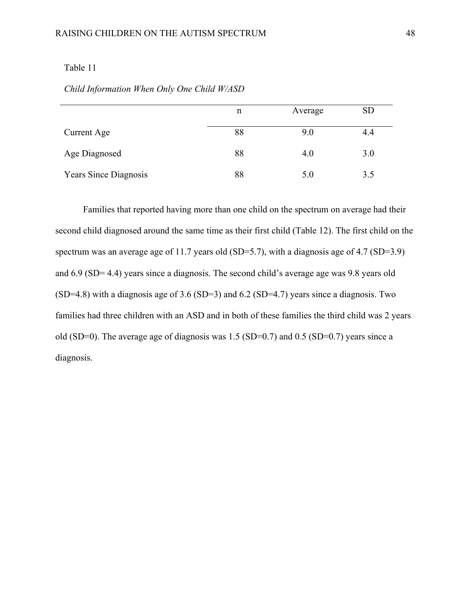| Child Information When Only One Child W/ASD |  |  |
|---------------------------------------------|--|--|
|                                             |  |  |

|                              | n  | Average | <b>SD</b> |
|------------------------------|----|---------|-----------|
| Current Age                  | 88 | 9.0     | 4.4       |
| Age Diagnosed                | 88 | 4.0     | 3.0       |
| <b>Years Since Diagnosis</b> | 88 | 5.0     | 3.5       |

Families that reported having more than one child on the spectrum on average had their second child diagnosed around the same time as their first child (Table 12). The first child on the spectrum was an average age of 11.7 years old (SD=5.7), with a diagnosis age of 4.7 (SD=3.9) and 6.9 (SD= 4.4) years since a diagnosis. The second child's average age was 9.8 years old (SD=4.8) with a diagnosis age of 3.6 (SD=3) and 6.2 (SD=4.7) years since a diagnosis. Two families had three children with an ASD and in both of these families the third child was 2 years old (SD=0). The average age of diagnosis was 1.5 (SD=0.7) and 0.5 (SD=0.7) years since a diagnosis.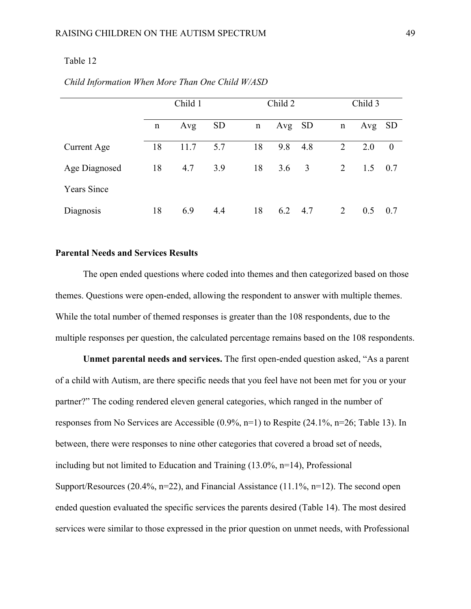|                    | Child 1 |      | Child 2   |    | Child 3 |      |   |     |           |
|--------------------|---------|------|-----------|----|---------|------|---|-----|-----------|
|                    | n       | Avg  | <b>SD</b> | n  | Avg     | - SD | n | Avg | <b>SD</b> |
| Current Age        | 18      | 11.7 | 5.7       | 18 | 9.8     | 4.8  | 2 | 2.0 | $\theta$  |
| Age Diagnosed      | 18      | 4.7  | 3.9       | 18 | 3.6     | 3    | 2 | 1.5 | 0.7       |
| <b>Years Since</b> |         |      |           |    |         |      |   |     |           |
| Diagnosis          | 18      | 6.9  | 4.4       | 18 | 6.2     | 4.7  | 2 | 0.5 | 0.7       |

#### *Child Information When More Than One Child W/ASD*

#### **Parental Needs and Services Results**

The open ended questions where coded into themes and then categorized based on those themes. Questions were open-ended, allowing the respondent to answer with multiple themes. While the total number of themed responses is greater than the 108 respondents, due to the multiple responses per question, the calculated percentage remains based on the 108 respondents.

 **Unmet parental needs and services.** The first open-ended question asked, "As a parent of a child with Autism, are there specific needs that you feel have not been met for you or your partner?" The coding rendered eleven general categories, which ranged in the number of responses from No Services are Accessible (0.9%, n=1) to Respite (24.1%, n=26; Table 13). In between, there were responses to nine other categories that covered a broad set of needs, including but not limited to Education and Training (13.0%, n=14), Professional Support/Resources (20.4%, n=22), and Financial Assistance (11.1%, n=12). The second open ended question evaluated the specific services the parents desired (Table 14). The most desired services were similar to those expressed in the prior question on unmet needs, with Professional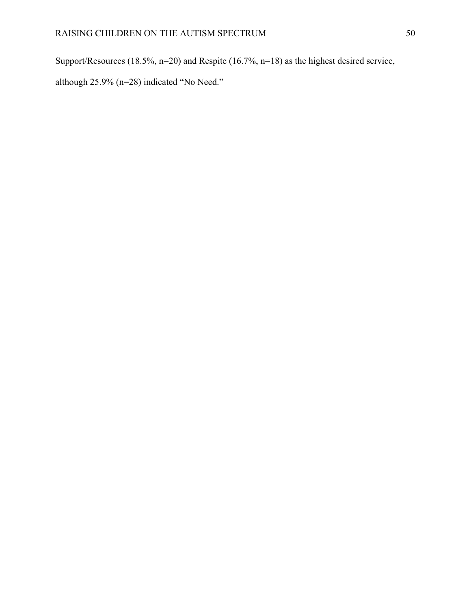Support/Resources (18.5%, n=20) and Respite (16.7%, n=18) as the highest desired service,

although 25.9% (n=28) indicated "No Need."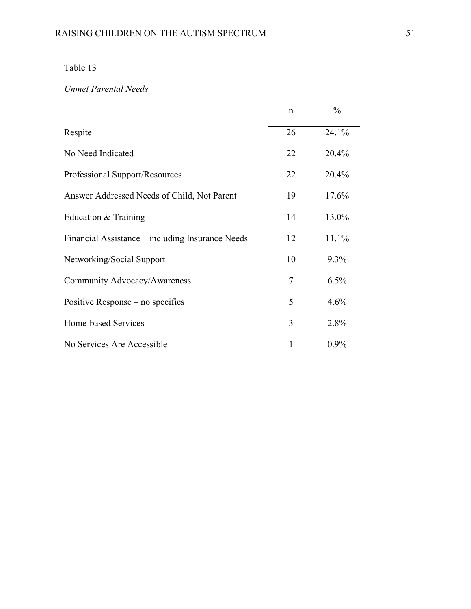### *Unmet Parental Needs*

|                                                  | $\mathbf n$ | $\frac{0}{0}$ |
|--------------------------------------------------|-------------|---------------|
| Respite                                          | 26          | 24.1%         |
| No Need Indicated                                | 22          | 20.4%         |
| Professional Support/Resources                   | 22          | 20.4%         |
| Answer Addressed Needs of Child, Not Parent      | 19          | 17.6%         |
| Education & Training                             | 14          | 13.0%         |
| Financial Assistance – including Insurance Needs | 12          | 11.1%         |
| Networking/Social Support                        | 10          | 9.3%          |
| Community Advocacy/Awareness                     | 7           | 6.5%          |
| Positive Response – no specifics                 | 5           | 4.6%          |
| Home-based Services                              | 3           | 2.8%          |
| No Services Are Accessible                       |             | $0.9\%$       |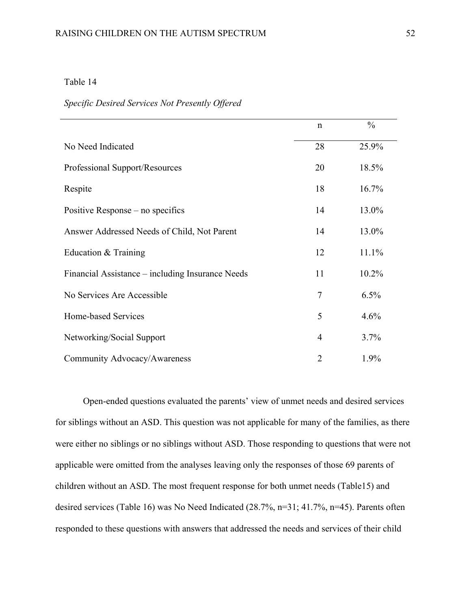#### *Specific Desired Services Not Presently Offered*

|                                                  | $\mathbf n$    | $\frac{0}{0}$ |
|--------------------------------------------------|----------------|---------------|
| No Need Indicated                                | 28             | 25.9%         |
| Professional Support/Resources                   | 20             | 18.5%         |
| Respite                                          | 18             | 16.7%         |
| Positive Response – no specifics                 | 14             | 13.0%         |
| Answer Addressed Needs of Child, Not Parent      | 14             | 13.0%         |
| Education & Training                             | 12             | 11.1%         |
| Financial Assistance – including Insurance Needs | 11             | 10.2%         |
| No Services Are Accessible                       | $\overline{7}$ | 6.5%          |
| Home-based Services                              | 5              | 4.6%          |
| Networking/Social Support                        | $\overline{4}$ | 3.7%          |
| Community Advocacy/Awareness                     | $\overline{2}$ | 1.9%          |

Open-ended questions evaluated the parents' view of unmet needs and desired services for siblings without an ASD. This question was not applicable for many of the families, as there were either no siblings or no siblings without ASD. Those responding to questions that were not applicable were omitted from the analyses leaving only the responses of those 69 parents of children without an ASD. The most frequent response for both unmet needs (Table15) and desired services (Table 16) was No Need Indicated (28.7%, n=31; 41.7%, n=45). Parents often responded to these questions with answers that addressed the needs and services of their child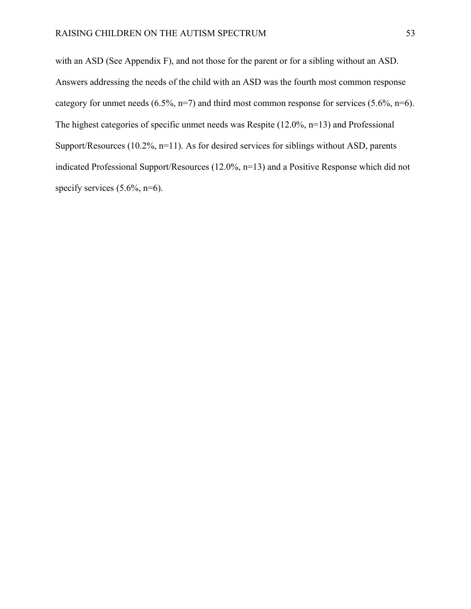with an ASD (See Appendix F), and not those for the parent or for a sibling without an ASD. Answers addressing the needs of the child with an ASD was the fourth most common response category for unmet needs  $(6.5\%, n=7)$  and third most common response for services  $(5.6\%, n=6)$ . The highest categories of specific unmet needs was Respite (12.0%, n=13) and Professional Support/Resources (10.2%, n=11). As for desired services for siblings without ASD, parents indicated Professional Support/Resources (12.0%, n=13) and a Positive Response which did not specify services  $(5.6\%, n=6)$ .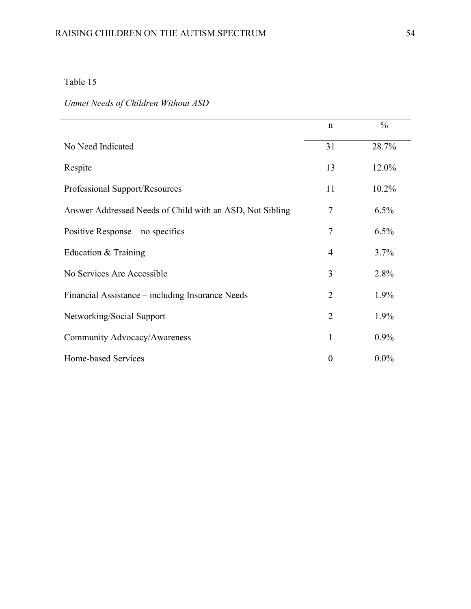# *Unmet Needs of Children Without ASD*

|                                                          | $\mathbf n$    | $\frac{0}{0}$ |
|----------------------------------------------------------|----------------|---------------|
| No Need Indicated                                        | 31             | 28.7%         |
| Respite                                                  | 13             | 12.0%         |
| Professional Support/Resources                           | 11             | 10.2%         |
| Answer Addressed Needs of Child with an ASD, Not Sibling | 7              | 6.5%          |
| Positive Response – no specifics                         | 7              | 6.5%          |
| Education $&$ Training                                   | 4              | 3.7%          |
| No Services Are Accessible                               | 3              | 2.8%          |
| Financial Assistance – including Insurance Needs         | $\overline{2}$ | 1.9%          |
| Networking/Social Support                                | 2              | 1.9%          |
| Community Advocacy/Awareness                             | 1              | $0.9\%$       |
| Home-based Services                                      | $\overline{0}$ | $0.0\%$       |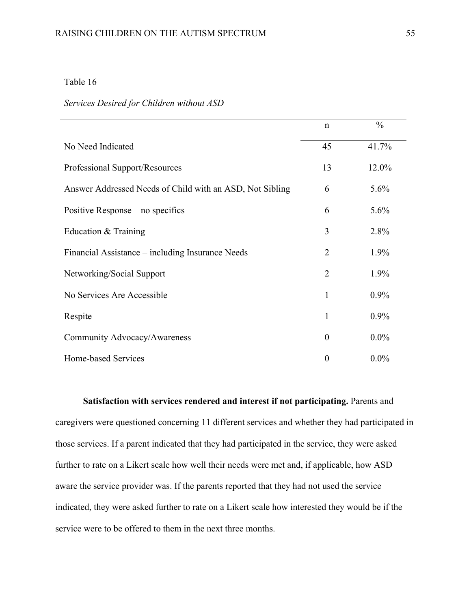#### *Services Desired for Children without ASD*

|                                                          | $\mathbf n$    | $\frac{0}{0}$ |
|----------------------------------------------------------|----------------|---------------|
| No Need Indicated                                        | 45             | 41.7%         |
| Professional Support/Resources                           | 13             | 12.0%         |
| Answer Addressed Needs of Child with an ASD, Not Sibling | 6              | 5.6%          |
| Positive Response – no specifics                         | 6              | 5.6%          |
| Education & Training                                     | 3              | 2.8%          |
| Financial Assistance – including Insurance Needs         | 2              | 1.9%          |
| Networking/Social Support                                | $\overline{2}$ | 1.9%          |
| No Services Are Accessible                               | 1              | 0.9%          |
| Respite                                                  | 1              | 0.9%          |
| Community Advocacy/Awareness                             | $\theta$       | $0.0\%$       |
| Home-based Services                                      | $\theta$       | $0.0\%$       |

**Satisfaction with services rendered and interest if not participating.** Parents and caregivers were questioned concerning 11 different services and whether they had participated in those services. If a parent indicated that they had participated in the service, they were asked further to rate on a Likert scale how well their needs were met and, if applicable, how ASD aware the service provider was. If the parents reported that they had not used the service indicated, they were asked further to rate on a Likert scale how interested they would be if the service were to be offered to them in the next three months.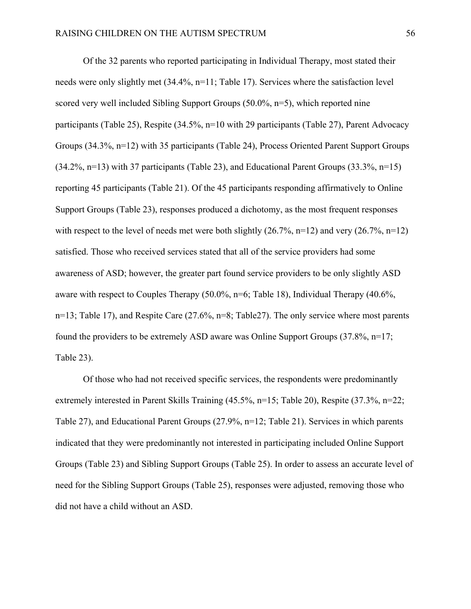Of the 32 parents who reported participating in Individual Therapy, most stated their needs were only slightly met (34.4%, n=11; Table 17). Services where the satisfaction level scored very well included Sibling Support Groups (50.0%, n=5), which reported nine participants (Table 25), Respite (34.5%, n=10 with 29 participants (Table 27), Parent Advocacy Groups (34.3%, n=12) with 35 participants (Table 24), Process Oriented Parent Support Groups (34.2%, n=13) with 37 participants (Table 23), and Educational Parent Groups (33.3%, n=15) reporting 45 participants (Table 21). Of the 45 participants responding affirmatively to Online Support Groups (Table 23), responses produced a dichotomy, as the most frequent responses with respect to the level of needs met were both slightly  $(26.7\%, n=12)$  and very  $(26.7\%, n=12)$ satisfied. Those who received services stated that all of the service providers had some awareness of ASD; however, the greater part found service providers to be only slightly ASD aware with respect to Couples Therapy (50.0%, n=6; Table 18), Individual Therapy (40.6%, n=13; Table 17), and Respite Care (27.6%, n=8; Table27). The only service where most parents found the providers to be extremely ASD aware was Online Support Groups (37.8%, n=17; Table 23).

Of those who had not received specific services, the respondents were predominantly extremely interested in Parent Skills Training (45.5%, n=15; Table 20), Respite (37.3%, n=22; Table 27), and Educational Parent Groups (27.9%, n=12; Table 21). Services in which parents indicated that they were predominantly not interested in participating included Online Support Groups (Table 23) and Sibling Support Groups (Table 25). In order to assess an accurate level of need for the Sibling Support Groups (Table 25), responses were adjusted, removing those who did not have a child without an ASD.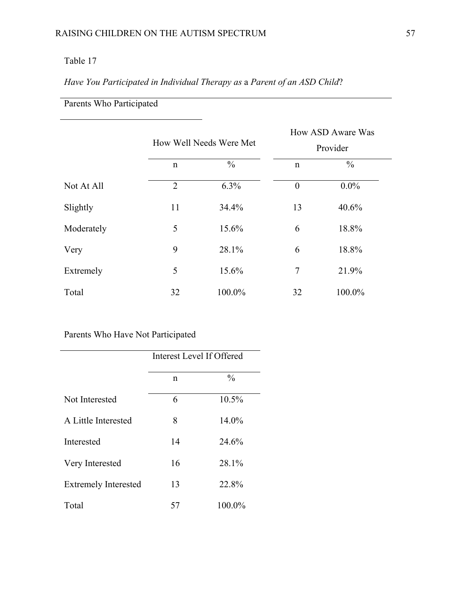# *Have You Participated in Individual Therapy as* a *Parent of an ASD Child*?

# Parents Who Participated

|            | How Well Needs Were Met |               |                | How ASD Aware Was<br>Provider |  |
|------------|-------------------------|---------------|----------------|-------------------------------|--|
|            | $\mathbf n$             | $\frac{0}{0}$ | $\mathbf n$    | $\frac{0}{0}$                 |  |
| Not At All | $\overline{2}$          | 6.3%          | $\overline{0}$ | $0.0\%$                       |  |
| Slightly   | 11                      | 34.4%         | 13             | 40.6%                         |  |
| Moderately | 5                       | 15.6%         | 6              | 18.8%                         |  |
| Very       | 9                       | 28.1%         | 6              | 18.8%                         |  |
| Extremely  | 5                       | 15.6%         | $\overline{7}$ | 21.9%                         |  |
| Total      | 32                      | 100.0%        | 32             | 100.0%                        |  |

|                             | Interest Level If Offered |               |  |
|-----------------------------|---------------------------|---------------|--|
|                             | n                         | $\frac{0}{0}$ |  |
| Not Interested              | 6                         | 10.5%         |  |
| A Little Interested         | 8                         | 14.0%         |  |
| Interested                  | 14                        | 24.6%         |  |
| Very Interested             | 16                        | 28.1%         |  |
| <b>Extremely Interested</b> | 13                        | 22.8%         |  |
| Total                       | 57                        | 100.0%        |  |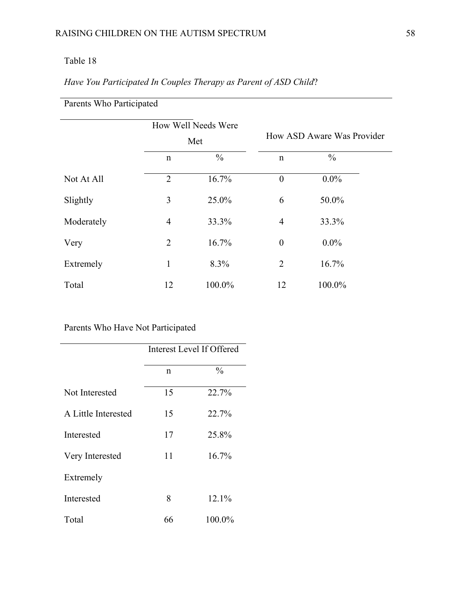Parents Who Participated

|            |                | How Well Needs Were<br>Met |                  | How ASD Aware Was Provider |  |
|------------|----------------|----------------------------|------------------|----------------------------|--|
|            | $\mathbf n$    | $\frac{0}{0}$              | $\mathbf n$      | $\frac{0}{0}$              |  |
| Not At All | $\overline{2}$ | 16.7%                      | $\boldsymbol{0}$ | $0.0\%$                    |  |
| Slightly   | 3              | 25.0%                      | 6                | 50.0%                      |  |
| Moderately | $\overline{4}$ | 33.3%                      | $\overline{4}$   | 33.3%                      |  |
| Very       | $\overline{2}$ | 16.7%                      | $\boldsymbol{0}$ | $0.0\%$                    |  |
| Extremely  | 1              | 8.3%                       | $\overline{2}$   | 16.7%                      |  |
| Total      | 12             | 100.0%                     | 12               | 100.0%                     |  |

# *Have You Participated In Couples Therapy as Parent of ASD Child*?

|                     | Interest Level If Offered |               |  |
|---------------------|---------------------------|---------------|--|
|                     | n                         | $\frac{0}{0}$ |  |
| Not Interested      | 15                        | 22.7%         |  |
| A Little Interested | 15                        | 22.7%         |  |
| Interested          | 17                        | 25.8%         |  |
| Very Interested     | 11                        | 16.7%         |  |
| Extremely           |                           |               |  |
| Interested          | 8                         | 12.1%         |  |
| Total               | 66                        | 100.0%        |  |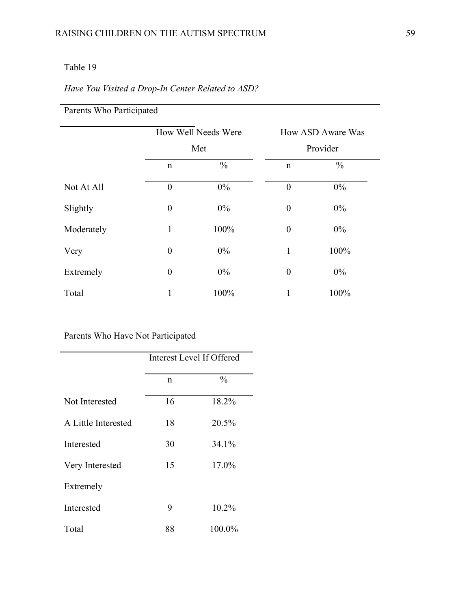### *Have You Visited a Drop-In Center Related to ASD?*

| Parents Who Participated |                  |                     |                  |                   |
|--------------------------|------------------|---------------------|------------------|-------------------|
|                          |                  | How Well Needs Were |                  | How ASD Aware Was |
|                          | Met              |                     | Provider         |                   |
|                          | $\mathbf n$      | $\frac{0}{0}$       | $\mathbf n$      | $\frac{0}{0}$     |
| Not At All               | $\overline{0}$   | $0\%$               | $\boldsymbol{0}$ | $0\%$             |
| Slightly                 | $\boldsymbol{0}$ | $0\%$               | $\boldsymbol{0}$ | $0\%$             |
| Moderately               | $\mathbf{1}$     | 100%                | $\theta$         | $0\%$             |
| Very                     | $\boldsymbol{0}$ | $0\%$               | $\mathbf{1}$     | 100%              |
| Extremely                | $\boldsymbol{0}$ | $0\%$               | $\boldsymbol{0}$ | $0\%$             |
| Total                    | 1                | 100%                | 1                | 100%              |

|                     | <b>Interest Level If Offered</b> |               |  |
|---------------------|----------------------------------|---------------|--|
|                     | n                                | $\frac{0}{0}$ |  |
| Not Interested      | 16                               | 18.2%         |  |
| A Little Interested | 18                               | 20.5%         |  |
| Interested          | 30                               | 34.1%         |  |
| Very Interested     | 15                               | 17.0%         |  |
| Extremely           |                                  |               |  |
| Interested          | 9                                | 10.2%         |  |
| Total               | 88                               | 100.0%        |  |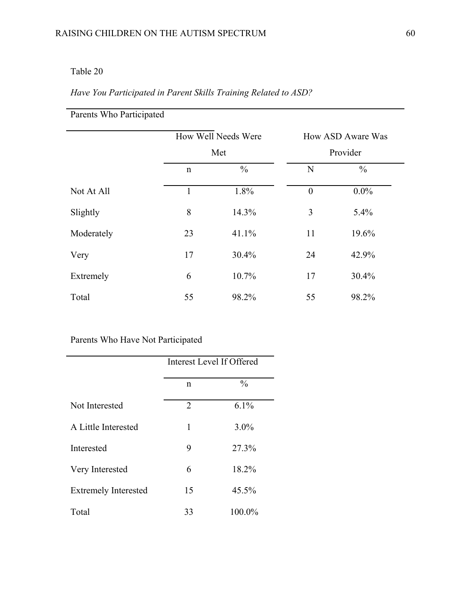## *Have You Participated in Parent Skills Training Related to ASD?*

| Parents Who Participated |             |                     |                  |                   |
|--------------------------|-------------|---------------------|------------------|-------------------|
|                          |             | How Well Needs Were |                  | How ASD Aware Was |
|                          |             | Met                 |                  | Provider          |
|                          | $\mathbf n$ | $\frac{0}{0}$       | N                | $\frac{0}{0}$     |
| Not At All               | 1           | 1.8%                | $\boldsymbol{0}$ | $0.0\%$           |
| Slightly                 | 8           | 14.3%               | 3                | 5.4%              |
| Moderately               | 23          | 41.1%               | 11               | 19.6%             |
| Very                     | 17          | 30.4%               | 24               | 42.9%             |
| Extremely                | 6           | 10.7%               | 17               | $30.4\%$          |
| Total                    | 55          | 98.2%               | 55               | 98.2%             |

|                             | Interest Level If Offered |               |  |
|-----------------------------|---------------------------|---------------|--|
|                             | n                         | $\frac{0}{0}$ |  |
| Not Interested              | $\overline{2}$            | 6.1%          |  |
| A Little Interested         | 1                         | $3.0\%$       |  |
| Interested                  | 9                         | 27.3%         |  |
| Very Interested             | 6                         | 18.2%         |  |
| <b>Extremely Interested</b> | 15                        | 45.5%         |  |
| Total                       | 33                        | 100.0%        |  |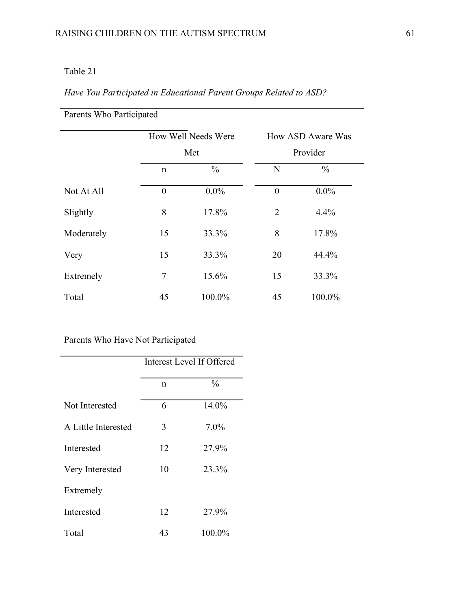## *Have You Participated in Educational Parent Groups Related to ASD?*

| Parents Who Participated |          |                            |                |                               |  |  |
|--------------------------|----------|----------------------------|----------------|-------------------------------|--|--|
|                          |          | How Well Needs Were<br>Met |                | How ASD Aware Was<br>Provider |  |  |
|                          |          |                            |                |                               |  |  |
|                          | n        | $\frac{0}{0}$              | N              | $\frac{0}{0}$                 |  |  |
| Not At All               | $\theta$ | $0.0\%$                    | $\theta$       | $0.0\%$                       |  |  |
| Slightly                 | 8        | 17.8%                      | $\overline{2}$ | 4.4%                          |  |  |
| Moderately               | 15       | 33.3%                      | 8              | 17.8%                         |  |  |
| Very                     | 15       | 33.3%                      | 20             | 44.4%                         |  |  |
| Extremely                | 7        | 15.6%                      | 15             | 33.3%                         |  |  |
| Total                    | 45       | 100.0%                     | 45             | 100.0%                        |  |  |

|                     | Interest Level If Offered |               |  |
|---------------------|---------------------------|---------------|--|
|                     | n                         | $\frac{0}{0}$ |  |
| Not Interested      | 6                         | 14.0%         |  |
| A Little Interested | 3                         | 7.0%          |  |
| Interested          | 12                        | 27.9%         |  |
| Very Interested     | 10                        | 23.3%         |  |
| Extremely           |                           |               |  |
| Interested          | 12                        | 27.9%         |  |
| Total               | 43                        | 100.0%        |  |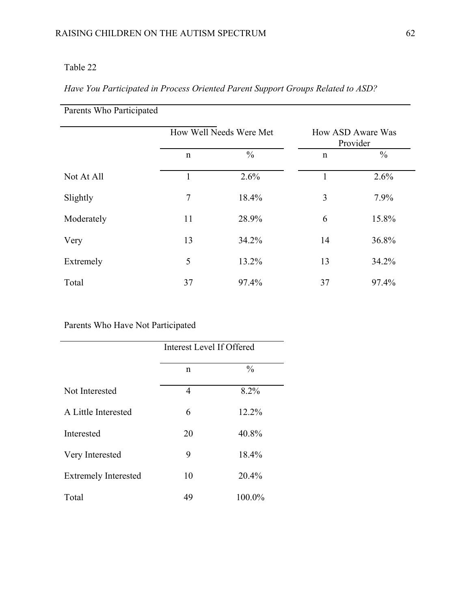## *Have You Participated in Process Oriented Parent Support Groups Related to ASD?*

| Parents Who Participated |                         |               |              |                               |
|--------------------------|-------------------------|---------------|--------------|-------------------------------|
|                          | How Well Needs Were Met |               |              | How ASD Aware Was<br>Provider |
|                          | $\mathsf{n}$            | $\frac{0}{0}$ | $\mathsf{n}$ | $\frac{0}{0}$                 |
| Not At All               | 1                       | 2.6%          | $\mathbf{1}$ | 2.6%                          |
| Slightly                 | 7                       | 18.4%         | 3            | 7.9%                          |
| Moderately               | 11                      | 28.9%         | 6            | 15.8%                         |
| Very                     | 13                      | 34.2%         | 14           | 36.8%                         |
| Extremely                | 5                       | 13.2%         | 13           | 34.2%                         |
| Total                    | 37                      | 97.4%         | 37           | 97.4%                         |

÷.

|                             | Interest Level If Offered |               |  |
|-----------------------------|---------------------------|---------------|--|
|                             | n                         | $\frac{0}{0}$ |  |
| Not Interested              | 4                         | 8.2%          |  |
| A Little Interested         | 6                         | 12.2%         |  |
| Interested                  | 20                        | 40.8%         |  |
| Very Interested             | 9                         | 18.4%         |  |
| <b>Extremely Interested</b> | 10                        | 20.4%         |  |
| Total                       | 49                        | 100.0%        |  |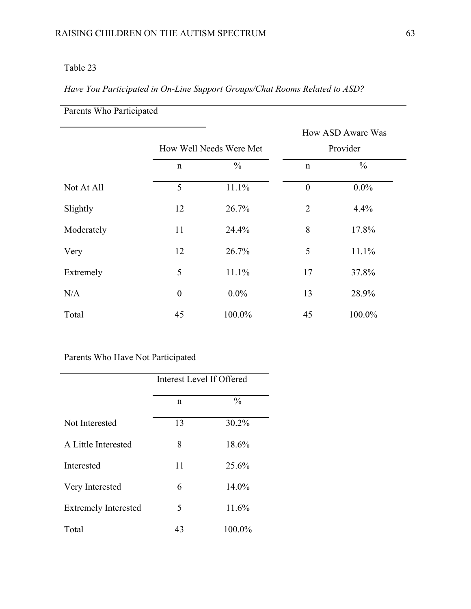# *Have You Participated in On-Line Support Groups/Chat Rooms Related to ASD?*

| Parents Who Participated |                  |                         |                  |                   |  |
|--------------------------|------------------|-------------------------|------------------|-------------------|--|
|                          |                  |                         |                  | How ASD Aware Was |  |
|                          |                  | How Well Needs Were Met |                  | Provider          |  |
|                          | $\mathbf n$      | $\frac{0}{0}$           | $\mathbf n$      | $\frac{0}{0}$     |  |
| Not At All               | 5                | 11.1%                   | $\boldsymbol{0}$ | $0.0\%$           |  |
| Slightly                 | 12               | 26.7%                   | $\overline{2}$   | 4.4%              |  |
| Moderately               | 11               | 24.4%                   | 8                | 17.8%             |  |
| Very                     | 12               | 26.7%                   | 5                | 11.1%             |  |
| Extremely                | 5                | 11.1%                   | 17               | 37.8%             |  |
| N/A                      | $\boldsymbol{0}$ | $0.0\%$                 | 13               | 28.9%             |  |
| Total                    | 45               | 100.0%                  | 45               | 100.0%            |  |

|                             | Interest Level If Offered |               |  |
|-----------------------------|---------------------------|---------------|--|
|                             | n                         | $\frac{0}{0}$ |  |
| Not Interested              | 13                        | 30.2%         |  |
| A Little Interested         | 8                         | 18.6%         |  |
| Interested                  | 11                        | 25.6%         |  |
| Very Interested             | 6                         | 14.0%         |  |
| <b>Extremely Interested</b> | 5                         | 11.6%         |  |
| Total                       | 43                        | 100.0%        |  |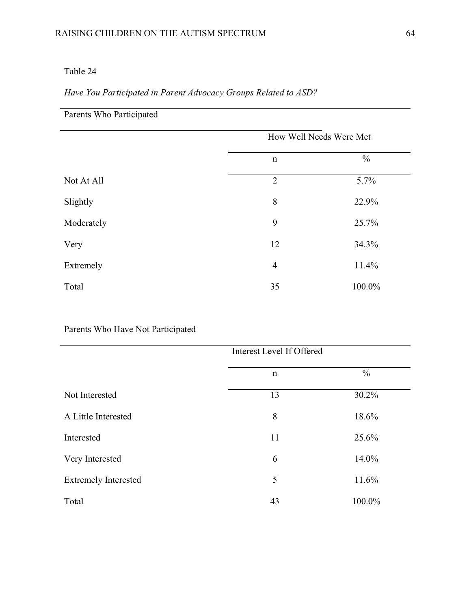## *Have You Participated in Parent Advocacy Groups Related to ASD?*

| Parents Who Participated |                |                         |
|--------------------------|----------------|-------------------------|
|                          |                | How Well Needs Were Met |
|                          | $\mathbf n$    | $\frac{0}{0}$           |
| Not At All               | $\overline{2}$ | 5.7%                    |
| Slightly                 | 8              | 22.9%                   |
| Moderately               | 9              | 25.7%                   |
| Very                     | 12             | 34.3%                   |
| Extremely                | $\overline{4}$ | 11.4%                   |
| Total                    | 35             | 100.0%                  |

|                             | Interest Level If Offered |               |  |
|-----------------------------|---------------------------|---------------|--|
|                             | $\mathbf n$               | $\frac{0}{0}$ |  |
| Not Interested              | 13                        | 30.2%         |  |
| A Little Interested         | 8                         | 18.6%         |  |
| Interested                  | 11                        | 25.6%         |  |
| Very Interested             | 6                         | 14.0%         |  |
| <b>Extremely Interested</b> | 5                         | 11.6%         |  |
| Total                       | 43                        | 100.0%        |  |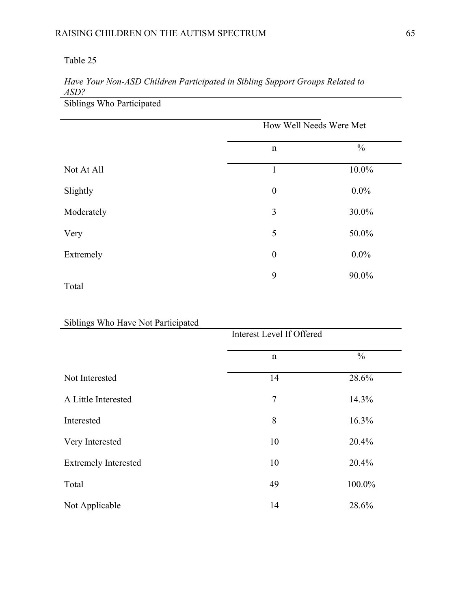# *Have Your Non-ASD Children Participated in Sibling Support Groups Related to ASD?*

Siblings Who Participated

|            | How Well Needs Were Met |               |
|------------|-------------------------|---------------|
|            | $\mathbf n$             | $\frac{0}{0}$ |
| Not At All | $\mathbf{1}$            | $10.0\%$      |
| Slightly   | $\boldsymbol{0}$        | $0.0\%$       |
| Moderately | 3                       | 30.0%         |
| Very       | 5                       | 50.0%         |
| Extremely  | $\boldsymbol{0}$        | $0.0\%$       |
|            | 9                       | 90.0%         |
| Total      |                         |               |

## Siblings Who Have Not Participated

| 5.01114.0114011011011410101001 |             | Interest Level If Offered |  |  |
|--------------------------------|-------------|---------------------------|--|--|
|                                | $\mathbf n$ | $\%$                      |  |  |
| Not Interested                 | 14          | 28.6%                     |  |  |
| A Little Interested            | 7           | 14.3%                     |  |  |
| Interested                     | 8           | 16.3%                     |  |  |
| Very Interested                | 10          | 20.4%                     |  |  |
| <b>Extremely Interested</b>    | 10          | 20.4%                     |  |  |
| Total                          | 49          | 100.0%                    |  |  |
| Not Applicable                 | 14          | 28.6%                     |  |  |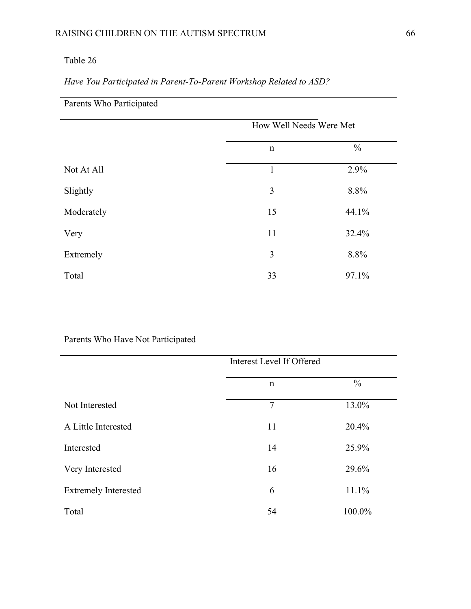### RAISING CHILDREN ON THE AUTISM SPECTRUM 66

### Table 26

*Have You Participated in Parent-To-Parent Workshop Related to ASD?* 

| Parents Who Participated |                         |               |  |
|--------------------------|-------------------------|---------------|--|
|                          | How Well Needs Were Met |               |  |
|                          | $\mathbf n$             | $\frac{0}{0}$ |  |
| Not At All               | $\mathbf{1}$            | 2.9%          |  |
| Slightly                 | 3                       | 8.8%          |  |
| Moderately               | 15                      | 44.1%         |  |
| Very                     | 11                      | 32.4%         |  |
| Extremely                | 3                       | 8.8%          |  |
| Total                    | 33                      | 97.1%         |  |

|                             | Interest Level If Offered |               |  |
|-----------------------------|---------------------------|---------------|--|
|                             | n                         | $\frac{0}{0}$ |  |
| Not Interested              | $\tau$                    | 13.0%         |  |
| A Little Interested         | 11                        | 20.4%         |  |
| Interested                  | 14                        | 25.9%         |  |
| Very Interested             | 16                        | 29.6%         |  |
| <b>Extremely Interested</b> | 6                         | 11.1%         |  |
| Total                       | 54                        | 100.0%        |  |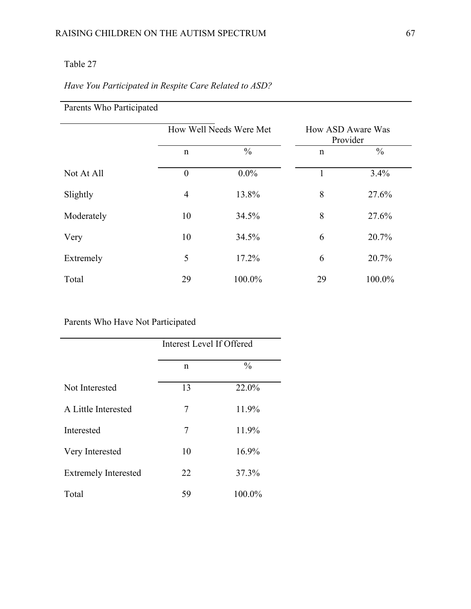## *Have You Participated in Respite Care Related to ASD?*

|            |                  | How Well Needs Were Met |              | How ASD Aware Was<br>Provider |
|------------|------------------|-------------------------|--------------|-------------------------------|
|            | $\mathbf n$      | $\frac{0}{0}$           | $\mathsf{n}$ | $\frac{0}{0}$                 |
| Not At All | $\boldsymbol{0}$ | $0.0\%$                 | 1            | 3.4%                          |
| Slightly   | $\overline{4}$   | 13.8%                   | 8            | 27.6%                         |
| Moderately | 10               | 34.5%                   | 8            | 27.6%                         |
| Very       | 10               | 34.5%                   | 6            | 20.7%                         |
| Extremely  | 5                | 17.2%                   | 6            | 20.7%                         |
| Total      | 29               | 100.0%                  | 29           | 100.0%                        |

Parents Who Participated

|                             | Interest Level If Offered |               |  |
|-----------------------------|---------------------------|---------------|--|
|                             | n                         | $\frac{0}{0}$ |  |
| Not Interested              | 13                        | 22.0%         |  |
| A Little Interested         | 7                         | 11.9%         |  |
| Interested                  | 7                         | 11.9%         |  |
| Very Interested             | 10                        | 16.9%         |  |
| <b>Extremely Interested</b> | 22                        | 37.3%         |  |
| Total                       | 59                        | 100.0%        |  |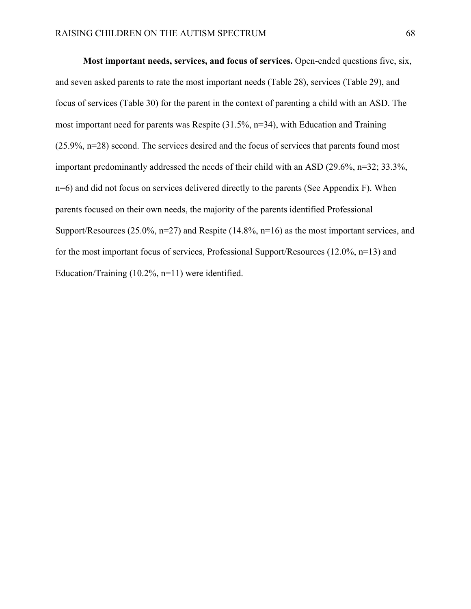**Most important needs, services, and focus of services.** Open-ended questions five, six, and seven asked parents to rate the most important needs (Table 28), services (Table 29), and focus of services (Table 30) for the parent in the context of parenting a child with an ASD. The most important need for parents was Respite (31.5%, n=34), with Education and Training (25.9%, n=28) second. The services desired and the focus of services that parents found most important predominantly addressed the needs of their child with an ASD (29.6%, n=32; 33.3%, n=6) and did not focus on services delivered directly to the parents (See Appendix F). When parents focused on their own needs, the majority of the parents identified Professional Support/Resources (25.0%, n=27) and Respite (14.8%, n=16) as the most important services, and for the most important focus of services, Professional Support/Resources (12.0%, n=13) and Education/Training (10.2%, n=11) were identified.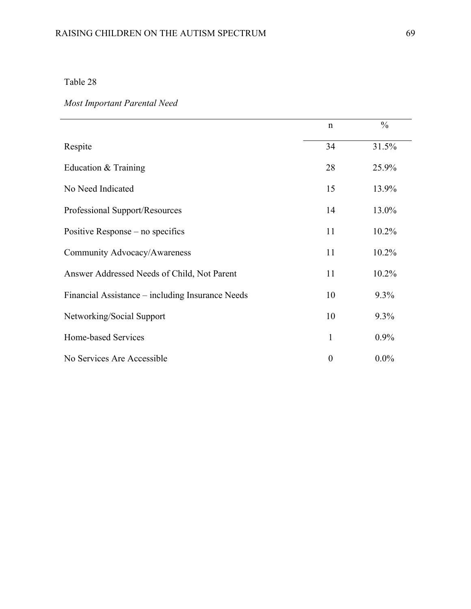# *Most Important Parental Need*

|                                                  | $\mathbf n$    | $\frac{0}{0}$ |
|--------------------------------------------------|----------------|---------------|
| Respite                                          | 34             | 31.5%         |
| Education & Training                             | 28             | 25.9%         |
| No Need Indicated                                | 15             | 13.9%         |
| Professional Support/Resources                   | 14             | 13.0%         |
| Positive Response – no specifics                 | 11             | 10.2%         |
| Community Advocacy/Awareness                     | 11             | 10.2%         |
| Answer Addressed Needs of Child, Not Parent      | 11             | 10.2%         |
| Financial Assistance – including Insurance Needs | 10             | 9.3%          |
| Networking/Social Support                        | 10             | 9.3%          |
| Home-based Services                              | 1              | 0.9%          |
| No Services Are Accessible                       | $\overline{0}$ | $0.0\%$       |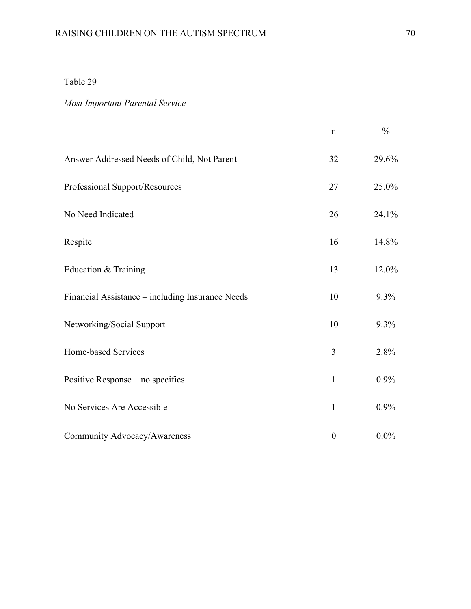# *Most Important Parental Service*

|                                                  | $\mathbf n$      | $\frac{0}{0}$ |
|--------------------------------------------------|------------------|---------------|
| Answer Addressed Needs of Child, Not Parent      | 32               | 29.6%         |
| Professional Support/Resources                   | 27               | 25.0%         |
| No Need Indicated                                | 26               | 24.1%         |
| Respite                                          | 16               | 14.8%         |
| Education & Training                             | 13               | 12.0%         |
| Financial Assistance - including Insurance Needs | 10               | 9.3%          |
| Networking/Social Support                        | 10               | 9.3%          |
| Home-based Services                              | 3                | 2.8%          |
| Positive Response – no specifics                 | $\mathbf{1}$     | 0.9%          |
| No Services Are Accessible                       | $\mathbf{1}$     | 0.9%          |
| Community Advocacy/Awareness                     | $\boldsymbol{0}$ | $0.0\%$       |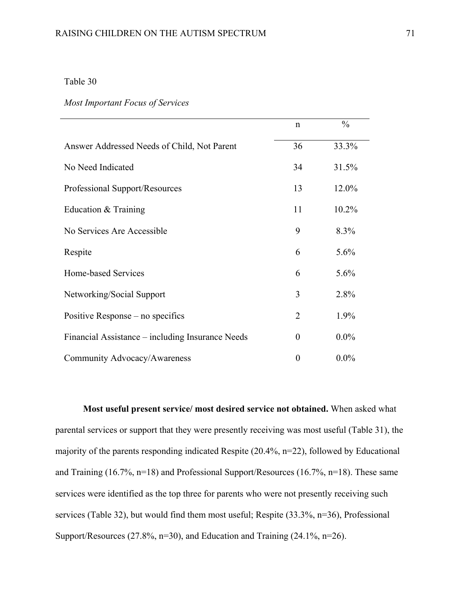#### *Most Important Focus of Services*

|                                                  | $\mathbf n$      | $\frac{0}{0}$ |
|--------------------------------------------------|------------------|---------------|
| Answer Addressed Needs of Child, Not Parent      | 36               | 33.3%         |
| No Need Indicated                                | 34               | 31.5%         |
| Professional Support/Resources                   | 13               | 12.0%         |
| Education & Training                             | 11               | 10.2%         |
| No Services Are Accessible                       | 9                | 8.3%          |
| Respite                                          | 6                | 5.6%          |
| Home-based Services                              | 6                | 5.6%          |
| Networking/Social Support                        | 3                | 2.8%          |
| Positive Response – no specifics                 | $\overline{2}$   | 1.9%          |
| Financial Assistance – including Insurance Needs | $\boldsymbol{0}$ | $0.0\%$       |
| Community Advocacy/Awareness                     | $\overline{0}$   | $0.0\%$       |

**Most useful present service/ most desired service not obtained.** When asked what parental services or support that they were presently receiving was most useful (Table 31), the majority of the parents responding indicated Respite (20.4%, n=22), followed by Educational and Training (16.7%, n=18) and Professional Support/Resources (16.7%, n=18). These same services were identified as the top three for parents who were not presently receiving such services (Table 32), but would find them most useful; Respite (33.3%, n=36), Professional Support/Resources (27.8%, n=30), and Education and Training (24.1%, n=26).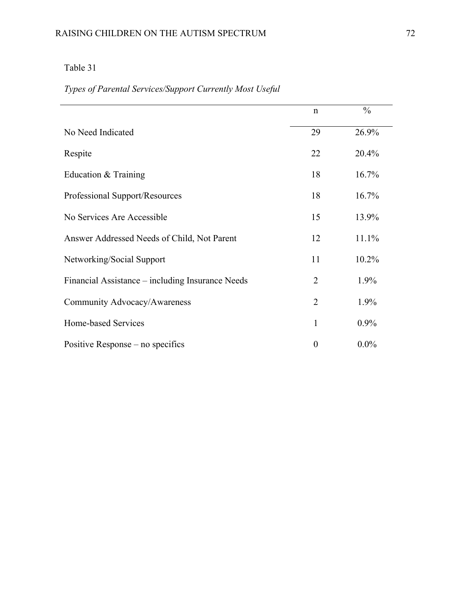# *Types of Parental Services/Support Currently Most Useful*

|                                                  | $\mathsf{n}$   | $\frac{0}{0}$ |
|--------------------------------------------------|----------------|---------------|
| No Need Indicated                                | 29             | 26.9%         |
| Respite                                          | 22             | 20.4%         |
| Education & Training                             | 18             | 16.7%         |
| Professional Support/Resources                   | 18             | 16.7%         |
| No Services Are Accessible                       | 15             | 13.9%         |
| Answer Addressed Needs of Child, Not Parent      | 12             | 11.1%         |
| Networking/Social Support                        | 11             | 10.2%         |
| Financial Assistance – including Insurance Needs | $\overline{2}$ | 1.9%          |
| Community Advocacy/Awareness                     | $\overline{2}$ | 1.9%          |
| Home-based Services                              | 1              | 0.9%          |
| Positive Response – no specifics                 | $\theta$       | $0.0\%$       |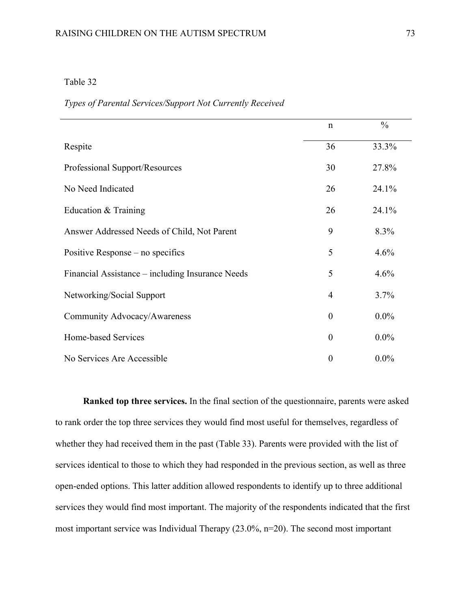#### *Types of Parental Services/Support Not Currently Received*

|                                                  | $\mathbf n$      | $\frac{0}{0}$ |
|--------------------------------------------------|------------------|---------------|
| Respite                                          | 36               | 33.3%         |
| Professional Support/Resources                   | 30               | 27.8%         |
| No Need Indicated                                | 26               | 24.1%         |
| Education $&$ Training                           | 26               | 24.1%         |
| Answer Addressed Needs of Child, Not Parent      | 9                | 8.3%          |
| Positive Response – no specifics                 | 5                | 4.6%          |
| Financial Assistance – including Insurance Needs | 5                | 4.6%          |
| Networking/Social Support                        | $\overline{4}$   | 3.7%          |
| Community Advocacy/Awareness                     | $\boldsymbol{0}$ | $0.0\%$       |
| Home-based Services                              | $\theta$         | $0.0\%$       |
| No Services Are Accessible                       | $\overline{0}$   | $0.0\%$       |

**Ranked top three services.** In the final section of the questionnaire, parents were asked to rank order the top three services they would find most useful for themselves, regardless of whether they had received them in the past (Table 33). Parents were provided with the list of services identical to those to which they had responded in the previous section, as well as three open-ended options. This latter addition allowed respondents to identify up to three additional services they would find most important. The majority of the respondents indicated that the first most important service was Individual Therapy (23.0%, n=20). The second most important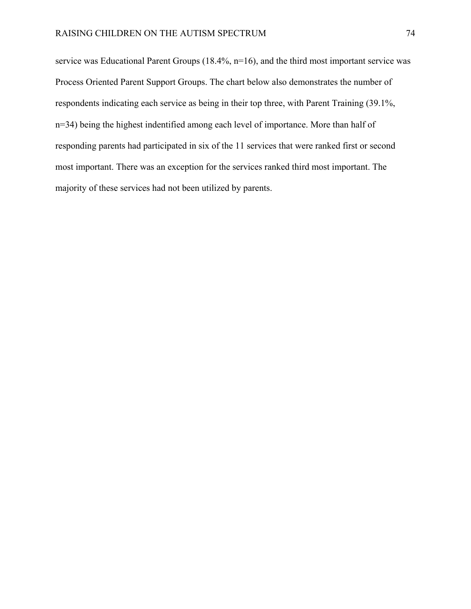service was Educational Parent Groups (18.4%, n=16), and the third most important service was Process Oriented Parent Support Groups. The chart below also demonstrates the number of respondents indicating each service as being in their top three, with Parent Training (39.1%, n=34) being the highest indentified among each level of importance. More than half of responding parents had participated in six of the 11 services that were ranked first or second most important. There was an exception for the services ranked third most important. The majority of these services had not been utilized by parents.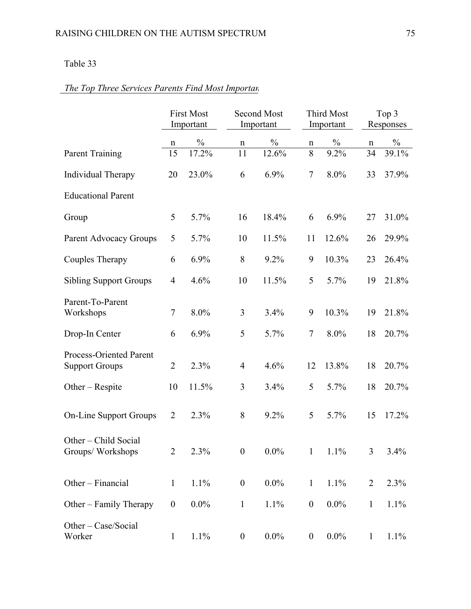# *The Top Three Services Parents Find Most Importan*

|                                                  | <b>First Most</b><br>Important |               | <b>Second Most</b><br>Important |               | <b>Third Most</b><br>Important |         |                | Top 3<br>Responses |  |
|--------------------------------------------------|--------------------------------|---------------|---------------------------------|---------------|--------------------------------|---------|----------------|--------------------|--|
|                                                  | n                              | $\frac{0}{0}$ | n                               | $\frac{0}{0}$ | $\mathbf n$                    | $\%$    | n              | $\frac{0}{0}$      |  |
| <b>Parent Training</b>                           | 15                             | 17.2%         | 11                              | 12.6%         | 8                              | 9.2%    | 34             | 39.1%              |  |
| Individual Therapy                               | 20                             | 23.0%         | 6                               | 6.9%          | $\overline{7}$                 | 8.0%    | 33             | 37.9%              |  |
| <b>Educational Parent</b>                        |                                |               |                                 |               |                                |         |                |                    |  |
| Group                                            | 5                              | 5.7%          | 16                              | 18.4%         | 6                              | 6.9%    | 27             | 31.0%              |  |
| Parent Advocacy Groups                           | 5                              | 5.7%          | 10                              | 11.5%         | 11                             | 12.6%   | 26             | 29.9%              |  |
| Couples Therapy                                  | 6                              | 6.9%          | 8                               | 9.2%          | 9                              | 10.3%   | 23             | 26.4%              |  |
| <b>Sibling Support Groups</b>                    | $\overline{4}$                 | 4.6%          | 10                              | 11.5%         | 5                              | 5.7%    | 19             | 21.8%              |  |
| Parent-To-Parent<br>Workshops                    | 7                              | 8.0%          | 3                               | 3.4%          | 9                              | 10.3%   | 19             | 21.8%              |  |
| Drop-In Center                                   | 6                              | 6.9%          | 5                               | 5.7%          | $\tau$                         | 8.0%    | 18             | 20.7%              |  |
| Process-Oriented Parent<br><b>Support Groups</b> | $\overline{2}$                 | 2.3%          | $\overline{4}$                  | 4.6%          | 12                             | 13.8%   | 18             | 20.7%              |  |
| Other $-$ Respite                                | 10                             | 11.5%         | 3                               | 3.4%          | 5                              | 5.7%    | 18             | 20.7%              |  |
| <b>On-Line Support Groups</b>                    | $\overline{2}$                 | 2.3%          | 8                               | 9.2%          | 5                              | 5.7%    | 15             | 17.2%              |  |
| Other - Child Social<br>Groups/Workshops         | $\overline{2}$                 | 2.3%          | $\overline{0}$                  | $0.0\%$       | 1                              | $1.1\%$ | 3              | 3.4%               |  |
| Other - Financial                                | $\mathbf{1}$                   | 1.1%          | $\boldsymbol{0}$                | $0.0\%$       | $\mathbf{1}$                   | 1.1%    | $\overline{2}$ | 2.3%               |  |
| Other – Family Therapy                           | $\boldsymbol{0}$               | $0.0\%$       | $\mathbf{1}$                    | 1.1%          | $\boldsymbol{0}$               | $0.0\%$ | $\mathbf{1}$   | 1.1%               |  |
| Other - Case/Social<br>Worker                    | $\mathbf{1}$                   | 1.1%          | $\boldsymbol{0}$                | $0.0\%$       | $\boldsymbol{0}$               | $0.0\%$ | $\mathbf{1}$   | 1.1%               |  |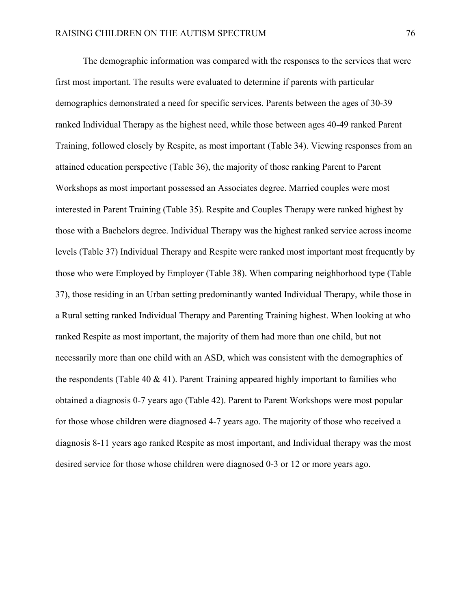The demographic information was compared with the responses to the services that were first most important. The results were evaluated to determine if parents with particular demographics demonstrated a need for specific services. Parents between the ages of 30-39 ranked Individual Therapy as the highest need, while those between ages 40-49 ranked Parent Training, followed closely by Respite, as most important (Table 34). Viewing responses from an attained education perspective (Table 36), the majority of those ranking Parent to Parent Workshops as most important possessed an Associates degree. Married couples were most interested in Parent Training (Table 35). Respite and Couples Therapy were ranked highest by those with a Bachelors degree. Individual Therapy was the highest ranked service across income levels (Table 37) Individual Therapy and Respite were ranked most important most frequently by those who were Employed by Employer (Table 38). When comparing neighborhood type (Table 37), those residing in an Urban setting predominantly wanted Individual Therapy, while those in a Rural setting ranked Individual Therapy and Parenting Training highest. When looking at who ranked Respite as most important, the majority of them had more than one child, but not necessarily more than one child with an ASD, which was consistent with the demographics of the respondents (Table 40  $\&$  41). Parent Training appeared highly important to families who obtained a diagnosis 0-7 years ago (Table 42). Parent to Parent Workshops were most popular for those whose children were diagnosed 4-7 years ago. The majority of those who received a diagnosis 8-11 years ago ranked Respite as most important, and Individual therapy was the most desired service for those whose children were diagnosed 0-3 or 12 or more years ago.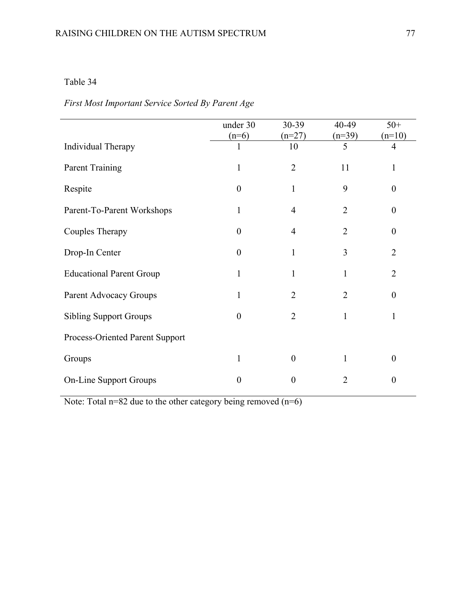# *First Most Important Service Sorted By Parent Age*

|                                 | under 30         | 30-39          | 40-49          | $50+$            |
|---------------------------------|------------------|----------------|----------------|------------------|
|                                 | $(n=6)$          | $(n=27)$       | $(n=39)$       | $(n=10)$         |
| Individual Therapy              |                  | 10             | 5              | $\overline{4}$   |
| <b>Parent Training</b>          | 1                | $\overline{2}$ | 11             | 1                |
| Respite                         | $\theta$         | $\mathbf{1}$   | 9              | $\boldsymbol{0}$ |
| Parent-To-Parent Workshops      | 1                | 4              | $\overline{2}$ | $\boldsymbol{0}$ |
| Couples Therapy                 | $\boldsymbol{0}$ | 4              | $\overline{2}$ | $\boldsymbol{0}$ |
| Drop-In Center                  | $\theta$         | 1              | 3              | $\overline{2}$   |
| <b>Educational Parent Group</b> | 1                | 1              | 1              | $\overline{2}$   |
| Parent Advocacy Groups          | 1                | $\overline{2}$ | $\overline{2}$ | $\boldsymbol{0}$ |
| <b>Sibling Support Groups</b>   | $\theta$         | $\overline{2}$ | 1              | 1                |
| Process-Oriented Parent Support |                  |                |                |                  |
| Groups                          | 1                | $\theta$       | 1              | $\overline{0}$   |
| <b>On-Line Support Groups</b>   | $\theta$         | $\overline{0}$ | $\overline{2}$ | $\overline{0}$   |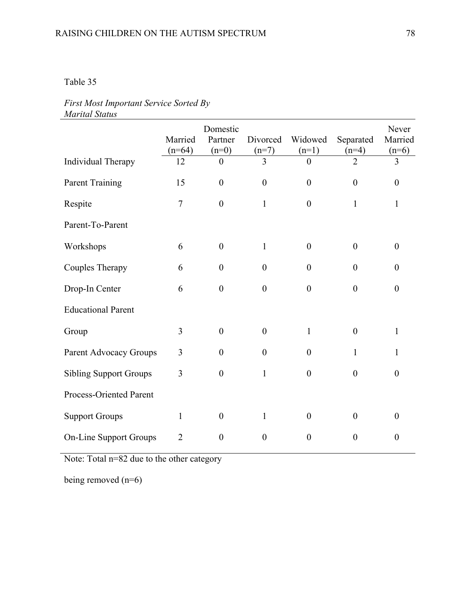### *First Most Important Service Sorted By Marital Status*

|                               | Married<br>$(n=64)$ | Domestic<br>Partner<br>$(n=0)$ | Divorced<br>$(n=7)$<br>3 | Widowed<br>$(n=1)$ | Separated<br>$(n=4)$<br>$\overline{2}$ | Never<br>Married<br>$(n=6)$ |
|-------------------------------|---------------------|--------------------------------|--------------------------|--------------------|----------------------------------------|-----------------------------|
| Individual Therapy            | 12                  | $\theta$                       |                          | $\theta$           |                                        | 3                           |
| <b>Parent Training</b>        | 15                  | $\boldsymbol{0}$               | $\boldsymbol{0}$         | $\boldsymbol{0}$   | $\boldsymbol{0}$                       | $\boldsymbol{0}$            |
| Respite                       | $\overline{7}$      | $\overline{0}$                 | $\mathbf{1}$             | $\overline{0}$     | $\mathbf{1}$                           | $\mathbf{1}$                |
| Parent-To-Parent              |                     |                                |                          |                    |                                        |                             |
| Workshops                     | 6                   | $\boldsymbol{0}$               | $\mathbf{1}$             | $\boldsymbol{0}$   | $\boldsymbol{0}$                       | $\boldsymbol{0}$            |
| Couples Therapy               | 6                   | $\boldsymbol{0}$               | $\boldsymbol{0}$         | $\boldsymbol{0}$   | $\boldsymbol{0}$                       | $\boldsymbol{0}$            |
| Drop-In Center                | 6                   | $\boldsymbol{0}$               | $\boldsymbol{0}$         | $\boldsymbol{0}$   | $\boldsymbol{0}$                       | $\boldsymbol{0}$            |
| <b>Educational Parent</b>     |                     |                                |                          |                    |                                        |                             |
| Group                         | $\overline{3}$      | $\boldsymbol{0}$               | $\boldsymbol{0}$         | $\mathbf{1}$       | $\boldsymbol{0}$                       | $\mathbf{1}$                |
| Parent Advocacy Groups        | 3                   | $\overline{0}$                 | $\boldsymbol{0}$         | $\theta$           | 1                                      | 1                           |
| <b>Sibling Support Groups</b> | 3                   | $\boldsymbol{0}$               | $\mathbf{1}$             | $\boldsymbol{0}$   | $\boldsymbol{0}$                       | $\boldsymbol{0}$            |
| Process-Oriented Parent       |                     |                                |                          |                    |                                        |                             |
| <b>Support Groups</b>         | $\mathbf{1}$        | $\boldsymbol{0}$               | $\mathbf{1}$             | $\boldsymbol{0}$   | $\boldsymbol{0}$                       | $\boldsymbol{0}$            |
| <b>On-Line Support Groups</b> | 2                   | $\boldsymbol{0}$               | $\boldsymbol{0}$         | $\boldsymbol{0}$   | $\boldsymbol{0}$                       | $\boldsymbol{0}$            |

Note: Total n=82 due to the other category

being removed (n=6)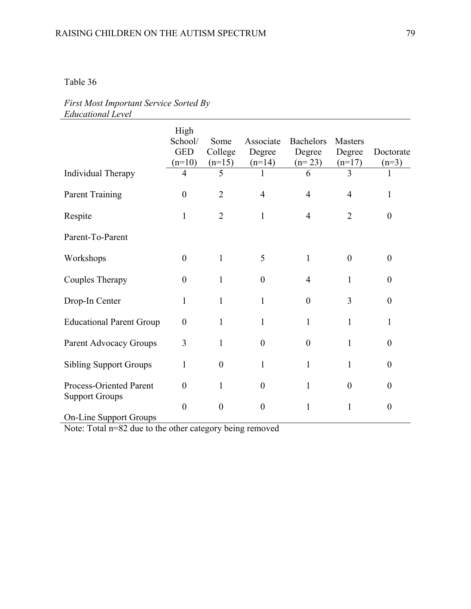### *First Most Important Service Sorted By Educational Level*

|                                                        | High<br>School/<br><b>GED</b><br>$(n=10)$ | Some<br>College<br>$(n=15)$ | Associate<br>Degree<br>$(n=14)$ | <b>Bachelors</b><br>Degree<br>$(n=23)$ | <b>Masters</b><br>Degree<br>$(n=17)$ | Doctorate<br>$(n=3)$ |
|--------------------------------------------------------|-------------------------------------------|-----------------------------|---------------------------------|----------------------------------------|--------------------------------------|----------------------|
| Individual Therapy                                     | $\overline{4}$                            | 5                           | 1                               | 6                                      | 3                                    | 1                    |
| <b>Parent Training</b>                                 | $\boldsymbol{0}$                          | $\overline{2}$              | $\overline{4}$                  | $\overline{4}$                         | $\overline{4}$                       | 1                    |
| Respite                                                | 1                                         | $\overline{2}$              | 1                               | $\overline{4}$                         | $\overline{2}$                       | $\theta$             |
| Parent-To-Parent                                       |                                           |                             |                                 |                                        |                                      |                      |
| Workshops                                              | $\boldsymbol{0}$                          | $\mathbf{1}$                | 5                               | $\mathbf{1}$                           | $\theta$                             | $\overline{0}$       |
| Couples Therapy                                        | $\theta$                                  | 1                           | $\overline{0}$                  | $\overline{4}$                         | 1                                    | $\theta$             |
| Drop-In Center                                         | 1                                         | 1                           | 1                               | $\boldsymbol{0}$                       | 3                                    | $\theta$             |
| <b>Educational Parent Group</b>                        | $\boldsymbol{0}$                          | 1                           | 1                               | $\mathbf{1}$                           | $\mathbf{1}$                         | 1                    |
| Parent Advocacy Groups                                 | 3                                         | 1                           | $\overline{0}$                  | $\boldsymbol{0}$                       | 1                                    | $\Omega$             |
| <b>Sibling Support Groups</b>                          | 1                                         | $\overline{0}$              | 1                               | $\mathbf{1}$                           | $\mathbf{1}$                         | $\theta$             |
| Process-Oriented Parent                                | $\boldsymbol{0}$                          | 1                           | $\boldsymbol{0}$                | $\mathbf{1}$                           | $\theta$                             | $\boldsymbol{0}$     |
| <b>Support Groups</b><br><b>On-Line Support Groups</b> | $\theta$                                  | $\theta$                    | $\boldsymbol{0}$                | $\mathbf{1}$                           | 1                                    | $\boldsymbol{0}$     |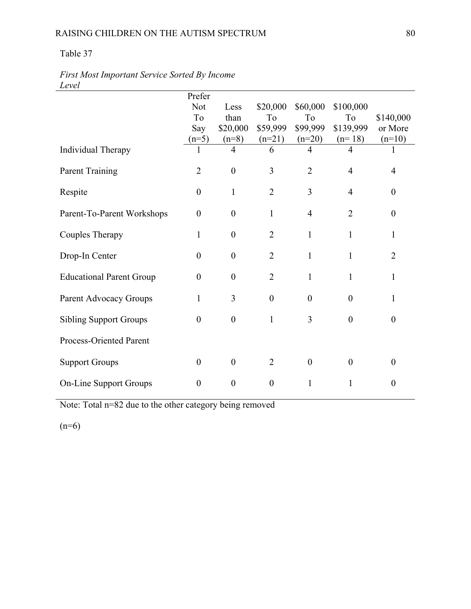## RAISING CHILDREN ON THE AUTISM SPECTRUM 80

### Table 37

| ----                            |                  |                  |                  |                  |                |                  |
|---------------------------------|------------------|------------------|------------------|------------------|----------------|------------------|
|                                 | Prefer           |                  |                  |                  |                |                  |
|                                 | <b>Not</b>       | Less             | \$20,000         | \$60,000         | \$100,000      |                  |
|                                 | To               | than             | To               | To               | To             | \$140,000        |
|                                 | Say              | \$20,000         | \$59,999         | \$99,999         | \$139,999      | or More          |
|                                 | $(n=5)$          | $(n=8)$          | $(n=21)$         | $(n=20)$         | $(n=18)$       | $(n=10)$         |
| Individual Therapy              | 1                | $\overline{4}$   | 6                | $\overline{4}$   | 4              |                  |
| <b>Parent Training</b>          | $\overline{2}$   | $\mathbf{0}$     | 3                | $\overline{2}$   | $\overline{4}$ | 4                |
| Respite                         | $\boldsymbol{0}$ | $\mathbf{1}$     | $\overline{2}$   | 3                | 4              | $\boldsymbol{0}$ |
| Parent-To-Parent Workshops      | $\overline{0}$   | $\boldsymbol{0}$ | $\mathbf{1}$     | $\overline{4}$   | $\overline{2}$ | $\theta$         |
| <b>Couples Therapy</b>          | $\mathbf{1}$     | $\boldsymbol{0}$ | $\overline{2}$   | $\mathbf{1}$     | $\mathbf{1}$   | $\mathbf{1}$     |
| Drop-In Center                  | $\boldsymbol{0}$ | $\boldsymbol{0}$ | $\overline{2}$   | 1                | 1              | $\overline{2}$   |
| <b>Educational Parent Group</b> | $\mathbf{0}$     | $\boldsymbol{0}$ | $\overline{2}$   | $\mathbf{1}$     | 1              | $\mathbf{1}$     |
| Parent Advocacy Groups          | $\mathbf{1}$     | 3                | $\boldsymbol{0}$ | $\mathbf{0}$     | $\overline{0}$ | $\mathbf{1}$     |
| <b>Sibling Support Groups</b>   | $\boldsymbol{0}$ | $\boldsymbol{0}$ | $\mathbf{1}$     | 3                | $\overline{0}$ | $\boldsymbol{0}$ |
| Process-Oriented Parent         |                  |                  |                  |                  |                |                  |
| <b>Support Groups</b>           | $\boldsymbol{0}$ | $\boldsymbol{0}$ | $\overline{2}$   | $\boldsymbol{0}$ | $\overline{0}$ | $\boldsymbol{0}$ |
| <b>On-Line Support Groups</b>   | $\overline{0}$   | $\boldsymbol{0}$ | $\boldsymbol{0}$ | 1                | 1              | $\boldsymbol{0}$ |

*First Most Important Service Sorted By Income Level* 

Note: Total n=82 due to the other category being removed

 $(n=6)$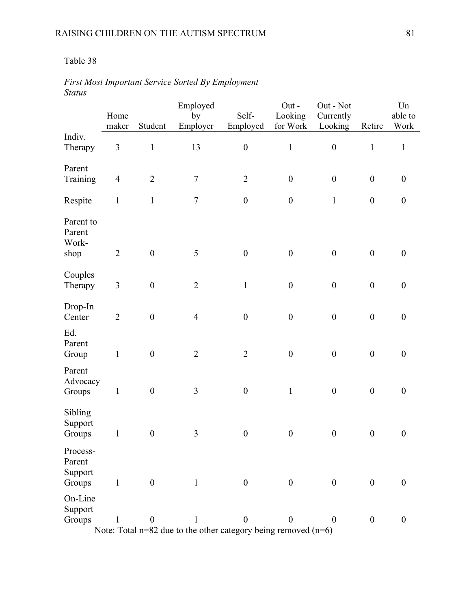|                                      | Home           |                  | Employed<br>by                                                                     | Self-            | Out-<br>Looking  | Out - Not<br>Currently |                  | Un<br>able to    |
|--------------------------------------|----------------|------------------|------------------------------------------------------------------------------------|------------------|------------------|------------------------|------------------|------------------|
| Indiv.                               | maker          | Student          | Employer                                                                           | Employed         | for Work         | Looking                | Retire           | Work             |
| Therapy                              | $\overline{3}$ | $\mathbf{1}$     | 13                                                                                 | $\boldsymbol{0}$ | $\mathbf{1}$     | $\boldsymbol{0}$       | $\mathbf 1$      | $\mathbf{1}$     |
| Parent<br>Training                   | $\overline{4}$ | $\overline{2}$   | $\tau$                                                                             | $\sqrt{2}$       | $\boldsymbol{0}$ | $\boldsymbol{0}$       | $\boldsymbol{0}$ | $\boldsymbol{0}$ |
| Respite                              | $\mathbf{1}$   | $\mathbf 1$      | $\tau$                                                                             | $\boldsymbol{0}$ | $\boldsymbol{0}$ | $\mathbf{1}$           | $\boldsymbol{0}$ | $\boldsymbol{0}$ |
| Parent to<br>Parent<br>Work-<br>shop | $\overline{2}$ | $\boldsymbol{0}$ | 5                                                                                  | $\boldsymbol{0}$ | $\boldsymbol{0}$ | $\boldsymbol{0}$       | $\boldsymbol{0}$ | $\boldsymbol{0}$ |
| Couples<br>Therapy                   | $\mathfrak{Z}$ | $\boldsymbol{0}$ | $\overline{2}$                                                                     | $\mathbf{1}$     | $\boldsymbol{0}$ | $\boldsymbol{0}$       | $\boldsymbol{0}$ | $\boldsymbol{0}$ |
| Drop-In<br>Center                    | $\overline{2}$ | $\boldsymbol{0}$ | $\overline{4}$                                                                     | $\boldsymbol{0}$ | $\boldsymbol{0}$ | $\boldsymbol{0}$       | $\boldsymbol{0}$ | $\boldsymbol{0}$ |
| Parent<br>Group                      | $\mathbf{1}$   | $\boldsymbol{0}$ | $\sqrt{2}$                                                                         | $\sqrt{2}$       | $\boldsymbol{0}$ | $\boldsymbol{0}$       | $\boldsymbol{0}$ | $\boldsymbol{0}$ |
| Parent<br>Advocacy<br>Groups         | $\mathbf{1}$   | $\boldsymbol{0}$ | $\mathfrak{Z}$                                                                     | $\boldsymbol{0}$ | $\mathbf{1}$     | $\boldsymbol{0}$       | $\boldsymbol{0}$ | $\boldsymbol{0}$ |
| Sibling<br>Support<br>Groups         | $\mathbf{1}$   | $\boldsymbol{0}$ | 3                                                                                  | $\boldsymbol{0}$ | $\boldsymbol{0}$ | $\boldsymbol{0}$       | $\boldsymbol{0}$ | $\boldsymbol{0}$ |
| Process-<br>Parent<br>Support        |                |                  |                                                                                    |                  |                  |                        |                  | $\boldsymbol{0}$ |
| On-Line<br>Support<br>Groups         | 1              | $\boldsymbol{0}$ | 1                                                                                  | $\boldsymbol{0}$ | $\boldsymbol{0}$ | $\theta$               | $\mathbf{0}$     | $\boldsymbol{0}$ |
| Ed.<br>Groups                        | $\mathbf{1}$   | $\boldsymbol{0}$ | $\mathbf{1}$<br>Note: Total $n=82$ due to the other category being removed $(n=6)$ | $\boldsymbol{0}$ | $\boldsymbol{0}$ | $\overline{0}$         | $\boldsymbol{0}$ |                  |

*First Most Important Service Sorted By Employment Status*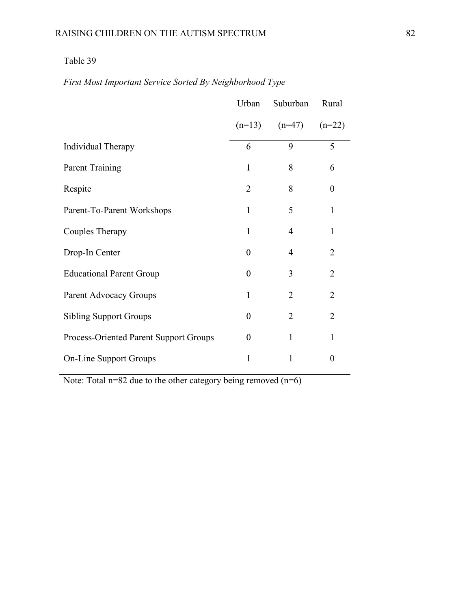|                                        | Urban          | Suburban       | Rural            |
|----------------------------------------|----------------|----------------|------------------|
|                                        | $(n=13)$       | $(n=47)$       | $(n=22)$         |
| Individual Therapy                     | 6              | 9              | 5                |
| <b>Parent Training</b>                 | $\mathbf{1}$   | 8              | 6                |
| Respite                                | $\overline{2}$ | 8              | $\boldsymbol{0}$ |
| Parent-To-Parent Workshops             | $\mathbf{1}$   | 5              | 1                |
| Couples Therapy                        | 1              | 4              | 1                |
| Drop-In Center                         | $\theta$       | 4              | 2                |
| <b>Educational Parent Group</b>        | $\Omega$       | 3              | $\overline{2}$   |
| Parent Advocacy Groups                 | $\mathbf{1}$   | 2              | $\overline{2}$   |
| <b>Sibling Support Groups</b>          | $\theta$       | $\overline{2}$ | $\overline{2}$   |
| Process-Oriented Parent Support Groups | $\theta$       | 1              | 1                |
| <b>On-Line Support Groups</b>          | 1              | 1              | $\theta$         |

*First Most Important Service Sorted By Neighborhood Type*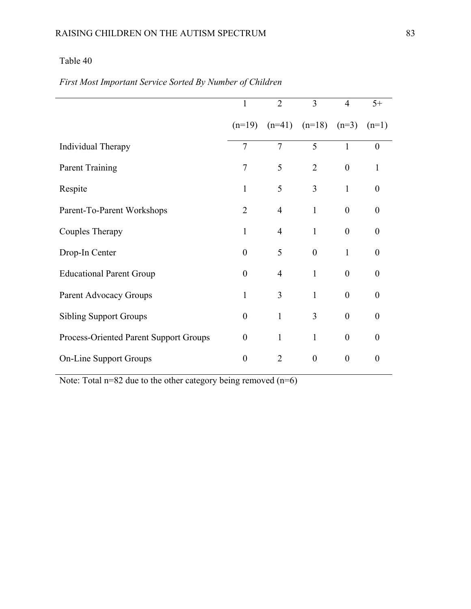|                                        | 1                | $\overline{2}$ | 3                         | $\overline{4}$   | $5+$             |
|----------------------------------------|------------------|----------------|---------------------------|------------------|------------------|
|                                        | $(n=19)$         |                | $(n=41)$ $(n=18)$ $(n=3)$ |                  | $(n=1)$          |
| Individual Therapy                     | 7                | $\overline{7}$ | 5                         | $\mathbf{1}$     | $\overline{0}$   |
| <b>Parent Training</b>                 | 7                | 5              | $\overline{2}$            | $\boldsymbol{0}$ | $\mathbf{1}$     |
| Respite                                | $\mathbf{1}$     | 5              | 3                         | $\mathbf{1}$     | $\overline{0}$   |
| Parent-To-Parent Workshops             | $\overline{2}$   | 4              | $\mathbf{1}$              | $\boldsymbol{0}$ | $\theta$         |
| Couples Therapy                        | 1                | $\overline{4}$ | $\mathbf{1}$              | $\theta$         | $\theta$         |
| Drop-In Center                         | $\overline{0}$   | 5              | $\theta$                  | 1                | $\theta$         |
| <b>Educational Parent Group</b>        | $\theta$         | $\overline{4}$ | $\mathbf{1}$              | $\theta$         | $\theta$         |
| Parent Advocacy Groups                 | $\mathbf{1}$     | 3              | $\mathbf{1}$              | $\theta$         | $\theta$         |
| <b>Sibling Support Groups</b>          | $\boldsymbol{0}$ | $\mathbf{1}$   | 3                         | $\theta$         | $\theta$         |
| Process-Oriented Parent Support Groups | $\boldsymbol{0}$ | $\mathbf{1}$   | $\mathbf{1}$              | $\boldsymbol{0}$ | $\theta$         |
| <b>On-Line Support Groups</b>          | $\boldsymbol{0}$ | $\overline{2}$ | $\boldsymbol{0}$          | $\boldsymbol{0}$ | $\boldsymbol{0}$ |

# *First Most Important Service Sorted By Number of Children*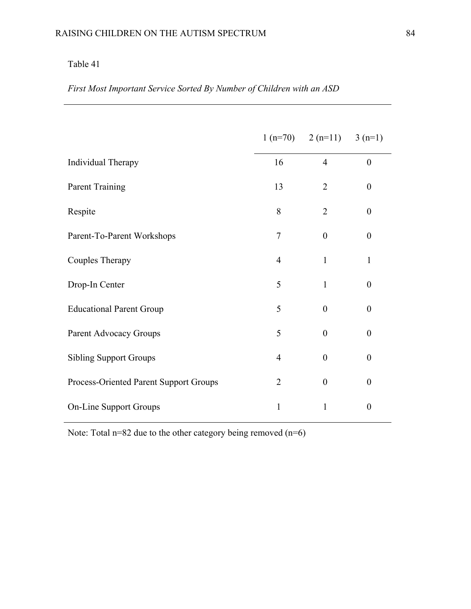*First Most Important Service Sorted By Number of Children with an ASD* 

|                                        |                | $1(n=70)$ $2(n=11)$ $3(n=1)$ |                  |
|----------------------------------------|----------------|------------------------------|------------------|
| Individual Therapy                     | 16             | $\overline{4}$               | $\boldsymbol{0}$ |
| <b>Parent Training</b>                 | 13             | $\overline{2}$               | $\boldsymbol{0}$ |
| Respite                                | 8              | $\overline{2}$               | $\boldsymbol{0}$ |
| Parent-To-Parent Workshops             | 7              | $\overline{0}$               | $\boldsymbol{0}$ |
| Couples Therapy                        | $\overline{4}$ | 1                            | $\mathbf{1}$     |
| Drop-In Center                         | 5              | $\mathbf{1}$                 | $\boldsymbol{0}$ |
| <b>Educational Parent Group</b>        | 5              | $\theta$                     | $\boldsymbol{0}$ |
| Parent Advocacy Groups                 | 5              | $\theta$                     | $\overline{0}$   |
| <b>Sibling Support Groups</b>          | $\overline{4}$ | $\overline{0}$               | $\boldsymbol{0}$ |
| Process-Oriented Parent Support Groups | $\overline{2}$ | $\boldsymbol{0}$             | $\boldsymbol{0}$ |
| <b>On-Line Support Groups</b>          | 1              | $\mathbf{1}$                 | $\boldsymbol{0}$ |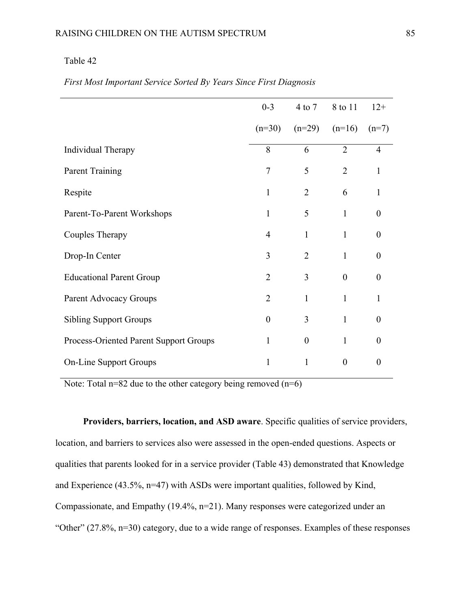|                                        | $0 - 3$          |                  | 4 to 7 8 to 11   | $12+$            |
|----------------------------------------|------------------|------------------|------------------|------------------|
|                                        | $(n=30)$         | $(n=29)$         | $(n=16)$         | $(n=7)$          |
| Individual Therapy                     | 8                | 6                | $\overline{2}$   | $\overline{4}$   |
| <b>Parent Training</b>                 | 7                | 5                | $\overline{2}$   | $\mathbf{1}$     |
| Respite                                | $\mathbf{1}$     | $\overline{2}$   | 6                | $\mathbf{1}$     |
| Parent-To-Parent Workshops             | $\mathbf{1}$     | 5                | $\mathbf{1}$     | $\boldsymbol{0}$ |
| Couples Therapy                        | $\overline{4}$   | 1                | $\mathbf{1}$     | $\theta$         |
| Drop-In Center                         | 3                | $\overline{2}$   | $\mathbf{1}$     | $\overline{0}$   |
| <b>Educational Parent Group</b>        | $\overline{2}$   | 3                | $\theta$         | $\theta$         |
| Parent Advocacy Groups                 | $\overline{2}$   | $\mathbf{1}$     | $\mathbf{1}$     | 1                |
| <b>Sibling Support Groups</b>          | $\boldsymbol{0}$ | 3                | $\mathbf{1}$     | $\boldsymbol{0}$ |
| Process-Oriented Parent Support Groups | $\mathbf{1}$     | $\boldsymbol{0}$ | $\mathbf{1}$     | $\boldsymbol{0}$ |
| <b>On-Line Support Groups</b>          | $\mathbf{1}$     | 1                | $\boldsymbol{0}$ | $\boldsymbol{0}$ |

#### *First Most Important Service Sorted By Years Since First Diagnosis*

Note: Total  $n=82$  due to the other category being removed  $(n=6)$ 

**Providers, barriers, location, and ASD aware**. Specific qualities of service providers, location, and barriers to services also were assessed in the open-ended questions. Aspects or qualities that parents looked for in a service provider (Table 43) demonstrated that Knowledge and Experience (43.5%, n=47) with ASDs were important qualities, followed by Kind, Compassionate, and Empathy (19.4%, n=21). Many responses were categorized under an "Other" (27.8%, n=30) category, due to a wide range of responses. Examples of these responses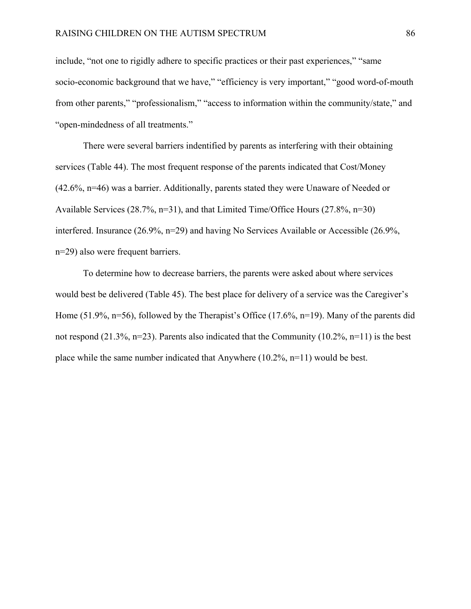include, "not one to rigidly adhere to specific practices or their past experiences," "same socio-economic background that we have," "efficiency is very important," "good word-of-mouth from other parents," "professionalism," "access to information within the community/state," and "open-mindedness of all treatments."

There were several barriers indentified by parents as interfering with their obtaining services (Table 44). The most frequent response of the parents indicated that Cost/Money (42.6%, n=46) was a barrier. Additionally, parents stated they were Unaware of Needed or Available Services (28.7%, n=31), and that Limited Time/Office Hours (27.8%, n=30) interfered. Insurance (26.9%, n=29) and having No Services Available or Accessible (26.9%, n=29) also were frequent barriers.

To determine how to decrease barriers, the parents were asked about where services would best be delivered (Table 45). The best place for delivery of a service was the Caregiver's Home (51.9%, n=56), followed by the Therapist's Office (17.6%, n=19). Many of the parents did not respond (21.3%, n=23). Parents also indicated that the Community (10.2%, n=11) is the best place while the same number indicated that Anywhere  $(10.2\%, n=11)$  would be best.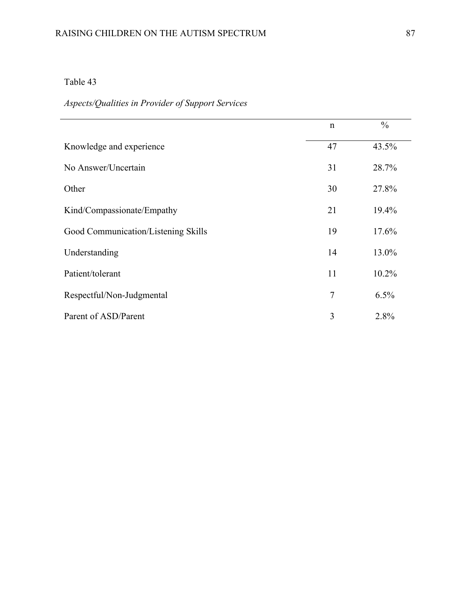# *Aspects/Qualities in Provider of Support Services*

|                                     | $\mathbf n$    | $\frac{0}{0}$ |
|-------------------------------------|----------------|---------------|
| Knowledge and experience            | 47             | 43.5%         |
| No Answer/Uncertain                 | 31             | 28.7%         |
| Other                               | 30             | 27.8%         |
| Kind/Compassionate/Empathy          | 21             | 19.4%         |
| Good Communication/Listening Skills | 19             | 17.6%         |
| Understanding                       | 14             | 13.0%         |
| Patient/tolerant                    | 11             | $10.2\%$      |
| Respectful/Non-Judgmental           | $\overline{7}$ | 6.5%          |
| Parent of ASD/Parent                | 3              | 2.8%          |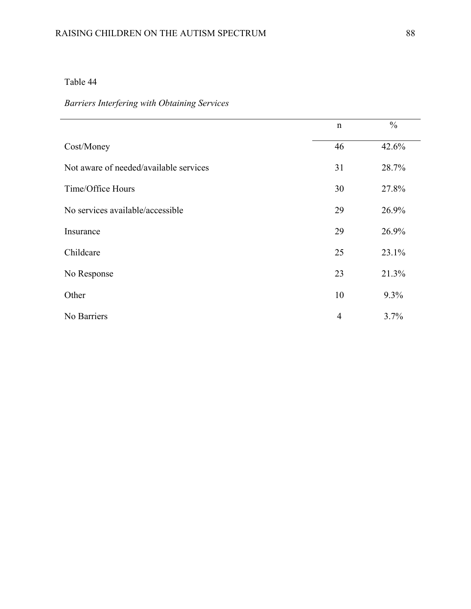# RAISING CHILDREN ON THE AUTISM SPECTRUM 88

# Table 44

L,

# *Barriers Interfering with Obtaining Services*

|                                        | n              | $\frac{0}{0}$ |
|----------------------------------------|----------------|---------------|
| Cost/Money                             | 46             | 42.6%         |
| Not aware of needed/available services | 31             | 28.7%         |
| Time/Office Hours                      | 30             | 27.8%         |
| No services available/accessible       | 29             | 26.9%         |
| Insurance                              | 29             | 26.9%         |
| Childcare                              | 25             | 23.1%         |
| No Response                            | 23             | 21.3%         |
| Other                                  | 10             | 9.3%          |
| No Barriers                            | $\overline{4}$ | 3.7%          |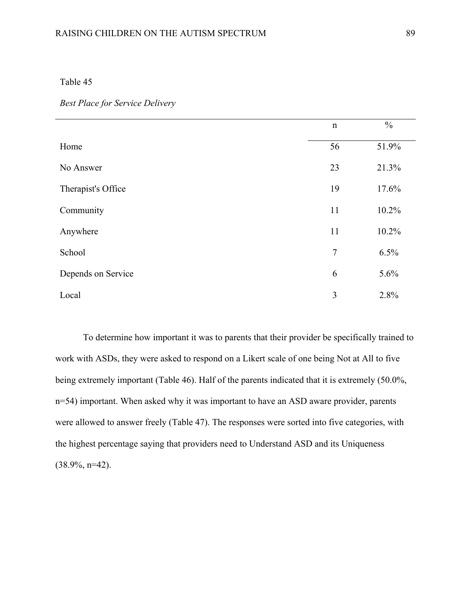|                    | $\mathbf n$    | $\frac{0}{0}$ |
|--------------------|----------------|---------------|
| Home               | 56             | 51.9%         |
| No Answer          | 23             | 21.3%         |
| Therapist's Office | 19             | 17.6%         |
| Community          | 11             | 10.2%         |
| Anywhere           | 11             | 10.2%         |
| School             | $\overline{7}$ | 6.5%          |
| Depends on Service | 6              | 5.6%          |
| Local              | 3              | 2.8%          |

To determine how important it was to parents that their provider be specifically trained to work with ASDs, they were asked to respond on a Likert scale of one being Not at All to five being extremely important (Table 46). Half of the parents indicated that it is extremely (50.0%, n=54) important. When asked why it was important to have an ASD aware provider, parents were allowed to answer freely (Table 47). The responses were sorted into five categories, with the highest percentage saying that providers need to Understand ASD and its Uniqueness  $(38.9\%, n=42)$ .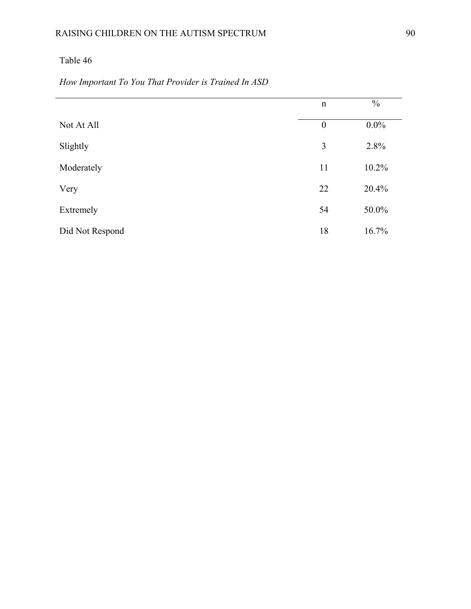|  | How Important To You That Provider is Trained In ASD |  |
|--|------------------------------------------------------|--|
|--|------------------------------------------------------|--|

|                 | n                | $\frac{0}{0}$ |
|-----------------|------------------|---------------|
| Not At All      | $\boldsymbol{0}$ | $0.0\%$       |
| Slightly        | $\overline{3}$   | 2.8%          |
| Moderately      | 11               | 10.2%         |
| Very            | 22               | 20.4%         |
| Extremely       | 54               | 50.0%         |
| Did Not Respond | 18               | 16.7%         |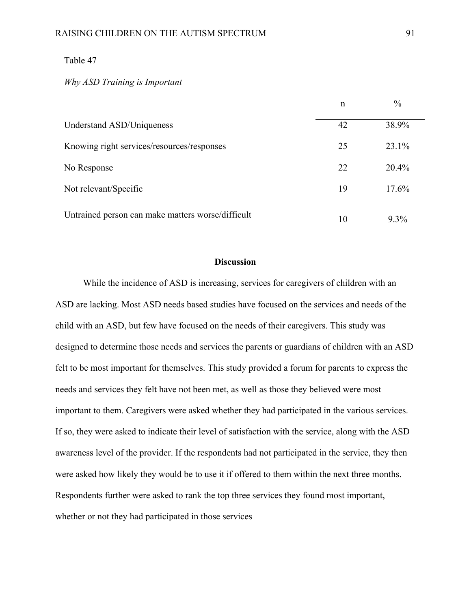*Why ASD Training is Important* 

|                                                   | n  | $\frac{0}{0}$ |
|---------------------------------------------------|----|---------------|
| Understand ASD/Uniqueness                         | 42 | 38.9%         |
| Knowing right services/resources/responses        | 25 | 23.1%         |
| No Response                                       | 22 | $20.4\%$      |
| Not relevant/Specific                             | 19 | 17.6%         |
| Untrained person can make matters worse/difficult | 10 | $9.3\%$       |

#### **Discussion**

While the incidence of ASD is increasing, services for caregivers of children with an ASD are lacking. Most ASD needs based studies have focused on the services and needs of the child with an ASD, but few have focused on the needs of their caregivers. This study was designed to determine those needs and services the parents or guardians of children with an ASD felt to be most important for themselves. This study provided a forum for parents to express the needs and services they felt have not been met, as well as those they believed were most important to them. Caregivers were asked whether they had participated in the various services. If so, they were asked to indicate their level of satisfaction with the service, along with the ASD awareness level of the provider. If the respondents had not participated in the service, they then were asked how likely they would be to use it if offered to them within the next three months. Respondents further were asked to rank the top three services they found most important, whether or not they had participated in those services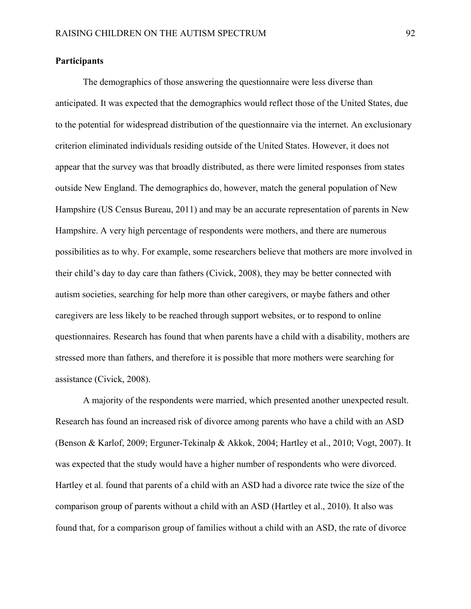#### **Participants**

 The demographics of those answering the questionnaire were less diverse than anticipated. It was expected that the demographics would reflect those of the United States, due to the potential for widespread distribution of the questionnaire via the internet. An exclusionary criterion eliminated individuals residing outside of the United States. However, it does not appear that the survey was that broadly distributed, as there were limited responses from states outside New England. The demographics do, however, match the general population of New Hampshire (US Census Bureau, 2011) and may be an accurate representation of parents in New Hampshire. A very high percentage of respondents were mothers, and there are numerous possibilities as to why. For example, some researchers believe that mothers are more involved in their child's day to day care than fathers (Civick, 2008), they may be better connected with autism societies, searching for help more than other caregivers, or maybe fathers and other caregivers are less likely to be reached through support websites, or to respond to online questionnaires. Research has found that when parents have a child with a disability, mothers are stressed more than fathers, and therefore it is possible that more mothers were searching for assistance (Civick, 2008).

A majority of the respondents were married, which presented another unexpected result. Research has found an increased risk of divorce among parents who have a child with an ASD (Benson & Karlof, 2009; Erguner-Tekinalp & Akkok, 2004; Hartley et al., 2010; Vogt, 2007). It was expected that the study would have a higher number of respondents who were divorced. Hartley et al. found that parents of a child with an ASD had a divorce rate twice the size of the comparison group of parents without a child with an ASD (Hartley et al., 2010). It also was found that, for a comparison group of families without a child with an ASD, the rate of divorce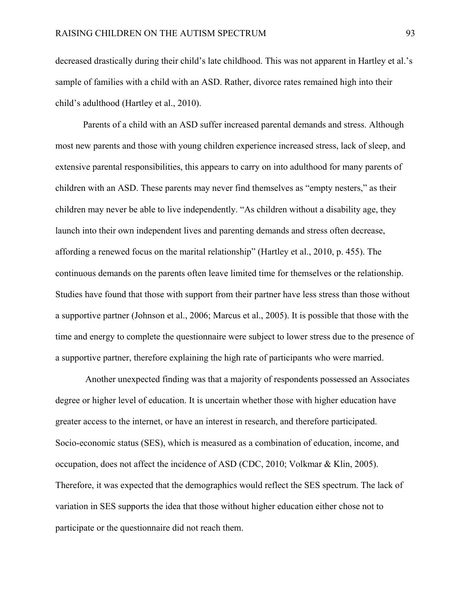decreased drastically during their child's late childhood. This was not apparent in Hartley et al.'s sample of families with a child with an ASD. Rather, divorce rates remained high into their child's adulthood (Hartley et al., 2010).

Parents of a child with an ASD suffer increased parental demands and stress. Although most new parents and those with young children experience increased stress, lack of sleep, and extensive parental responsibilities, this appears to carry on into adulthood for many parents of children with an ASD. These parents may never find themselves as "empty nesters," as their children may never be able to live independently. "As children without a disability age, they launch into their own independent lives and parenting demands and stress often decrease, affording a renewed focus on the marital relationship" (Hartley et al., 2010, p. 455). The continuous demands on the parents often leave limited time for themselves or the relationship. Studies have found that those with support from their partner have less stress than those without a supportive partner (Johnson et al., 2006; Marcus et al., 2005). It is possible that those with the time and energy to complete the questionnaire were subject to lower stress due to the presence of a supportive partner, therefore explaining the high rate of participants who were married.

 Another unexpected finding was that a majority of respondents possessed an Associates degree or higher level of education. It is uncertain whether those with higher education have greater access to the internet, or have an interest in research, and therefore participated. Socio-economic status (SES), which is measured as a combination of education, income, and occupation, does not affect the incidence of ASD (CDC, 2010; Volkmar & Klin, 2005). Therefore, it was expected that the demographics would reflect the SES spectrum. The lack of variation in SES supports the idea that those without higher education either chose not to participate or the questionnaire did not reach them.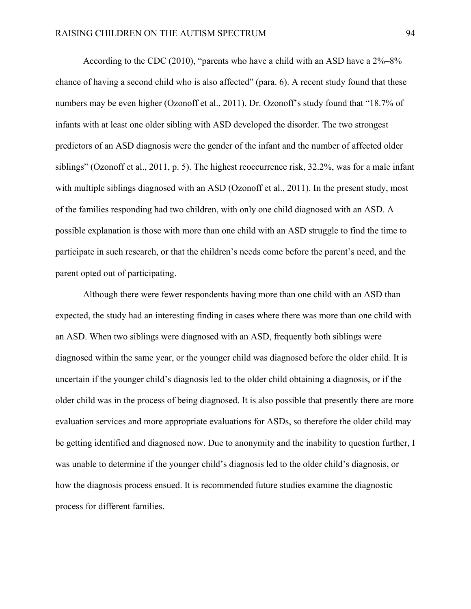According to the CDC (2010), "parents who have a child with an ASD have a 2%–8% chance of having a second child who is also affected" (para. 6). A recent study found that these numbers may be even higher (Ozonoff et al., 2011). Dr. Ozonoff's study found that "18.7% of infants with at least one older sibling with ASD developed the disorder. The two strongest predictors of an ASD diagnosis were the gender of the infant and the number of affected older siblings" (Ozonoff et al., 2011, p. 5). The highest reoccurrence risk, 32.2%, was for a male infant with multiple siblings diagnosed with an ASD (Ozonoff et al., 2011). In the present study, most of the families responding had two children, with only one child diagnosed with an ASD. A possible explanation is those with more than one child with an ASD struggle to find the time to participate in such research, or that the children's needs come before the parent's need, and the parent opted out of participating.

Although there were fewer respondents having more than one child with an ASD than expected, the study had an interesting finding in cases where there was more than one child with an ASD. When two siblings were diagnosed with an ASD, frequently both siblings were diagnosed within the same year, or the younger child was diagnosed before the older child. It is uncertain if the younger child's diagnosis led to the older child obtaining a diagnosis, or if the older child was in the process of being diagnosed. It is also possible that presently there are more evaluation services and more appropriate evaluations for ASDs, so therefore the older child may be getting identified and diagnosed now. Due to anonymity and the inability to question further, I was unable to determine if the younger child's diagnosis led to the older child's diagnosis, or how the diagnosis process ensued. It is recommended future studies examine the diagnostic process for different families.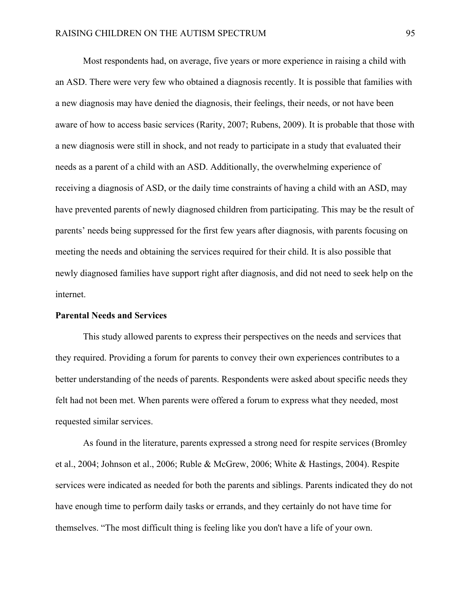Most respondents had, on average, five years or more experience in raising a child with an ASD. There were very few who obtained a diagnosis recently. It is possible that families with a new diagnosis may have denied the diagnosis, their feelings, their needs, or not have been aware of how to access basic services (Rarity, 2007; Rubens, 2009). It is probable that those with a new diagnosis were still in shock, and not ready to participate in a study that evaluated their needs as a parent of a child with an ASD. Additionally, the overwhelming experience of receiving a diagnosis of ASD, or the daily time constraints of having a child with an ASD, may have prevented parents of newly diagnosed children from participating. This may be the result of parents' needs being suppressed for the first few years after diagnosis, with parents focusing on meeting the needs and obtaining the services required for their child. It is also possible that newly diagnosed families have support right after diagnosis, and did not need to seek help on the internet.

#### **Parental Needs and Services**

 This study allowed parents to express their perspectives on the needs and services that they required. Providing a forum for parents to convey their own experiences contributes to a better understanding of the needs of parents. Respondents were asked about specific needs they felt had not been met. When parents were offered a forum to express what they needed, most requested similar services.

As found in the literature, parents expressed a strong need for respite services (Bromley et al., 2004; Johnson et al., 2006; Ruble & McGrew, 2006; White & Hastings, 2004). Respite services were indicated as needed for both the parents and siblings. Parents indicated they do not have enough time to perform daily tasks or errands, and they certainly do not have time for themselves. "The most difficult thing is feeling like you don't have a life of your own.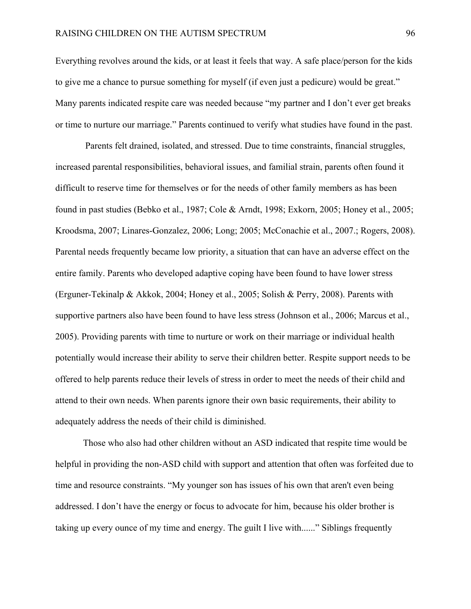Everything revolves around the kids, or at least it feels that way. A safe place/person for the kids to give me a chance to pursue something for myself (if even just a pedicure) would be great." Many parents indicated respite care was needed because "my partner and I don't ever get breaks or time to nurture our marriage." Parents continued to verify what studies have found in the past.

 Parents felt drained, isolated, and stressed. Due to time constraints, financial struggles, increased parental responsibilities, behavioral issues, and familial strain, parents often found it difficult to reserve time for themselves or for the needs of other family members as has been found in past studies (Bebko et al., 1987; Cole & Arndt, 1998; Exkorn, 2005; Honey et al., 2005; Kroodsma, 2007; Linares-Gonzalez, 2006; Long; 2005; McConachie et al., 2007.; Rogers, 2008). Parental needs frequently became low priority, a situation that can have an adverse effect on the entire family. Parents who developed adaptive coping have been found to have lower stress (Erguner-Tekinalp & Akkok, 2004; Honey et al., 2005; Solish & Perry, 2008). Parents with supportive partners also have been found to have less stress (Johnson et al., 2006; Marcus et al., 2005). Providing parents with time to nurture or work on their marriage or individual health potentially would increase their ability to serve their children better. Respite support needs to be offered to help parents reduce their levels of stress in order to meet the needs of their child and attend to their own needs. When parents ignore their own basic requirements, their ability to adequately address the needs of their child is diminished.

Those who also had other children without an ASD indicated that respite time would be helpful in providing the non-ASD child with support and attention that often was forfeited due to time and resource constraints. "My younger son has issues of his own that aren't even being addressed. I don't have the energy or focus to advocate for him, because his older brother is taking up every ounce of my time and energy. The guilt I live with......" Siblings frequently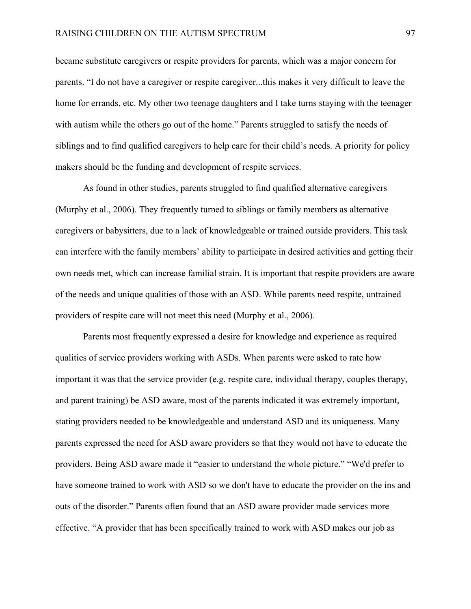became substitute caregivers or respite providers for parents, which was a major concern for parents. "I do not have a caregiver or respite caregiver...this makes it very difficult to leave the home for errands, etc. My other two teenage daughters and I take turns staying with the teenager with autism while the others go out of the home." Parents struggled to satisfy the needs of siblings and to find qualified caregivers to help care for their child's needs. A priority for policy makers should be the funding and development of respite services.

 As found in other studies, parents struggled to find qualified alternative caregivers (Murphy et al., 2006). They frequently turned to siblings or family members as alternative caregivers or babysitters, due to a lack of knowledgeable or trained outside providers. This task can interfere with the family members' ability to participate in desired activities and getting their own needs met, which can increase familial strain. It is important that respite providers are aware of the needs and unique qualities of those with an ASD. While parents need respite, untrained providers of respite care will not meet this need (Murphy et al., 2006).

Parents most frequently expressed a desire for knowledge and experience as required qualities of service providers working with ASDs. When parents were asked to rate how important it was that the service provider (e.g. respite care, individual therapy, couples therapy, and parent training) be ASD aware, most of the parents indicated it was extremely important, stating providers needed to be knowledgeable and understand ASD and its uniqueness. Many parents expressed the need for ASD aware providers so that they would not have to educate the providers. Being ASD aware made it "easier to understand the whole picture." "We'd prefer to have someone trained to work with ASD so we don't have to educate the provider on the ins and outs of the disorder." Parents often found that an ASD aware provider made services more effective. "A provider that has been specifically trained to work with ASD makes our job as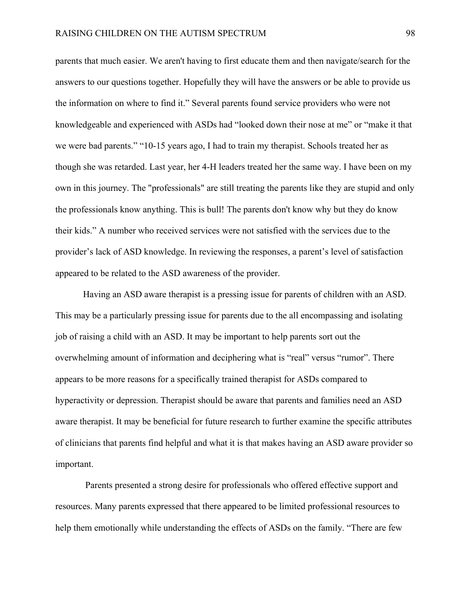parents that much easier. We aren't having to first educate them and then navigate/search for the answers to our questions together. Hopefully they will have the answers or be able to provide us the information on where to find it." Several parents found service providers who were not knowledgeable and experienced with ASDs had "looked down their nose at me" or "make it that we were bad parents." "10-15 years ago, I had to train my therapist. Schools treated her as though she was retarded. Last year, her 4-H leaders treated her the same way. I have been on my own in this journey. The "professionals" are still treating the parents like they are stupid and only the professionals know anything. This is bull! The parents don't know why but they do know their kids." A number who received services were not satisfied with the services due to the provider's lack of ASD knowledge. In reviewing the responses, a parent's level of satisfaction appeared to be related to the ASD awareness of the provider.

Having an ASD aware therapist is a pressing issue for parents of children with an ASD. This may be a particularly pressing issue for parents due to the all encompassing and isolating job of raising a child with an ASD. It may be important to help parents sort out the overwhelming amount of information and deciphering what is "real" versus "rumor". There appears to be more reasons for a specifically trained therapist for ASDs compared to hyperactivity or depression. Therapist should be aware that parents and families need an ASD aware therapist. It may be beneficial for future research to further examine the specific attributes of clinicians that parents find helpful and what it is that makes having an ASD aware provider so important.

 Parents presented a strong desire for professionals who offered effective support and resources. Many parents expressed that there appeared to be limited professional resources to help them emotionally while understanding the effects of ASDs on the family. "There are few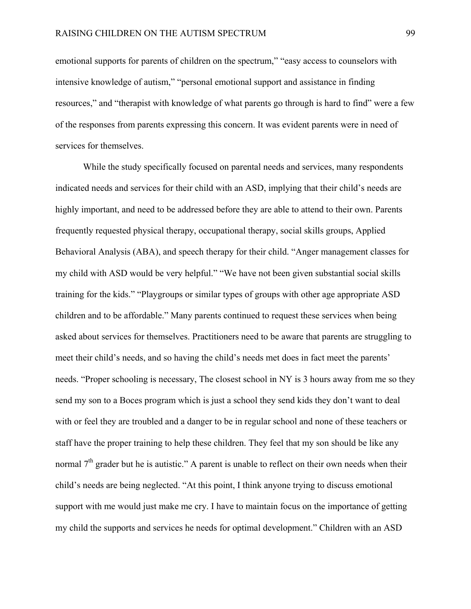emotional supports for parents of children on the spectrum," "easy access to counselors with intensive knowledge of autism," "personal emotional support and assistance in finding resources," and "therapist with knowledge of what parents go through is hard to find" were a few of the responses from parents expressing this concern. It was evident parents were in need of services for themselves.

While the study specifically focused on parental needs and services, many respondents indicated needs and services for their child with an ASD, implying that their child's needs are highly important, and need to be addressed before they are able to attend to their own. Parents frequently requested physical therapy, occupational therapy, social skills groups, Applied Behavioral Analysis (ABA), and speech therapy for their child. "Anger management classes for my child with ASD would be very helpful." "We have not been given substantial social skills training for the kids." "Playgroups or similar types of groups with other age appropriate ASD children and to be affordable." Many parents continued to request these services when being asked about services for themselves. Practitioners need to be aware that parents are struggling to meet their child's needs, and so having the child's needs met does in fact meet the parents' needs. "Proper schooling is necessary, The closest school in NY is 3 hours away from me so they send my son to a Boces program which is just a school they send kids they don't want to deal with or feel they are troubled and a danger to be in regular school and none of these teachers or staff have the proper training to help these children. They feel that my son should be like any normal  $7<sup>th</sup>$  grader but he is autistic." A parent is unable to reflect on their own needs when their child's needs are being neglected. "At this point, I think anyone trying to discuss emotional support with me would just make me cry. I have to maintain focus on the importance of getting my child the supports and services he needs for optimal development." Children with an ASD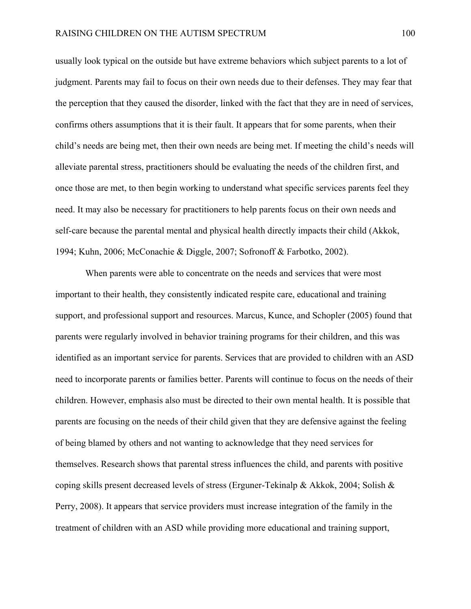usually look typical on the outside but have extreme behaviors which subject parents to a lot of judgment. Parents may fail to focus on their own needs due to their defenses. They may fear that the perception that they caused the disorder, linked with the fact that they are in need of services, confirms others assumptions that it is their fault. It appears that for some parents, when their child's needs are being met, then their own needs are being met. If meeting the child's needs will alleviate parental stress, practitioners should be evaluating the needs of the children first, and once those are met, to then begin working to understand what specific services parents feel they need. It may also be necessary for practitioners to help parents focus on their own needs and self-care because the parental mental and physical health directly impacts their child (Akkok, 1994; Kuhn, 2006; McConachie & Diggle, 2007; Sofronoff & Farbotko, 2002).

 When parents were able to concentrate on the needs and services that were most important to their health, they consistently indicated respite care, educational and training support, and professional support and resources. Marcus, Kunce, and Schopler (2005) found that parents were regularly involved in behavior training programs for their children, and this was identified as an important service for parents. Services that are provided to children with an ASD need to incorporate parents or families better. Parents will continue to focus on the needs of their children. However, emphasis also must be directed to their own mental health. It is possible that parents are focusing on the needs of their child given that they are defensive against the feeling of being blamed by others and not wanting to acknowledge that they need services for themselves. Research shows that parental stress influences the child, and parents with positive coping skills present decreased levels of stress (Erguner-Tekinalp & Akkok, 2004; Solish  $\&$ Perry, 2008). It appears that service providers must increase integration of the family in the treatment of children with an ASD while providing more educational and training support,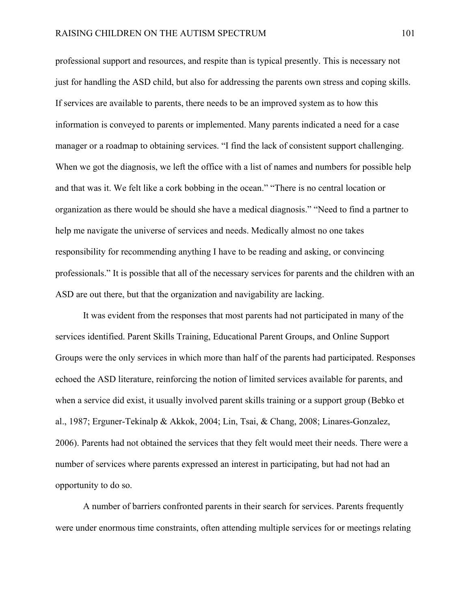professional support and resources, and respite than is typical presently. This is necessary not just for handling the ASD child, but also for addressing the parents own stress and coping skills. If services are available to parents, there needs to be an improved system as to how this information is conveyed to parents or implemented. Many parents indicated a need for a case manager or a roadmap to obtaining services. "I find the lack of consistent support challenging. When we got the diagnosis, we left the office with a list of names and numbers for possible help and that was it. We felt like a cork bobbing in the ocean." "There is no central location or organization as there would be should she have a medical diagnosis." "Need to find a partner to help me navigate the universe of services and needs. Medically almost no one takes responsibility for recommending anything I have to be reading and asking, or convincing professionals." It is possible that all of the necessary services for parents and the children with an ASD are out there, but that the organization and navigability are lacking.

 It was evident from the responses that most parents had not participated in many of the services identified. Parent Skills Training, Educational Parent Groups, and Online Support Groups were the only services in which more than half of the parents had participated. Responses echoed the ASD literature, reinforcing the notion of limited services available for parents, and when a service did exist, it usually involved parent skills training or a support group (Bebko et al., 1987; Erguner-Tekinalp & Akkok, 2004; Lin, Tsai, & Chang, 2008; Linares-Gonzalez, 2006). Parents had not obtained the services that they felt would meet their needs. There were a number of services where parents expressed an interest in participating, but had not had an opportunity to do so.

A number of barriers confronted parents in their search for services. Parents frequently were under enormous time constraints, often attending multiple services for or meetings relating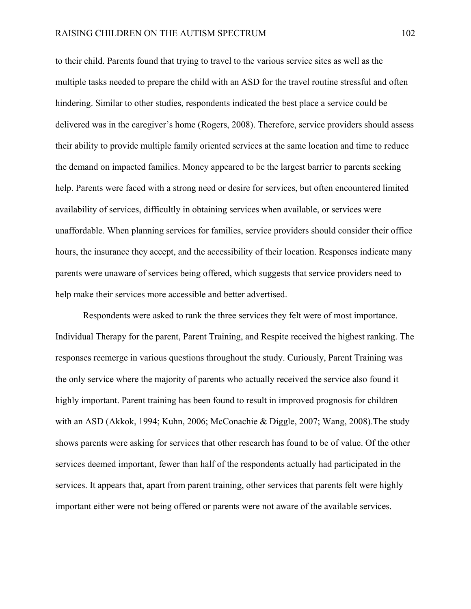to their child. Parents found that trying to travel to the various service sites as well as the multiple tasks needed to prepare the child with an ASD for the travel routine stressful and often hindering. Similar to other studies, respondents indicated the best place a service could be delivered was in the caregiver's home (Rogers, 2008). Therefore, service providers should assess their ability to provide multiple family oriented services at the same location and time to reduce the demand on impacted families. Money appeared to be the largest barrier to parents seeking help. Parents were faced with a strong need or desire for services, but often encountered limited availability of services, difficultly in obtaining services when available, or services were unaffordable. When planning services for families, service providers should consider their office hours, the insurance they accept, and the accessibility of their location. Responses indicate many parents were unaware of services being offered, which suggests that service providers need to help make their services more accessible and better advertised.

Respondents were asked to rank the three services they felt were of most importance. Individual Therapy for the parent, Parent Training, and Respite received the highest ranking. The responses reemerge in various questions throughout the study. Curiously, Parent Training was the only service where the majority of parents who actually received the service also found it highly important. Parent training has been found to result in improved prognosis for children with an ASD (Akkok, 1994; Kuhn, 2006; McConachie & Diggle, 2007; Wang, 2008).The study shows parents were asking for services that other research has found to be of value. Of the other services deemed important, fewer than half of the respondents actually had participated in the services. It appears that, apart from parent training, other services that parents felt were highly important either were not being offered or parents were not aware of the available services.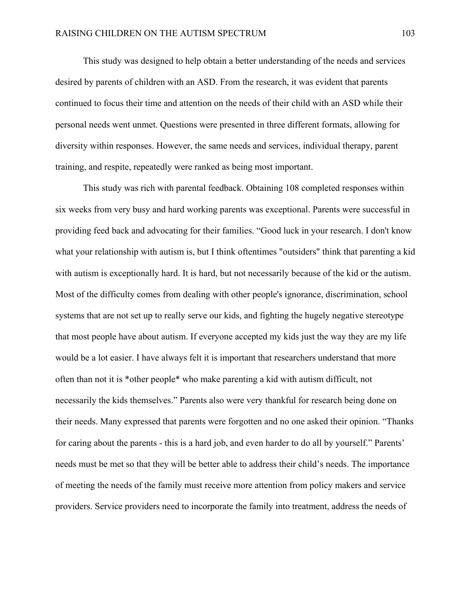This study was designed to help obtain a better understanding of the needs and services desired by parents of children with an ASD. From the research, it was evident that parents continued to focus their time and attention on the needs of their child with an ASD while their personal needs went unmet. Questions were presented in three different formats, allowing for diversity within responses. However, the same needs and services, individual therapy, parent training, and respite, repeatedly were ranked as being most important.

This study was rich with parental feedback. Obtaining 108 completed responses within six weeks from very busy and hard working parents was exceptional. Parents were successful in providing feed back and advocating for their families. "Good luck in your research. I don't know what your relationship with autism is, but I think oftentimes "outsiders" think that parenting a kid with autism is exceptionally hard. It is hard, but not necessarily because of the kid or the autism. Most of the difficulty comes from dealing with other people's ignorance, discrimination, school systems that are not set up to really serve our kids, and fighting the hugely negative stereotype that most people have about autism. If everyone accepted my kids just the way they are my life would be a lot easier. I have always felt it is important that researchers understand that more often than not it is \*other people\* who make parenting a kid with autism difficult, not necessarily the kids themselves." Parents also were very thankful for research being done on their needs. Many expressed that parents were forgotten and no one asked their opinion. "Thanks for caring about the parents - this is a hard job, and even harder to do all by yourself." Parents' needs must be met so that they will be better able to address their child's needs. The importance of meeting the needs of the family must receive more attention from policy makers and service providers. Service providers need to incorporate the family into treatment, address the needs of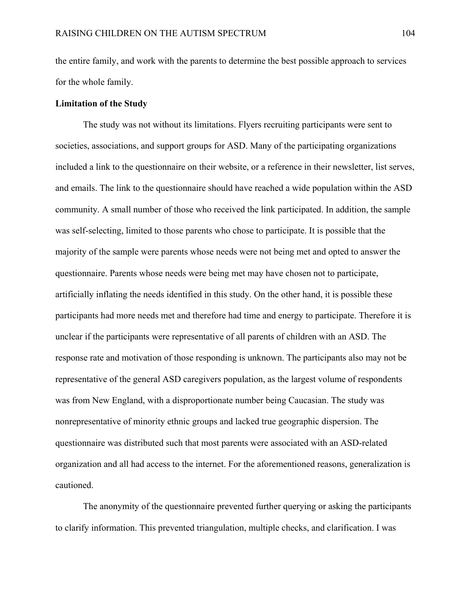the entire family, and work with the parents to determine the best possible approach to services for the whole family.

#### **Limitation of the Study**

 The study was not without its limitations. Flyers recruiting participants were sent to societies, associations, and support groups for ASD. Many of the participating organizations included a link to the questionnaire on their website, or a reference in their newsletter, list serves, and emails. The link to the questionnaire should have reached a wide population within the ASD community. A small number of those who received the link participated. In addition, the sample was self-selecting, limited to those parents who chose to participate. It is possible that the majority of the sample were parents whose needs were not being met and opted to answer the questionnaire. Parents whose needs were being met may have chosen not to participate, artificially inflating the needs identified in this study. On the other hand, it is possible these participants had more needs met and therefore had time and energy to participate. Therefore it is unclear if the participants were representative of all parents of children with an ASD. The response rate and motivation of those responding is unknown. The participants also may not be representative of the general ASD caregivers population, as the largest volume of respondents was from New England, with a disproportionate number being Caucasian. The study was nonrepresentative of minority ethnic groups and lacked true geographic dispersion. The questionnaire was distributed such that most parents were associated with an ASD-related organization and all had access to the internet. For the aforementioned reasons, generalization is cautioned.

 The anonymity of the questionnaire prevented further querying or asking the participants to clarify information. This prevented triangulation, multiple checks, and clarification. I was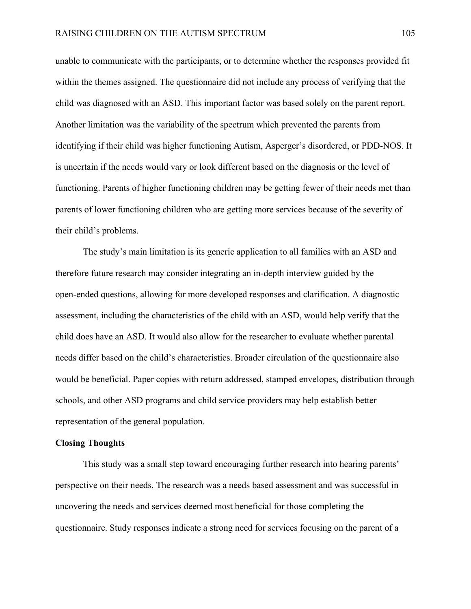unable to communicate with the participants, or to determine whether the responses provided fit within the themes assigned. The questionnaire did not include any process of verifying that the child was diagnosed with an ASD. This important factor was based solely on the parent report. Another limitation was the variability of the spectrum which prevented the parents from identifying if their child was higher functioning Autism, Asperger's disordered, or PDD-NOS. It is uncertain if the needs would vary or look different based on the diagnosis or the level of functioning. Parents of higher functioning children may be getting fewer of their needs met than parents of lower functioning children who are getting more services because of the severity of their child's problems.

The study's main limitation is its generic application to all families with an ASD and therefore future research may consider integrating an in-depth interview guided by the open-ended questions, allowing for more developed responses and clarification. A diagnostic assessment, including the characteristics of the child with an ASD, would help verify that the child does have an ASD. It would also allow for the researcher to evaluate whether parental needs differ based on the child's characteristics. Broader circulation of the questionnaire also would be beneficial. Paper copies with return addressed, stamped envelopes, distribution through schools, and other ASD programs and child service providers may help establish better representation of the general population.

#### **Closing Thoughts**

 This study was a small step toward encouraging further research into hearing parents' perspective on their needs. The research was a needs based assessment and was successful in uncovering the needs and services deemed most beneficial for those completing the questionnaire. Study responses indicate a strong need for services focusing on the parent of a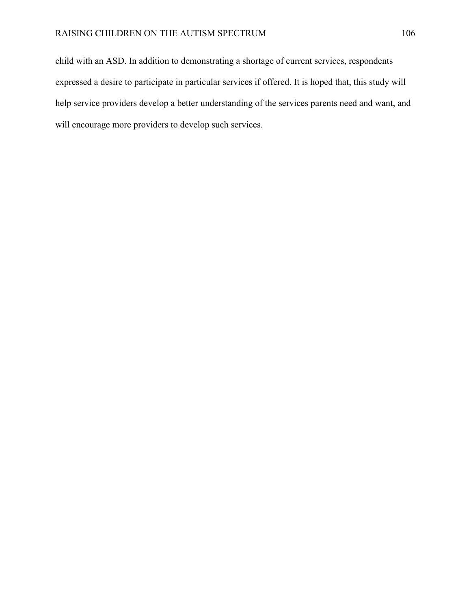child with an ASD. In addition to demonstrating a shortage of current services, respondents expressed a desire to participate in particular services if offered. It is hoped that, this study will help service providers develop a better understanding of the services parents need and want, and will encourage more providers to develop such services.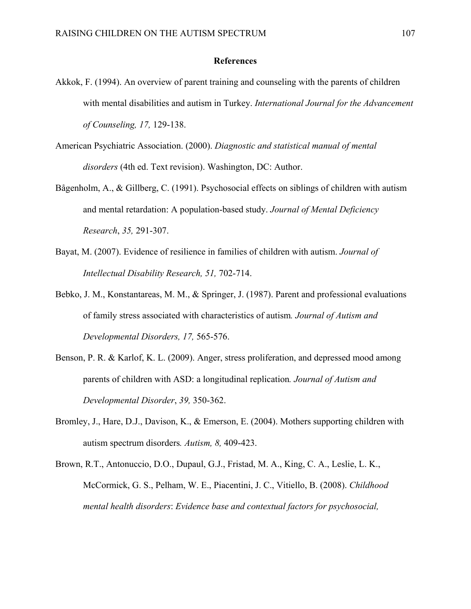#### **References**

- Akkok, F. (1994). An overview of parent training and counseling with the parents of children with mental disabilities and autism in Turkey. *International Journal for the Advancement of Counseling, 17,* 129-138.
- American Psychiatric Association. (2000). *Diagnostic and statistical manual of mental disorders* (4th ed. Text revision). Washington, DC: Author.
- Bågenholm, A., & Gillberg, C. (1991). Psychosocial effects on siblings of children with autism and mental retardation: A population-based study. *Journal of Mental Deficiency Research*, *35,* 291-307.
- Bayat, M. (2007). Evidence of resilience in families of children with autism. *Journal of Intellectual Disability Research, 51,* 702-714.
- Bebko, J. M., Konstantareas, M. M., & Springer, J. (1987). Parent and professional evaluations of family stress associated with characteristics of autism*. Journal of Autism and Developmental Disorders, 17,* 565-576.
- Benson, P. R. & Karlof, K. L. (2009). Anger, stress proliferation, and depressed mood among parents of children with ASD: a longitudinal replication*. Journal of Autism and Developmental Disorder*, *39,* 350-362.
- Bromley, J., Hare, D.J., Davison, K., & Emerson, E. (2004). Mothers supporting children with autism spectrum disorders*. Autism, 8,* 409-423.
- Brown, R.T., Antonuccio, D.O., Dupaul, G.J., Fristad, M. A., King, C. A., Leslie, L. K., McCormick, G. S., Pelham, W. E., Piacentini, J. C., Vitiello, B. (2008). *Childhood mental health disorders*: *Evidence base and contextual factors for psychosocial,*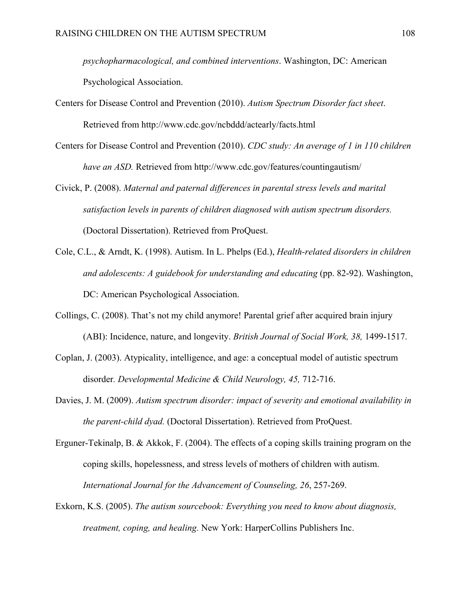*psychopharmacological, and combined interventions*. Washington, DC: American Psychological Association.

- Centers for Disease Control and Prevention (2010). *Autism Spectrum Disorder fact sheet*. Retrieved from http://www.cdc.gov/ncbddd/actearly/facts.html
- Centers for Disease Control and Prevention (2010). *CDC study: An average of 1 in 110 children have an ASD.* Retrieved from http://www.cdc.gov/features/countingautism/
- Civick, P. (2008). *Maternal and paternal differences in parental stress levels and marital satisfaction levels in parents of children diagnosed with autism spectrum disorders.*  (Doctoral Dissertation). Retrieved from ProQuest.
- Cole, C.L., & Arndt, K. (1998). Autism. In L. Phelps (Ed.), *Health-related disorders in children and adolescents: A guidebook for understanding and educating* (pp. 82-92). Washington, DC: American Psychological Association.
- Collings, C. (2008). That's not my child anymore! Parental grief after acquired brain injury (ABI): Incidence, nature, and longevity. *British Journal of Social Work, 38,* 1499-1517.
- Coplan, J. (2003). Atypicality, intelligence, and age: a conceptual model of autistic spectrum disorder*. Developmental Medicine & Child Neurology, 45,* 712-716.
- Davies, J. M. (2009). *Autism spectrum disorder: impact of severity and emotional availability in the parent-child dyad.* (Doctoral Dissertation). Retrieved from ProQuest.
- Erguner-Tekinalp, B. & Akkok, F. (2004). The effects of a coping skills training program on the coping skills, hopelessness, and stress levels of mothers of children with autism. *International Journal for the Advancement of Counseling, 26*, 257-269.
- Exkorn, K.S. (2005). *The autism sourcebook: Everything you need to know about diagnosis, treatment, coping, and healing.* New York: HarperCollins Publishers Inc.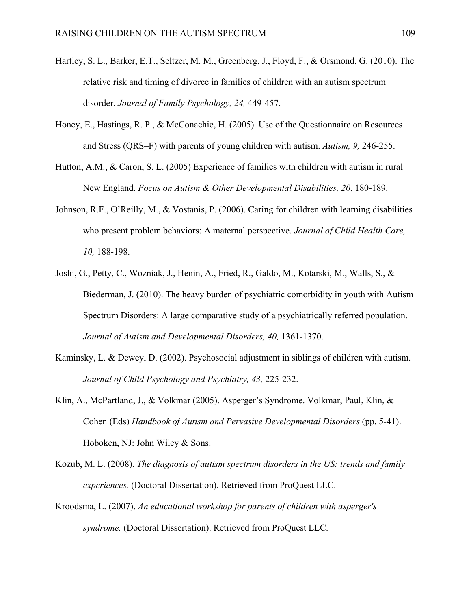- Hartley, S. L., Barker, E.T., Seltzer, M. M., Greenberg, J., Floyd, F., & Orsmond, G. (2010). The relative risk and timing of divorce in families of children with an autism spectrum disorder. *Journal of Family Psychology, 24,* 449-457.
- Honey, E., Hastings, R. P., & McConachie, H. (2005). Use of the Questionnaire on Resources and Stress (QRS–F) with parents of young children with autism. *Autism, 9,* 246-255.
- Hutton, A.M., & Caron, S. L. (2005) Experience of families with children with autism in rural New England. *Focus on Autism & Other Developmental Disabilities, 20*, 180-189.
- Johnson, R.F., O'Reilly, M., & Vostanis, P. (2006). Caring for children with learning disabilities who present problem behaviors: A maternal perspective. *Journal of Child Health Care, 10,* 188-198.
- Joshi, G., Petty, C., Wozniak, J., Henin, A., Fried, R., Galdo, M., Kotarski, M., Walls, S., & Biederman, J. (2010). The heavy burden of psychiatric comorbidity in youth with Autism Spectrum Disorders: A large comparative study of a psychiatrically referred population. *Journal of Autism and Developmental Disorders, 40,* 1361-1370.
- Kaminsky, L. & Dewey, D. (2002). Psychosocial adjustment in siblings of children with autism. *Journal of Child Psychology and Psychiatry, 43,* 225-232.
- Klin, A., McPartland, J., & Volkmar (2005). Asperger's Syndrome. Volkmar, Paul, Klin, & Cohen (Eds) *Handbook of Autism and Pervasive Developmental Disorders* (pp. 5-41). Hoboken, NJ: John Wiley & Sons.
- Kozub, M. L. (2008). *The diagnosis of autism spectrum disorders in the US: trends and family experiences.* (Doctoral Dissertation). Retrieved from ProQuest LLC.
- Kroodsma, L. (2007). *An educational workshop for parents of children with asperger's syndrome.* (Doctoral Dissertation). Retrieved from ProQuest LLC.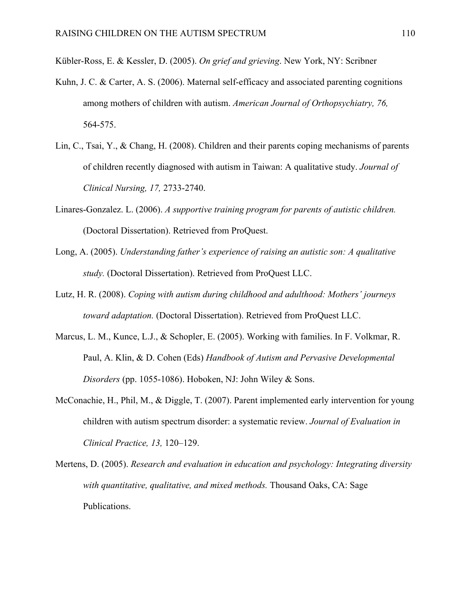Kübler-Ross, E. & Kessler, D. (2005). *On grief and grieving*. New York, NY: Scribner

- Kuhn, J. C. & Carter, A. S. (2006). Maternal self-efficacy and associated parenting cognitions among mothers of children with autism. *American Journal of Orthopsychiatry, 76,* 564-575.
- Lin, C., Tsai, Y., & Chang, H. (2008). Children and their parents coping mechanisms of parents of children recently diagnosed with autism in Taiwan: A qualitative study. *Journal of Clinical Nursing, 17,* 2733-2740.
- Linares-Gonzalez. L. (2006). *A supportive training program for parents of autistic children.*  (Doctoral Dissertation). Retrieved from ProQuest.
- Long, A. (2005). *Understanding father's experience of raising an autistic son: A qualitative study.* (Doctoral Dissertation). Retrieved from ProQuest LLC.
- Lutz, H. R. (2008). *Coping with autism during childhood and adulthood: Mothers' journeys toward adaptation.* (Doctoral Dissertation). Retrieved from ProQuest LLC.
- Marcus, L. M., Kunce, L.J., & Schopler, E. (2005). Working with families. In F. Volkmar, R. Paul, A. Klin, & D. Cohen (Eds) *Handbook of Autism and Pervasive Developmental Disorders* (pp. 1055-1086). Hoboken, NJ: John Wiley & Sons.
- McConachie, H., Phil, M., & Diggle, T. (2007). Parent implemented early intervention for young children with autism spectrum disorder: a systematic review. *Journal of Evaluation in Clinical Practice, 13,* 120–129.

Mertens, D. (2005). *Research and evaluation in education and psychology: Integrating diversity with quantitative, qualitative, and mixed methods.* Thousand Oaks, CA: Sage Publications.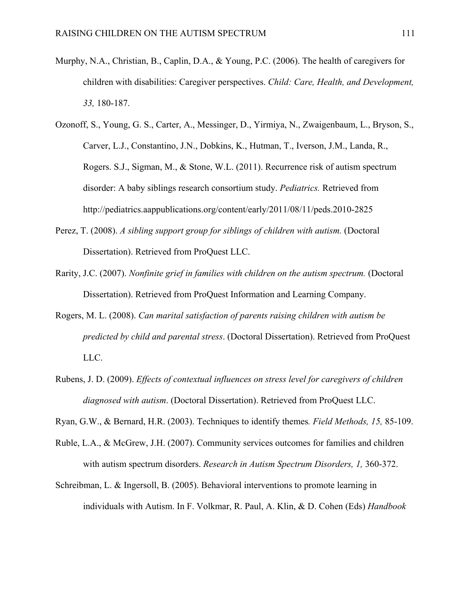- Murphy, N.A., Christian, B., Caplin, D.A., & Young, P.C. (2006). The health of caregivers for children with disabilities: Caregiver perspectives. *Child: Care, Health, and Development, 33,* 180-187.
- Ozonoff, S., Young, G. S., Carter, A., Messinger, D., Yirmiya, N., Zwaigenbaum, L., Bryson, S., Carver, L.J., Constantino, J.N., Dobkins, K., Hutman, T., Iverson, J.M., Landa, R., Rogers. S.J., Sigman, M., & Stone, W.L. (2011). Recurrence risk of autism spectrum disorder: A baby siblings research consortium study. *Pediatrics.* Retrieved from http://pediatrics.aappublications.org/content/early/2011/08/11/peds.2010-2825
- Perez, T. (2008). *A sibling support group for siblings of children with autism.* (Doctoral Dissertation). Retrieved from ProQuest LLC.
- Rarity, J.C. (2007). *Nonfinite grief in families with children on the autism spectrum.* (Doctoral Dissertation). Retrieved from ProQuest Information and Learning Company.
- Rogers, M. L. (2008). *Can marital satisfaction of parents raising children with autism be predicted by child and parental stress*. (Doctoral Dissertation). Retrieved from ProQuest LLC.
- Rubens, J. D. (2009). *Effects of contextual influences on stress level for caregivers of children diagnosed with autism*. (Doctoral Dissertation). Retrieved from ProQuest LLC.
- Ryan, G.W., & Bernard, H.R. (2003). Techniques to identify themes*. Field Methods, 15,* 85-109.
- Ruble, L.A., & McGrew, J.H. (2007). Community services outcomes for families and children with autism spectrum disorders. *Research in Autism Spectrum Disorders, 1,* 360-372.
- Schreibman, L. & Ingersoll, B. (2005). Behavioral interventions to promote learning in individuals with Autism. In F. Volkmar, R. Paul, A. Klin, & D. Cohen (Eds) *Handbook*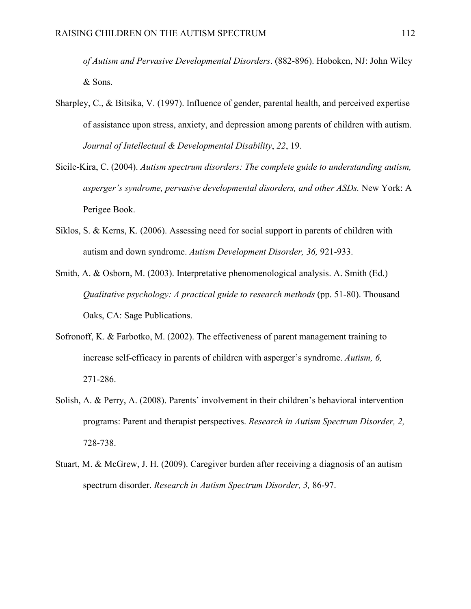*of Autism and Pervasive Developmental Disorders*. (882-896). Hoboken, NJ: John Wiley & Sons.

- Sharpley, C., & Bitsika, V. (1997). Influence of gender, parental health, and perceived expertise of assistance upon stress, anxiety, and depression among parents of children with autism. *Journal of Intellectual & Developmental Disability*, *22*, 19.
- Sicile-Kira, C. (2004). *Autism spectrum disorders: The complete guide to understanding autism, asperger's syndrome, pervasive developmental disorders, and other ASDs.* New York: A Perigee Book.
- Siklos, S. & Kerns, K. (2006). Assessing need for social support in parents of children with autism and down syndrome. *Autism Development Disorder, 36,* 921-933.
- Smith, A. & Osborn, M. (2003). Interpretative phenomenological analysis. A. Smith (Ed.) *Qualitative psychology: A practical guide to research methods* (pp. 51-80). Thousand Oaks, CA: Sage Publications.
- Sofronoff, K. & Farbotko, M. (2002). The effectiveness of parent management training to increase self-efficacy in parents of children with asperger's syndrome. *Autism, 6,* 271-286.
- Solish, A. & Perry, A. (2008). Parents' involvement in their children's behavioral intervention programs: Parent and therapist perspectives. *Research in Autism Spectrum Disorder, 2,* 728-738.
- Stuart, M. & McGrew, J. H. (2009). Caregiver burden after receiving a diagnosis of an autism spectrum disorder. *Research in Autism Spectrum Disorder, 3,* 86-97.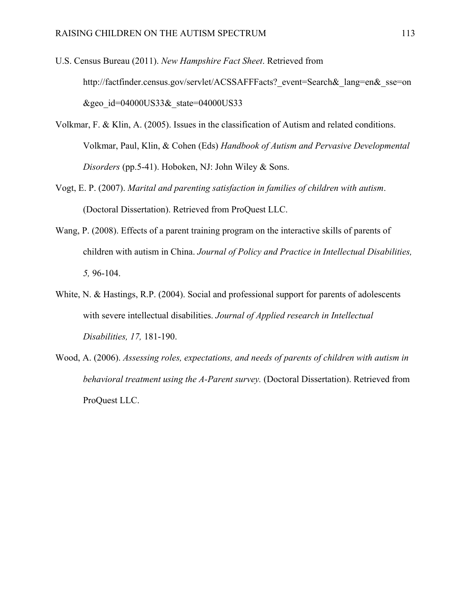- U.S. Census Bureau (2011). *New Hampshire Fact Sheet*. Retrieved from http://factfinder.census.gov/servlet/ACSSAFFFacts? event=Search& lang=en& sse=on &geo id=04000US33& state=04000US33
- Volkmar, F. & Klin, A. (2005). Issues in the classification of Autism and related conditions. Volkmar, Paul, Klin, & Cohen (Eds) *Handbook of Autism and Pervasive Developmental Disorders* (pp.5-41). Hoboken, NJ: John Wiley & Sons.
- Vogt, E. P. (2007). *Marital and parenting satisfaction in families of children with autism*. (Doctoral Dissertation). Retrieved from ProQuest LLC.
- Wang, P. (2008). Effects of a parent training program on the interactive skills of parents of children with autism in China. *Journal of Policy and Practice in Intellectual Disabilities, 5,* 96-104.
- White, N. & Hastings, R.P. (2004). Social and professional support for parents of adolescents with severe intellectual disabilities. *Journal of Applied research in Intellectual Disabilities, 17,* 181-190.
- Wood, A. (2006). *Assessing roles, expectations, and needs of parents of children with autism in behavioral treatment using the A-Parent survey.* (Doctoral Dissertation). Retrieved from ProQuest LLC.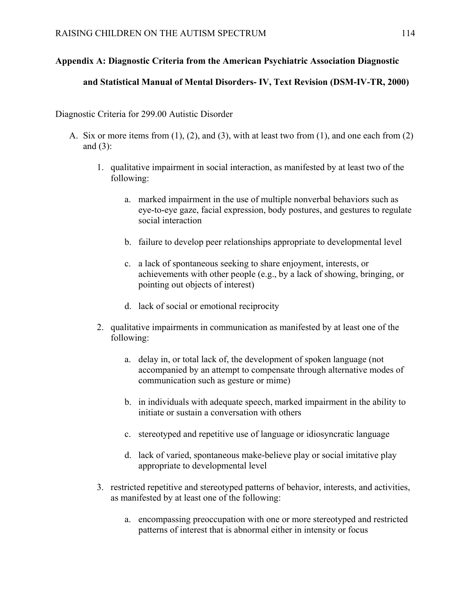# **Appendix A: Diagnostic Criteria from the American Psychiatric Association Diagnostic**

### **and Statistical Manual of Mental Disorders- IV, Text Revision (DSM-IV-TR, 2000)**

Diagnostic Criteria for 299.00 Autistic Disorder

- A. Six or more items from  $(1)$ ,  $(2)$ , and  $(3)$ , with at least two from  $(1)$ , and one each from  $(2)$ and (3):
	- 1. qualitative impairment in social interaction, as manifested by at least two of the following:
		- a. marked impairment in the use of multiple nonverbal behaviors such as eye-to-eye gaze, facial expression, body postures, and gestures to regulate social interaction
		- b. failure to develop peer relationships appropriate to developmental level
		- c. a lack of spontaneous seeking to share enjoyment, interests, or achievements with other people (e.g., by a lack of showing, bringing, or pointing out objects of interest)
		- d. lack of social or emotional reciprocity
	- 2. qualitative impairments in communication as manifested by at least one of the following:
		- a. delay in, or total lack of, the development of spoken language (not accompanied by an attempt to compensate through alternative modes of communication such as gesture or mime)
		- b. in individuals with adequate speech, marked impairment in the ability to initiate or sustain a conversation with others
		- c. stereotyped and repetitive use of language or idiosyncratic language
		- d. lack of varied, spontaneous make-believe play or social imitative play appropriate to developmental level
	- 3. restricted repetitive and stereotyped patterns of behavior, interests, and activities, as manifested by at least one of the following:
		- a. encompassing preoccupation with one or more stereotyped and restricted patterns of interest that is abnormal either in intensity or focus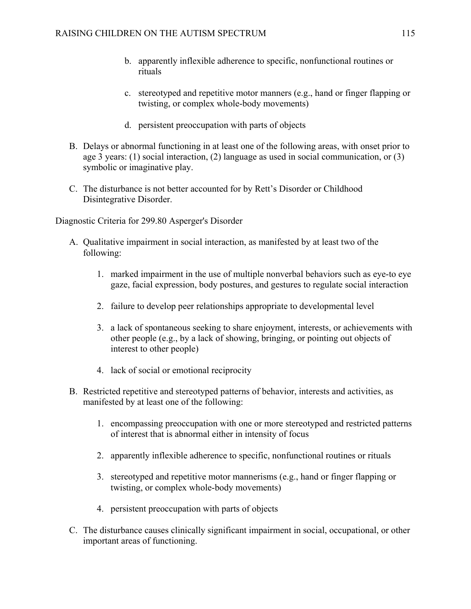- b. apparently inflexible adherence to specific, nonfunctional routines or rituals
- c. stereotyped and repetitive motor manners (e.g., hand or finger flapping or twisting, or complex whole-body movements)
- d. persistent preoccupation with parts of objects
- B. Delays or abnormal functioning in at least one of the following areas, with onset prior to age 3 years: (1) social interaction, (2) language as used in social communication, or (3) symbolic or imaginative play.
- C. The disturbance is not better accounted for by Rett's Disorder or Childhood Disintegrative Disorder.

Diagnostic Criteria for 299.80 Asperger's Disorder

- A. Qualitative impairment in social interaction, as manifested by at least two of the following:
	- 1. marked impairment in the use of multiple nonverbal behaviors such as eye-to eye gaze, facial expression, body postures, and gestures to regulate social interaction
	- 2. failure to develop peer relationships appropriate to developmental level
	- 3. a lack of spontaneous seeking to share enjoyment, interests, or achievements with other people (e.g., by a lack of showing, bringing, or pointing out objects of interest to other people)
	- 4. lack of social or emotional reciprocity
- B. Restricted repetitive and stereotyped patterns of behavior, interests and activities, as manifested by at least one of the following:
	- 1. encompassing preoccupation with one or more stereotyped and restricted patterns of interest that is abnormal either in intensity of focus
	- 2. apparently inflexible adherence to specific, nonfunctional routines or rituals
	- 3. stereotyped and repetitive motor mannerisms (e.g., hand or finger flapping or twisting, or complex whole-body movements)
	- 4. persistent preoccupation with parts of objects
- C. The disturbance causes clinically significant impairment in social, occupational, or other important areas of functioning.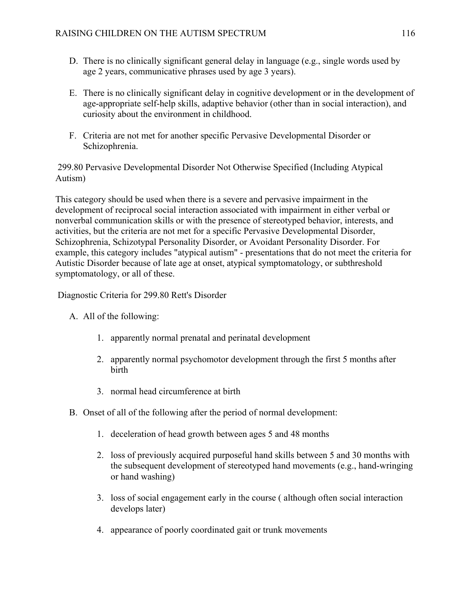- D. There is no clinically significant general delay in language (e.g., single words used by age 2 years, communicative phrases used by age 3 years).
- E. There is no clinically significant delay in cognitive development or in the development of age-appropriate self-help skills, adaptive behavior (other than in social interaction), and curiosity about the environment in childhood.
- F. Criteria are not met for another specific Pervasive Developmental Disorder or Schizophrenia.

 299.80 Pervasive Developmental Disorder Not Otherwise Specified (Including Atypical Autism)

This category should be used when there is a severe and pervasive impairment in the development of reciprocal social interaction associated with impairment in either verbal or nonverbal communication skills or with the presence of stereotyped behavior, interests, and activities, but the criteria are not met for a specific Pervasive Developmental Disorder, Schizophrenia, Schizotypal Personality Disorder, or Avoidant Personality Disorder. For example, this category includes "atypical autism" - presentations that do not meet the criteria for Autistic Disorder because of late age at onset, atypical symptomatology, or subthreshold symptomatology, or all of these.

Diagnostic Criteria for 299.80 Rett's Disorder

- A. All of the following:
	- 1. apparently normal prenatal and perinatal development
	- 2. apparently normal psychomotor development through the first 5 months after birth
	- 3. normal head circumference at birth
- B. Onset of all of the following after the period of normal development:
	- 1. deceleration of head growth between ages 5 and 48 months
	- 2. loss of previously acquired purposeful hand skills between 5 and 30 months with the subsequent development of stereotyped hand movements (e.g., hand-wringing or hand washing)
	- 3. loss of social engagement early in the course ( although often social interaction develops later)
	- 4. appearance of poorly coordinated gait or trunk movements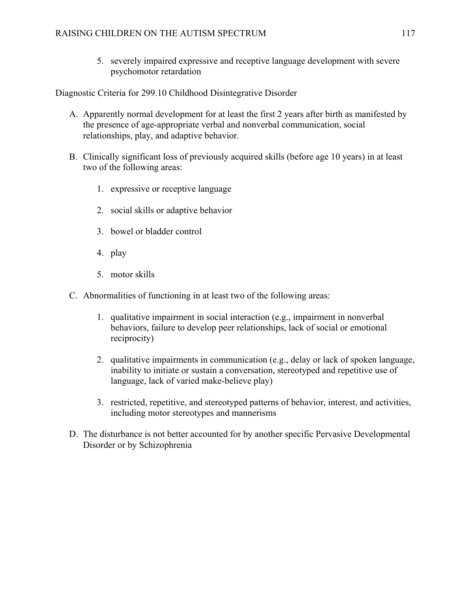5. severely impaired expressive and receptive language development with severe psychomotor retardation

Diagnostic Criteria for 299.10 Childhood Disintegrative Disorder

- A. Apparently normal development for at least the first 2 years after birth as manifested by the presence of age-appropriate verbal and nonverbal communication, social relationships, play, and adaptive behavior.
- B. Clinically significant loss of previously acquired skills (before age 10 years) in at least two of the following areas:
	- 1. expressive or receptive language
	- 2. social skills or adaptive behavior
	- 3. bowel or bladder control
	- 4. play
	- 5. motor skills
- C. Abnormalities of functioning in at least two of the following areas:
	- 1. qualitative impairment in social interaction (e.g., impairment in nonverbal behaviors, failure to develop peer relationships, lack of social or emotional reciprocity)
	- 2. qualitative impairments in communication (e.g., delay or lack of spoken language, inability to initiate or sustain a conversation, stereotyped and repetitive use of language, lack of varied make-believe play)
	- 3. restricted, repetitive, and stereotyped patterns of behavior, interest, and activities, including motor stereotypes and mannerisms
- D. The disturbance is not better accounted for by another specific Pervasive Developmental Disorder or by Schizophrenia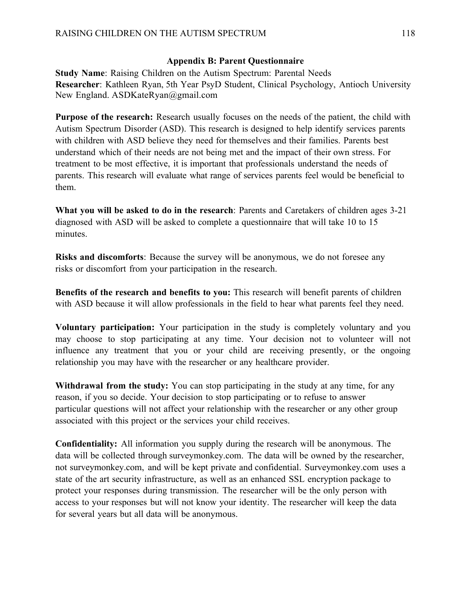#### **Appendix B: Parent Questionnaire**

**Study Name**: Raising Children on the Autism Spectrum: Parental Needs **Researcher**: Kathleen Ryan, 5th Year PsyD Student, Clinical Psychology, Antioch University New England. ASDKateRyan@gmail.com

**Purpose of the research:** Research usually focuses on the needs of the patient, the child with Autism Spectrum Disorder (ASD). This research is designed to help identify services parents with children with ASD believe they need for themselves and their families. Parents best understand which of their needs are not being met and the impact of their own stress. For treatment to be most effective, it is important that professionals understand the needs of parents. This research will evaluate what range of services parents feel would be beneficial to them.

**What you will be asked to do in the research**: Parents and Caretakers of children ages 3-21 diagnosed with ASD will be asked to complete a questionnaire that will take 10 to 15 minutes.

**Risks and discomforts**: Because the survey will be anonymous, we do not foresee any risks or discomfort from your participation in the research.

**Benefits of the research and benefits to you:** This research will benefit parents of children with ASD because it will allow professionals in the field to hear what parents feel they need.

**Voluntary participation:** Your participation in the study is completely voluntary and you may choose to stop participating at any time. Your decision not to volunteer will not influence any treatment that you or your child are receiving presently, or the ongoing relationship you may have with the researcher or any healthcare provider.

**Withdrawal from the study:** You can stop participating in the study at any time, for any reason, if you so decide. Your decision to stop participating or to refuse to answer particular questions will not affect your relationship with the researcher or any other group associated with this project or the services your child receives.

**Confidentiality:** All information you supply during the research will be anonymous. The data will be collected through surveymonkey.com. The data will be owned by the researcher, not surveymonkey.com, and will be kept private and confidential. Surveymonkey.com uses a state of the art security infrastructure, as well as an enhanced SSL encryption package to protect your responses during transmission. The researcher will be the only person with access to your responses but will not know your identity. The researcher will keep the data for several years but all data will be anonymous.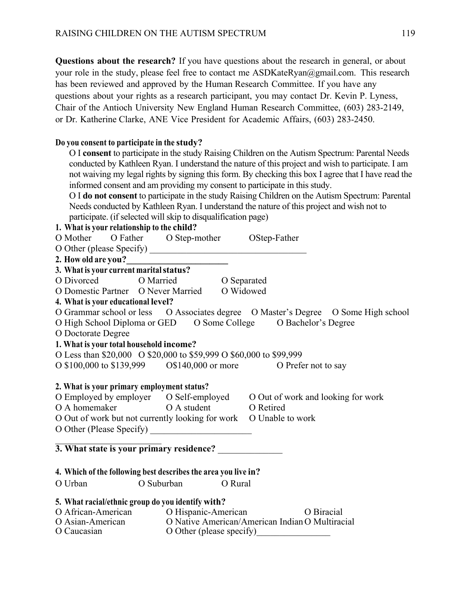**Questions about the research?** If you have questions about the research in general, or about your role in the study, please feel free to contact me ASDKateRyan@gmail.com. This research has been reviewed and approved by the Human Research Committee. If you have any questions about your rights as a research participant, you may contact Dr. Kevin P. Lyness, Chair of the Antioch University New England Human Research Committee, (603) 283-2149, or Dr. Katherine Clarke, ANE Vice President for Academic Affairs, (603) 283-2450.

#### **Do you consent to participate in the study?**

O I **consent** to participate in the study Raising Children on the Autism Spectrum: Parental Needs conducted by Kathleen Ryan. I understand the nature of this project and wish to participate. I am not waiving my legal rights by signing this form. By checking this box I agree that I have read the informed consent and am providing my consent to participate in this study.

O I **do not consent** to participate in the study Raising Children on the Autism Spectrum: Parental Needs conducted by Kathleen Ryan. I understand the nature of this project and wish not to participate. (if selected will skip to disqualification page)

#### **1. What is your relationship to the child?**

O Mother O Father O Step-mother OStep-Father

O Other (please Specify) \_\_\_\_\_\_\_\_\_\_\_\_\_\_\_\_\_\_\_\_\_\_\_\_\_\_\_\_\_\_\_\_\_\_

#### **2. How old are you?\_\_\_\_\_\_\_\_\_\_\_\_\_\_\_\_\_\_\_\_\_\_**

|            | 3. What is your current marital status? |             |
|------------|-----------------------------------------|-------------|
| O Divorced | O Married                               | O Separated |

- O Domestic Partner O Never Married O Widowed
- **4. What is your educational level?**
- O Grammar school or less O Associates degree O Master's Degree O Some High school O High School Diploma or GED O Some College O Bachelor's Degree
- 
- O Doctorate Degree

# **1. What is your total household income?**

# O Less than \$20,000 O \$20,000 to \$59,999 O \$60,000 to \$99,999

O \$100,000 to \$139,999 O\$140,000 or more O Prefer not to say

#### **2. What is your primary employment status?**

O Employed by employer O Self-employed O Out of work and looking for work O A homemaker O A student O Retired O Out of work but not currently looking for work O Unable to work O Other (Please Specify)

#### $\mathcal{L}_\text{max}$  , where  $\mathcal{L}_\text{max}$  , we have the set of  $\mathcal{L}_\text{max}$ **3. What state is your primary residence?**

- **4. Which of the following best describes the area you live in?**
- O Urban O Suburban O Rural

# **5. What racial/ethnic group do you identify with?**

O African-American O Hispanic-American O Biracial O Asian-American O Native American/American Indian O Multiracial O Caucasian O Other (please specify)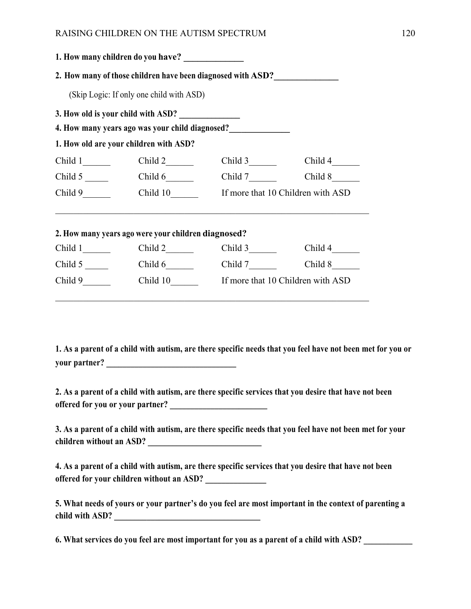|                                          | 1. How many children do you have? ______________            |         |                                            |  |
|------------------------------------------|-------------------------------------------------------------|---------|--------------------------------------------|--|
|                                          | 2. How many of those children have been diagnosed with ASD? |         |                                            |  |
| (Skip Logic: If only one child with ASD) |                                                             |         |                                            |  |
| 3. How old is your child with ASD?       |                                                             |         |                                            |  |
|                                          |                                                             |         |                                            |  |
|                                          | 1. How old are your children with ASD?                      |         |                                            |  |
| $Child 1$ <sub>___________</sub>         | Child 2                                                     | Child 3 | Child $4$ <sub>_________</sub>             |  |
|                                          | Child $6$                                                   | Child 7 | Child 8                                    |  |
| Child 9                                  |                                                             |         | Child 10 If more that 10 Children with ASD |  |
|                                          |                                                             |         |                                            |  |
|                                          | 2. How many years ago were your children diagnosed?         |         |                                            |  |
| $Child 1$ <sub>_________</sub>           | $Child 2$ <sub>_________</sub>                              | Child 3 | Child 4                                    |  |
| Child $5 \_$                             |                                                             |         | Child 8                                    |  |
| Child 9                                  |                                                             |         | Child 10 If more that 10 Children with ASD |  |

**1. As a parent of a child with autism, are there specific needs that you feel have not been met for you or your partner? \_\_\_\_\_\_\_\_\_\_\_\_\_\_\_\_\_\_\_\_\_\_\_\_\_\_\_\_\_\_\_\_** 

**2. As a parent of a child with autism, are there specific services that you desire that have not been**  offered for you or your partner?

**3. As a parent of a child with autism, are there specific needs that you feel have not been met for your children without an ASD? \_\_\_\_\_\_\_\_\_\_\_\_\_\_\_\_\_\_\_\_\_\_\_\_\_\_\_\_** 

**4. As a parent of a child with autism, are there specific services that you desire that have not been**  offered for your children without an ASD?

**5. What needs of yours or your partner's do you feel are most important in the context of parenting a**  child with ASD?

**6. What services do you feel are most important for you as a parent of a child with ASD? \_\_\_\_\_\_\_\_\_\_\_\_**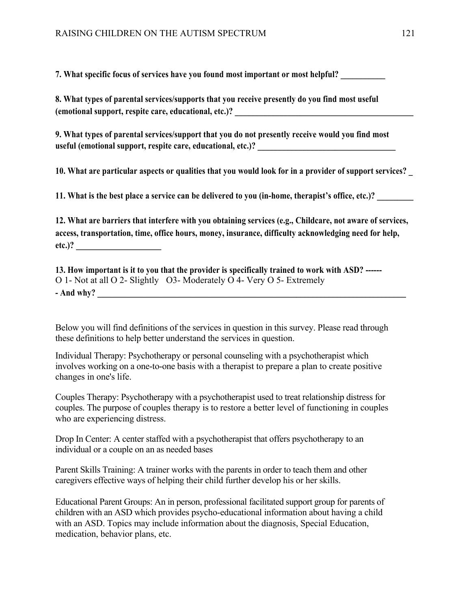**7. What specific focus of services have you found most important or most helpful?** 

| 8. What types of parental services/supports that you receive presently do you find most useful |  |
|------------------------------------------------------------------------------------------------|--|
| (emotional support, respite care, educational, etc.)?                                          |  |

**9. What types of parental services/support that you do not presently receive would you find most useful (emotional support, respite care, educational, etc.)? \_\_\_\_\_\_\_\_\_\_\_\_\_\_\_\_\_\_\_\_\_\_\_\_\_\_\_\_\_\_\_\_\_\_** 

**10. What are particular aspects or qualities that you would look for in a provider of support services? \_** 

11. What is the best place a service can be delivered to you (in-home, therapist's office, etc.)?

**12. What are barriers that interfere with you obtaining services (e.g., Childcare, not aware of services, access, transportation, time, office hours, money, insurance, difficulty acknowledging need for help, etc.)? \_\_\_\_\_\_\_\_\_\_\_\_\_\_\_\_\_\_\_\_\_** 

**13. How important is it to you that the provider is specifically trained to work with ASD? ------**  O 1- Not at all O 2- Slightly O3- Moderately O 4- Very O 5- Extremely **- And why? \_\_\_\_\_\_\_\_\_\_\_\_\_\_\_\_\_\_\_\_\_\_\_\_\_\_\_\_\_\_\_\_\_\_\_\_\_\_\_\_\_\_\_\_\_\_\_\_\_\_\_\_\_\_\_\_\_\_\_\_\_\_\_\_\_\_\_\_\_\_\_\_\_\_\_\_** 

Below you will find definitions of the services in question in this survey. Please read through these definitions to help better understand the services in question.

Individual Therapy: Psychotherapy or personal counseling with a psychotherapist which involves working on a one-to-one basis with a therapist to prepare a plan to create positive changes in one's life.

Couples Therapy: Psychotherapy with a psychotherapist used to treat relationship distress for couples. The purpose of couples therapy is to restore a better level of functioning in couples who are experiencing distress.

Drop In Center: A center staffed with a psychotherapist that offers psychotherapy to an individual or a couple on an as needed bases

Parent Skills Training: A trainer works with the parents in order to teach them and other caregivers effective ways of helping their child further develop his or her skills.

Educational Parent Groups: An in person, professional facilitated support group for parents of children with an ASD which provides psycho-educational information about having a child with an ASD. Topics may include information about the diagnosis, Special Education, medication, behavior plans, etc.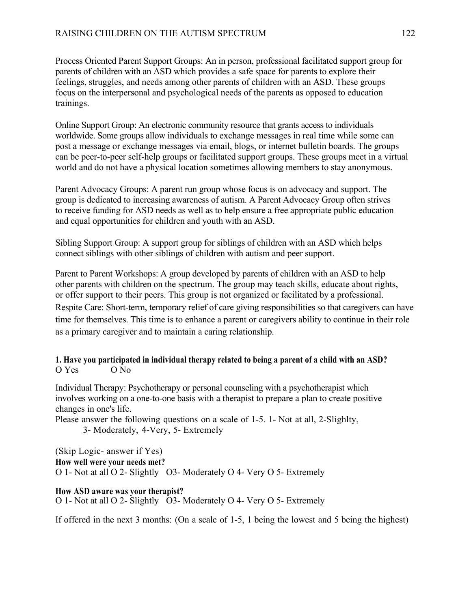Process Oriented Parent Support Groups: An in person, professional facilitated support group for parents of children with an ASD which provides a safe space for parents to explore their feelings, struggles, and needs among other parents of children with an ASD. These groups focus on the interpersonal and psychological needs of the parents as opposed to education trainings.

Online Support Group: An electronic community resource that grants access to individuals worldwide. Some groups allow individuals to exchange messages in real time while some can post a message or exchange messages via email, blogs, or internet bulletin boards. The groups can be peer-to-peer self-help groups or facilitated support groups. These groups meet in a virtual world and do not have a physical location sometimes allowing members to stay anonymous.

Parent Advocacy Groups: A parent run group whose focus is on advocacy and support. The group is dedicated to increasing awareness of autism. A Parent Advocacy Group often strives to receive funding for ASD needs as well as to help ensure a free appropriate public education and equal opportunities for children and youth with an ASD.

Sibling Support Group: A support group for siblings of children with an ASD which helps connect siblings with other siblings of children with autism and peer support.

Parent to Parent Workshops: A group developed by parents of children with an ASD to help other parents with children on the spectrum. The group may teach skills, educate about rights, or offer support to their peers. This group is not organized or facilitated by a professional. Respite Care: Short-term, temporary relief of care giving responsibilities so that caregivers can have time for themselves. This time is to enhance a parent or caregivers ability to continue in their role as a primary caregiver and to maintain a caring relationship.

### **1. Have you participated in individual therapy related to being a parent of a child with an ASD?**  O Yes O No

Individual Therapy: Psychotherapy or personal counseling with a psychotherapist which involves working on a one-to-one basis with a therapist to prepare a plan to create positive changes in one's life.

Please answer the following questions on a scale of 1-5. 1- Not at all, 2-Slighlty, 3- Moderately, 4-Very, 5- Extremely

(Skip Logic- answer if Yes) **How well were your needs met?**  O 1- Not at all O 2- Slightly O3- Moderately O 4- Very O 5- Extremely

**How ASD aware was your therapist?**  O 1- Not at all O 2- Slightly  $\overline{O}$ 3- Moderately O 4- Very O 5- Extremely

If offered in the next 3 months: (On a scale of 1-5, 1 being the lowest and 5 being the highest)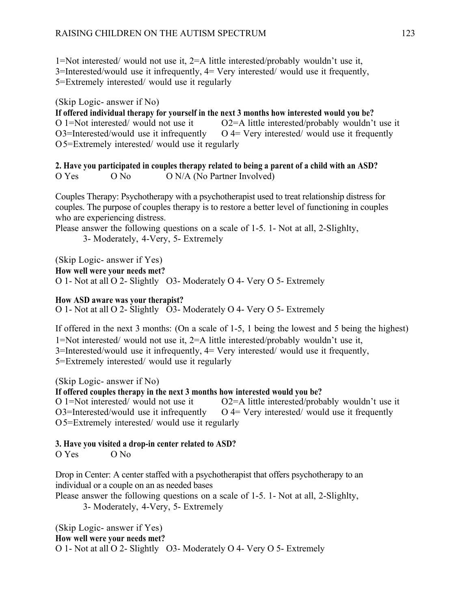1=Not interested/ would not use it, 2=A little interested/probably wouldn't use it, 3=Interested/would use it infrequently, 4= Very interested/ would use it frequently, 5=Extremely interested/ would use it regularly

(Skip Logic- answer if No)

**If offered individual therapy for yourself in the next 3 months how interested would you be?**  O 1=Not interested/ would not use it O2=A little interested/probably wouldn't use it  $O3$ =Interested/would use it infrequently  $O$  4= Very interested/would use it frequently O5=Extremely interested/ would use it regularly

**2. Have you participated in couples therapy related to being a parent of a child with an ASD?**  O Yes O No O N/A (No Partner Involved)

Couples Therapy: Psychotherapy with a psychotherapist used to treat relationship distress for couples. The purpose of couples therapy is to restore a better level of functioning in couples who are experiencing distress.

Please answer the following questions on a scale of 1-5. 1- Not at all, 2-Slighlty,

3- Moderately, 4-Very, 5- Extremely

(Skip Logic- answer if Yes) **How well were your needs met?**  O 1- Not at all O 2- Slightly O3- Moderately O 4- Very O 5- Extremely

**How ASD aware was your therapist?** 

O 1- Not at all O 2- Slightly O3- Moderately O 4- Very O 5- Extremely

If offered in the next 3 months: (On a scale of 1-5, 1 being the lowest and 5 being the highest) 1=Not interested/ would not use it, 2=A little interested/probably wouldn't use it, 3=Interested/would use it infrequently, 4= Very interested/ would use it frequently, 5=Extremely interested/ would use it regularly

(Skip Logic- answer if No) **If offered couples therapy in the next 3 months how interested would you be?**  O 1=Not interested/ would not use it O2=A little interested/probably wouldn't use it  $O3$ =Interested/would use it infrequently  $O$  4= Very interested/would use it frequently O5=Extremely interested/ would use it regularly

# **3. Have you visited a drop-in center related to ASD?**

O Yes O No

Drop in Center: A center staffed with a psychotherapist that offers psychotherapy to an individual or a couple on an as needed bases

Please answer the following questions on a scale of 1-5. 1- Not at all, 2-Slighlty,

3- Moderately, 4-Very, 5- Extremely

#### (Skip Logic- answer if Yes) **How well were your needs met?**

O 1- Not at all O 2- Slightly O3- Moderately O 4- Very O 5- Extremely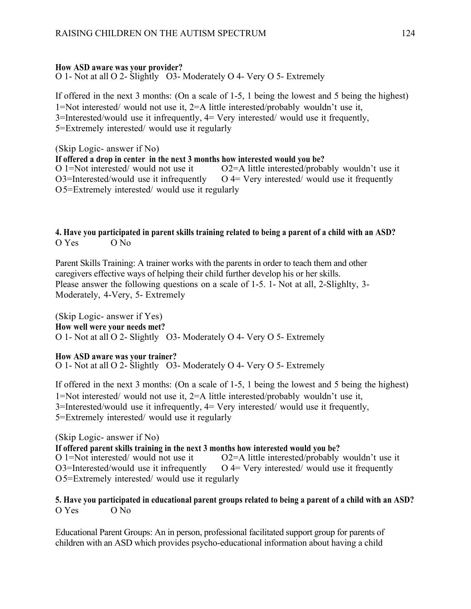# **How ASD aware was your provider?**

O 1- Not at all O 2- Slightly O3- Moderately O 4- Very O 5- Extremely

If offered in the next 3 months: (On a scale of 1-5, 1 being the lowest and 5 being the highest) 1=Not interested/ would not use it, 2=A little interested/probably wouldn't use it, 3=Interested/would use it infrequently, 4= Very interested/ would use it frequently, 5=Extremely interested/ would use it regularly

(Skip Logic- answer if No) **If offered a drop in center in the next 3 months how interested would you be?**  O 1=Not interested/ would not use it  $O2 = A$  little interested/probably wouldn't use it  $O3$ =Interested/would use it infrequently  $O$  4= Very interested/would use it frequently O5=Extremely interested/ would use it regularly

#### **4. Have you participated in parent skills training related to being a parent of a child with an ASD?**  O Yes O No

Parent Skills Training: A trainer works with the parents in order to teach them and other caregivers effective ways of helping their child further develop his or her skills. Please answer the following questions on a scale of 1-5. 1- Not at all, 2-Slighlty, 3- Moderately, 4-Very, 5- Extremely

(Skip Logic- answer if Yes) **How well were your needs met?**  O 1- Not at all O 2- Slightly O3- Moderately O 4- Very O 5- Extremely

# **How ASD aware was your trainer?**

O 1- Not at all O 2- Slightly O3- Moderately O 4- Very O 5- Extremely

If offered in the next 3 months: (On a scale of 1-5, 1 being the lowest and 5 being the highest) 1=Not interested/ would not use it, 2=A little interested/probably wouldn't use it, 3=Interested/would use it infrequently, 4= Very interested/ would use it frequently, 5=Extremely interested/ would use it regularly

(Skip Logic- answer if No) **If offered parent skills training in the next 3 months how interested would you be?**  O 1=Not interested/ would not use it O2=A little interested/probably wouldn't use it  $O3$ =Interested/would use it infrequently  $O$  4= Very interested/would use it frequently O5=Extremely interested/ would use it regularly

### **5. Have you participated in educational parent groups related to being a parent of a child with an ASD?**  O Yes O No

Educational Parent Groups: An in person, professional facilitated support group for parents of children with an ASD which provides psycho-educational information about having a child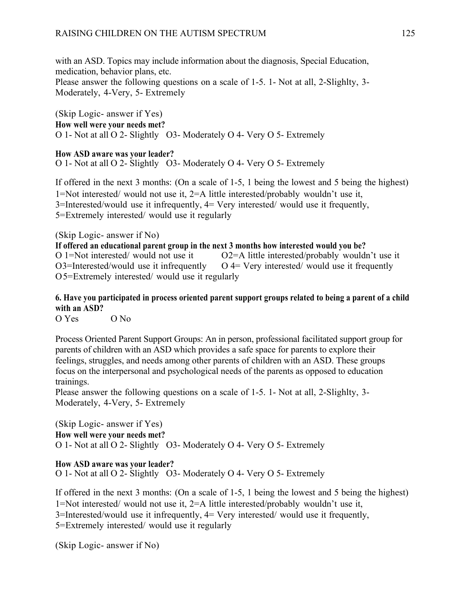with an ASD. Topics may include information about the diagnosis, Special Education, medication, behavior plans, etc. Please answer the following questions on a scale of 1-5. 1- Not at all, 2-Slighlty, 3- Moderately, 4-Very, 5- Extremely

(Skip Logic- answer if Yes) **How well were your needs met?**  O 1- Not at all O 2- Slightly O3- Moderately O 4- Very O 5- Extremely

**How ASD aware was your leader?**  O 1- Not at all O 2- Slightly O3- Moderately O 4- Very O 5- Extremely

If offered in the next 3 months: (On a scale of 1-5, 1 being the lowest and 5 being the highest) 1=Not interested/ would not use it, 2=A little interested/probably wouldn't use it, 3=Interested/would use it infrequently, 4= Very interested/ would use it frequently, 5=Extremely interested/ would use it regularly

(Skip Logic- answer if No)

**If offered an educational parent group in the next 3 months how interested would you be?**<br>O 1=Not interested/ would not use it  $O2 = A$  little interested/probably would  $O2 = A$  little interested/probably wouldn't use it  $O3$ =Interested/would use it infrequently  $O$  4= Very interested/would use it frequently O5=Extremely interested/ would use it regularly

### **6. Have you participated in process oriented parent support groups related to being a parent of a child with an ASD?**

O Yes O No

Process Oriented Parent Support Groups: An in person, professional facilitated support group for parents of children with an ASD which provides a safe space for parents to explore their feelings, struggles, and needs among other parents of children with an ASD. These groups focus on the interpersonal and psychological needs of the parents as opposed to education trainings.

Please answer the following questions on a scale of 1-5. 1- Not at all, 2-Slighlty, 3- Moderately, 4-Very, 5- Extremely

(Skip Logic- answer if Yes) **How well were your needs met?**  O 1- Not at all O 2- Slightly O3- Moderately O 4- Very O 5- Extremely

**How ASD aware was your leader?**  O 1- Not at all O 2- Slightly O3- Moderately O 4- Very O 5- Extremely

If offered in the next 3 months: (On a scale of 1-5, 1 being the lowest and 5 being the highest) 1=Not interested/ would not use it, 2=A little interested/probably wouldn't use it, 3=Interested/would use it infrequently, 4= Very interested/ would use it frequently, 5=Extremely interested/ would use it regularly

(Skip Logic- answer if No)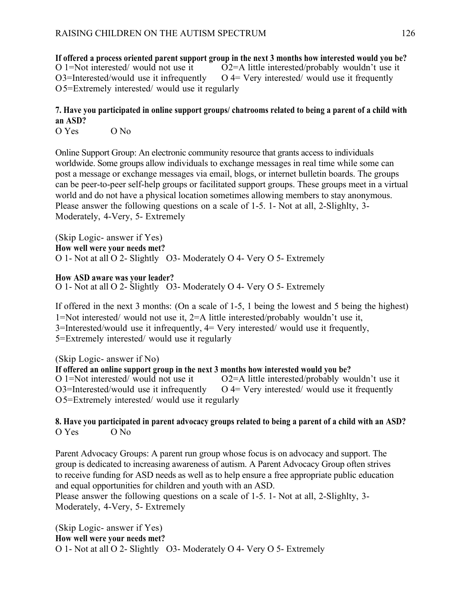**If offered a process oriented parent support group in the next 3 months how interested would you be?**  O 1=Not interested/ would not use it O2=A little interested/probably wouldn't use it  $O3$ =Interested/would use it infrequently  $O$  4= Very interested/would use it frequently O5=Extremely interested/ would use it regularly

# **7. Have you participated in online support groups/ chatrooms related to being a parent of a child with an ASD?**

O Yes O No

Online Support Group: An electronic community resource that grants access to individuals worldwide. Some groups allow individuals to exchange messages in real time while some can post a message or exchange messages via email, blogs, or internet bulletin boards. The groups can be peer-to-peer self-help groups or facilitated support groups. These groups meet in a virtual world and do not have a physical location sometimes allowing members to stay anonymous. Please answer the following questions on a scale of 1-5. 1- Not at all, 2-Slighlty, 3- Moderately, 4-Very, 5- Extremely

(Skip Logic- answer if Yes) **How well were your needs met?**  O 1- Not at all O 2- Slightly O3- Moderately O 4- Very O 5- Extremely

**How ASD aware was your leader?** 

O 1- Not at all O 2- Slightly O3- Moderately O 4- Very O 5- Extremely

If offered in the next 3 months: (On a scale of 1-5, 1 being the lowest and 5 being the highest) 1=Not interested/ would not use it, 2=A little interested/probably wouldn't use it, 3=Interested/would use it infrequently, 4= Very interested/ would use it frequently, 5=Extremely interested/ would use it regularly

(Skip Logic- answer if No)

**If offered an online support group in the next 3 months how interested would you be?**  O 1=Not interested/ would not use it O2=A little interested/probably wouldn't use it  $O3$ =Interested/would use it infrequently  $O$  4= Very interested/would use it frequently O5=Extremely interested/ would use it regularly

# **8. Have you participated in parent advocacy groups related to being a parent of a child with an ASD?**  O Yes O No

Parent Advocacy Groups: A parent run group whose focus is on advocacy and support. The group is dedicated to increasing awareness of autism. A Parent Advocacy Group often strives to receive funding for ASD needs as well as to help ensure a free appropriate public education and equal opportunities for children and youth with an ASD.

Please answer the following questions on a scale of 1-5. 1- Not at all, 2-Slighlty, 3- Moderately, 4-Very, 5- Extremely

(Skip Logic- answer if Yes) **How well were your needs met?**  O 1- Not at all O 2- Slightly O3- Moderately O 4- Very O 5- Extremely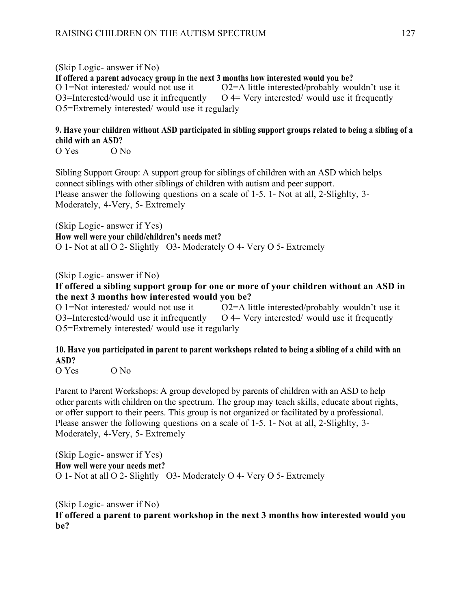(Skip Logic- answer if No) **If offered a parent advocacy group in the next 3 months how interested would you be?**  O 1=Not interested/ would not use it O2=A little interested/probably wouldn't use it  $O3$ =Interested/would use it infrequently  $O$  4= Very interested/would use it frequently O5=Extremely interested/ would use it regularly

# **9. Have your children without ASD participated in sibling support groups related to being a sibling of a child with an ASD?**

O Yes O No

Sibling Support Group: A support group for siblings of children with an ASD which helps connect siblings with other siblings of children with autism and peer support. Please answer the following questions on a scale of 1-5. 1- Not at all, 2-Slighlty, 3- Moderately, 4-Very, 5- Extremely

(Skip Logic- answer if Yes) **How well were your child/children's needs met?**  O 1- Not at all O 2- Slightly O3- Moderately O 4- Very O 5- Extremely

(Skip Logic- answer if No)

### **If offered a sibling support group for one or more of your children without an ASD in the next 3 months how interested would you be?**

O 1=Not interested/ would not use it O2=A little interested/probably wouldn't use it  $O3$ =Interested/would use it infrequently  $O$  4= Very interested/would use it frequently O5=Extremely interested/ would use it regularly

# **10. Have you participated in parent to parent workshops related to being a sibling of a child with an ASD?**

O Yes O No

Parent to Parent Workshops: A group developed by parents of children with an ASD to help other parents with children on the spectrum. The group may teach skills, educate about rights, or offer support to their peers. This group is not organized or facilitated by a professional. Please answer the following questions on a scale of 1-5. 1- Not at all, 2-Slighlty, 3- Moderately, 4-Very, 5- Extremely

(Skip Logic- answer if Yes) **How well were your needs met?**  O 1- Not at all O 2- Slightly O3- Moderately O 4- Very O 5- Extremely

(Skip Logic- answer if No) **If offered a parent to parent workshop in the next 3 months how interested would you be?**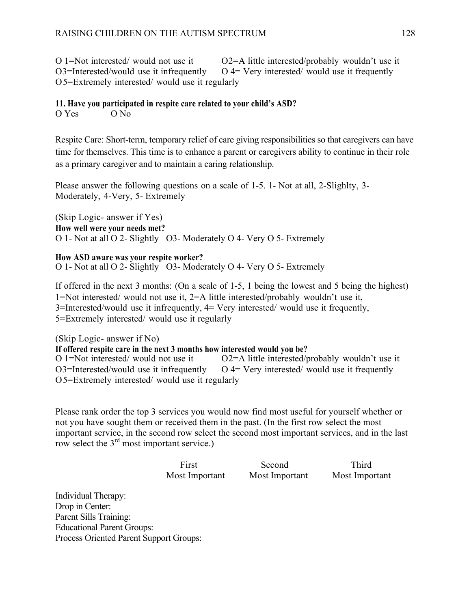O 1=Not interested/ would not use it  $O2 = A$  little interested/probably wouldn't use it  $O3$ =Interested/would use it infrequently  $O$  4= Very interested/would use it frequently O5=Extremely interested/ would use it regularly

#### **11. Have you participated in respite care related to your child's ASD?**

O Yes O No

Respite Care: Short-term, temporary relief of care giving responsibilities so that caregivers can have time for themselves. This time is to enhance a parent or caregivers ability to continue in their role as a primary caregiver and to maintain a caring relationship.

Please answer the following questions on a scale of 1-5. 1- Not at all, 2-Slighlty, 3- Moderately, 4-Very, 5- Extremely

(Skip Logic- answer if Yes) **How well were your needs met?**  O 1- Not at all O 2- Slightly O3- Moderately O 4- Very O 5- Extremely

**How ASD aware was your respite worker?**  O 1- Not at all O 2- Slightly O3- Moderately O 4- Very O 5- Extremely

If offered in the next 3 months: (On a scale of 1-5, 1 being the lowest and 5 being the highest) 1=Not interested/ would not use it, 2=A little interested/probably wouldn't use it, 3=Interested/would use it infrequently, 4= Very interested/ would use it frequently, 5=Extremely interested/ would use it regularly

(Skip Logic- answer if No) **If offered respite care in the next 3 months how interested would you be?**  O 1=Not interested/ would not use it O2=A little interested/probably wouldn't use it  $O3$ =Interested/would use it infrequently  $O$  4= Very interested/would use it frequently O5=Extremely interested/ would use it regularly

Please rank order the top 3 services you would now find most useful for yourself whether or not you have sought them or received them in the past. (In the first row select the most important service, in the second row select the second most important services, and in the last row select the 3<sup>rd</sup> most important service.)

First Second Third Most Important Most Important Most Important

Individual Therapy: Drop in Center: Parent Sills Training: Educational Parent Groups: Process Oriented Parent Support Groups: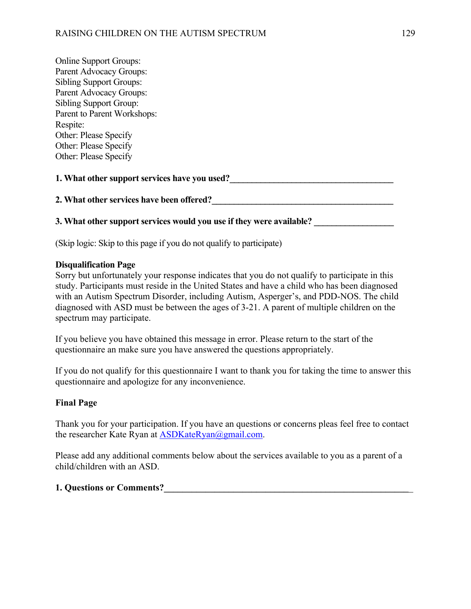| <b>Online Support Groups:</b>                 |  |  |
|-----------------------------------------------|--|--|
| Parent Advocacy Groups:                       |  |  |
| <b>Sibling Support Groups:</b>                |  |  |
| Parent Advocacy Groups:                       |  |  |
| <b>Sibling Support Group:</b>                 |  |  |
| Parent to Parent Workshops:                   |  |  |
| Respite:                                      |  |  |
| Other: Please Specify                         |  |  |
| Other: Please Specify                         |  |  |
| Other: Please Specify                         |  |  |
| 1. What other support services have you used? |  |  |
| 2. What other services have been offered?     |  |  |

# **3. What other support services would you use if they were available?**

(Skip logic: Skip to this page if you do not qualify to participate)

#### **Disqualification Page**

Sorry but unfortunately your response indicates that you do not qualify to participate in this study. Participants must reside in the United States and have a child who has been diagnosed with an Autism Spectrum Disorder, including Autism, Asperger's, and PDD-NOS. The child diagnosed with ASD must be between the ages of 3-21. A parent of multiple children on the spectrum may participate.

If you believe you have obtained this message in error. Please return to the start of the questionnaire an make sure you have answered the questions appropriately.

If you do not qualify for this questionnaire I want to thank you for taking the time to answer this questionnaire and apologize for any inconvenience.

#### **Final Page**

Thank you for your participation. If you have an questions or concerns pleas feel free to contact the researcher Kate Ryan at **ASDKateRyan@gmail.com.** 

Please add any additional comments below about the services available to you as a parent of a child/children with an ASD.

# **1. Questions or Comments?\_\_\_\_\_\_\_\_\_\_\_\_\_\_\_\_\_\_\_\_\_\_\_\_\_\_\_\_\_\_\_\_\_\_\_\_\_\_\_\_\_\_\_\_\_\_\_\_\_\_\_\_\_**\_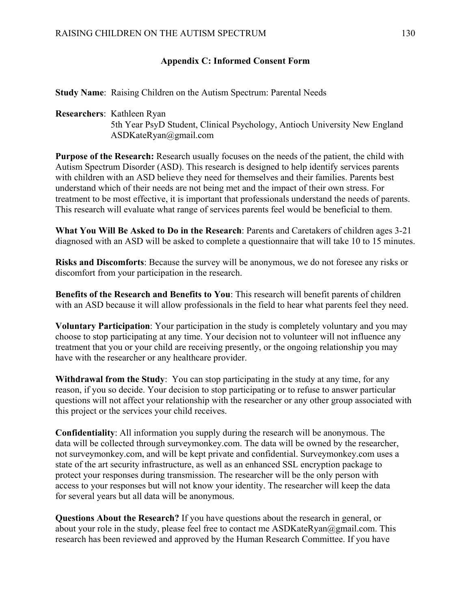### **Appendix C: Informed Consent Form**

**Study Name**: Raising Children on the Autism Spectrum: Parental Needs

**Researchers**: Kathleen Ryan 5th Year PsyD Student, Clinical Psychology, Antioch University New England ASDKateRyan@gmail.com

**Purpose of the Research:** Research usually focuses on the needs of the patient, the child with Autism Spectrum Disorder (ASD). This research is designed to help identify services parents with children with an ASD believe they need for themselves and their families. Parents best understand which of their needs are not being met and the impact of their own stress. For treatment to be most effective, it is important that professionals understand the needs of parents. This research will evaluate what range of services parents feel would be beneficial to them.

**What You Will Be Asked to Do in the Research**: Parents and Caretakers of children ages 3-21 diagnosed with an ASD will be asked to complete a questionnaire that will take 10 to 15 minutes.

**Risks and Discomforts**: Because the survey will be anonymous, we do not foresee any risks or discomfort from your participation in the research.

**Benefits of the Research and Benefits to You**: This research will benefit parents of children with an ASD because it will allow professionals in the field to hear what parents feel they need.

**Voluntary Participation**: Your participation in the study is completely voluntary and you may choose to stop participating at any time. Your decision not to volunteer will not influence any treatment that you or your child are receiving presently, or the ongoing relationship you may have with the researcher or any healthcare provider.

**Withdrawal from the Study**: You can stop participating in the study at any time, for any reason, if you so decide. Your decision to stop participating or to refuse to answer particular questions will not affect your relationship with the researcher or any other group associated with this project or the services your child receives.

**Confidentiality**: All information you supply during the research will be anonymous. The data will be collected through surveymonkey.com. The data will be owned by the researcher, not surveymonkey.com, and will be kept private and confidential. Surveymonkey.com uses a state of the art security infrastructure, as well as an enhanced SSL encryption package to protect your responses during transmission. The researcher will be the only person with access to your responses but will not know your identity. The researcher will keep the data for several years but all data will be anonymous.

**Questions About the Research?** If you have questions about the research in general, or about your role in the study, please feel free to contact me ASDKateRyan@gmail.com. This research has been reviewed and approved by the Human Research Committee. If you have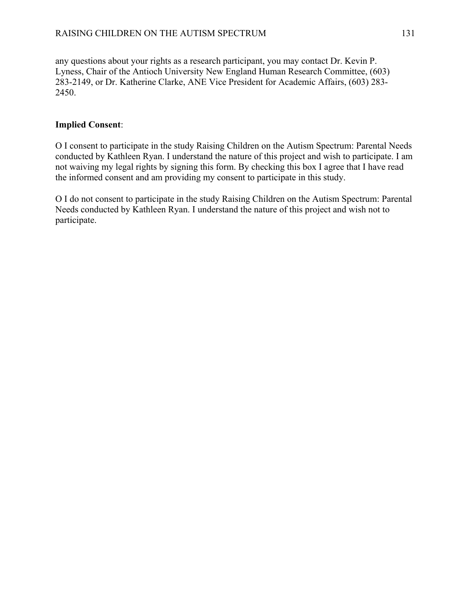any questions about your rights as a research participant, you may contact Dr. Kevin P. Lyness, Chair of the Antioch University New England Human Research Committee, (603) 283-2149, or Dr. Katherine Clarke, ANE Vice President for Academic Affairs, (603) 283- 2450.

### **Implied Consent**:

Ο I consent to participate in the study Raising Children on the Autism Spectrum: Parental Needs conducted by Kathleen Ryan. I understand the nature of this project and wish to participate. I am not waiving my legal rights by signing this form. By checking this box I agree that I have read the informed consent and am providing my consent to participate in this study.

Ο I do not consent to participate in the study Raising Children on the Autism Spectrum: Parental Needs conducted by Kathleen Ryan. I understand the nature of this project and wish not to participate.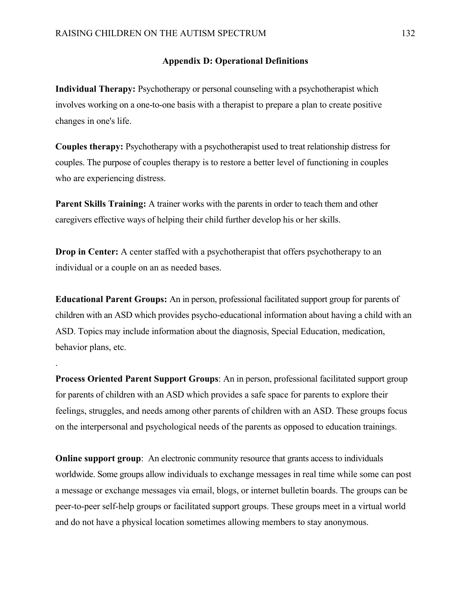.

#### **Appendix D: Operational Definitions**

**Individual Therapy:** Psychotherapy or personal counseling with a psychotherapist which involves working on a one-to-one basis with a therapist to prepare a plan to create positive changes in one's life.

**Couples therapy:** Psychotherapy with a psychotherapist used to treat relationship distress for couples. The purpose of couples therapy is to restore a better level of functioning in couples who are experiencing distress.

**Parent Skills Training:** A trainer works with the parents in order to teach them and other caregivers effective ways of helping their child further develop his or her skills.

**Drop in Center:** A center staffed with a psychotherapist that offers psychotherapy to an individual or a couple on an as needed bases.

**Educational Parent Groups:** An in person, professional facilitated support group for parents of children with an ASD which provides psycho-educational information about having a child with an ASD. Topics may include information about the diagnosis, Special Education, medication, behavior plans, etc.

**Process Oriented Parent Support Groups**: An in person, professional facilitated support group for parents of children with an ASD which provides a safe space for parents to explore their feelings, struggles, and needs among other parents of children with an ASD. These groups focus on the interpersonal and psychological needs of the parents as opposed to education trainings.

**Online support group**: An electronic community resource that grants access to individuals worldwide. Some groups allow individuals to exchange messages in real time while some can post a message or exchange messages via email, blogs, or internet bulletin boards. The groups can be peer-to-peer self-help groups or facilitated support groups. These groups meet in a virtual world and do not have a physical location sometimes allowing members to stay anonymous.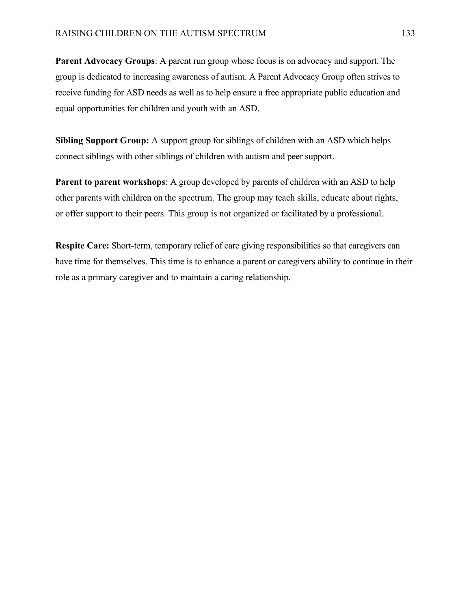**Parent Advocacy Groups**: A parent run group whose focus is on advocacy and support. The group is dedicated to increasing awareness of autism. A Parent Advocacy Group often strives to receive funding for ASD needs as well as to help ensure a free appropriate public education and equal opportunities for children and youth with an ASD.

**Sibling Support Group:** A support group for siblings of children with an ASD which helps connect siblings with other siblings of children with autism and peer support.

**Parent to parent workshops:** A group developed by parents of children with an ASD to help other parents with children on the spectrum. The group may teach skills, educate about rights, or offer support to their peers. This group is not organized or facilitated by a professional.

**Respite Care:** Short-term, temporary relief of care giving responsibilities so that caregivers can have time for themselves. This time is to enhance a parent or caregivers ability to continue in their role as a primary caregiver and to maintain a caring relationship.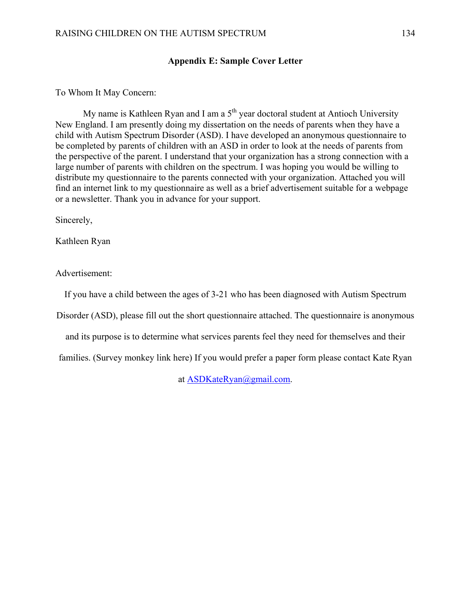## **Appendix E: Sample Cover Letter**

## To Whom It May Concern:

My name is Kathleen Ryan and I am a  $5<sup>th</sup>$  year doctoral student at Antioch University New England. I am presently doing my dissertation on the needs of parents when they have a child with Autism Spectrum Disorder (ASD). I have developed an anonymous questionnaire to be completed by parents of children with an ASD in order to look at the needs of parents from the perspective of the parent. I understand that your organization has a strong connection with a large number of parents with children on the spectrum. I was hoping you would be willing to distribute my questionnaire to the parents connected with your organization. Attached you will find an internet link to my questionnaire as well as a brief advertisement suitable for a webpage or a newsletter. Thank you in advance for your support.

Sincerely,

Kathleen Ryan

Advertisement:

If you have a child between the ages of 3-21 who has been diagnosed with Autism Spectrum

Disorder (ASD), please fill out the short questionnaire attached. The questionnaire is anonymous

and its purpose is to determine what services parents feel they need for themselves and their

families. (Survey monkey link here) If you would prefer a paper form please contact Kate Ryan

at ASDKateRyan@gmail.com.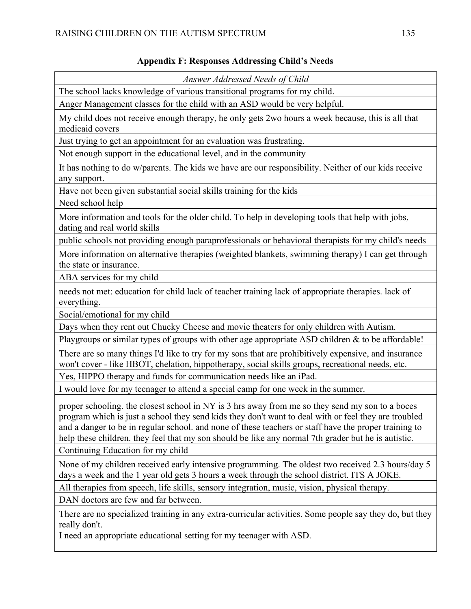## **Appendix F: Responses Addressing Child's Needs**

| Answer Addressed Needs of Child                                                                                                                                                                                                                                                                                                                                                                                         |
|-------------------------------------------------------------------------------------------------------------------------------------------------------------------------------------------------------------------------------------------------------------------------------------------------------------------------------------------------------------------------------------------------------------------------|
| The school lacks knowledge of various transitional programs for my child.                                                                                                                                                                                                                                                                                                                                               |
| Anger Management classes for the child with an ASD would be very helpful.                                                                                                                                                                                                                                                                                                                                               |
| My child does not receive enough therapy, he only gets 2 wo hours a week because, this is all that<br>medicaid covers                                                                                                                                                                                                                                                                                                   |
| Just trying to get an appointment for an evaluation was frustrating.                                                                                                                                                                                                                                                                                                                                                    |
| Not enough support in the educational level, and in the community                                                                                                                                                                                                                                                                                                                                                       |
| It has nothing to do w/parents. The kids we have are our responsibility. Neither of our kids receive<br>any support.                                                                                                                                                                                                                                                                                                    |
| Have not been given substantial social skills training for the kids                                                                                                                                                                                                                                                                                                                                                     |
| Need school help                                                                                                                                                                                                                                                                                                                                                                                                        |
| More information and tools for the older child. To help in developing tools that help with jobs,<br>dating and real world skills                                                                                                                                                                                                                                                                                        |
| public schools not providing enough paraprofessionals or behavioral therapists for my child's needs                                                                                                                                                                                                                                                                                                                     |
| More information on alternative therapies (weighted blankets, swimming therapy) I can get through<br>the state or insurance.                                                                                                                                                                                                                                                                                            |
| ABA services for my child                                                                                                                                                                                                                                                                                                                                                                                               |
| needs not met: education for child lack of teacher training lack of appropriate therapies. lack of<br>everything.                                                                                                                                                                                                                                                                                                       |
| Social/emotional for my child                                                                                                                                                                                                                                                                                                                                                                                           |
| Days when they rent out Chucky Cheese and movie theaters for only children with Autism.                                                                                                                                                                                                                                                                                                                                 |
| Playgroups or similar types of groups with other age appropriate ASD children $\&$ to be affordable!                                                                                                                                                                                                                                                                                                                    |
| There are so many things I'd like to try for my sons that are prohibitively expensive, and insurance<br>won't cover - like HBOT, chelation, hippotherapy, social skills groups, recreational needs, etc.                                                                                                                                                                                                                |
| Yes, HIPPO therapy and funds for communication needs like an iPad.                                                                                                                                                                                                                                                                                                                                                      |
| I would love for my teenager to attend a special camp for one week in the summer.                                                                                                                                                                                                                                                                                                                                       |
| proper schooling. the closest school in NY is 3 hrs away from me so they send my son to a boces<br>program which is just a school they send kids they don't want to deal with or feel they are troubled<br>and a danger to be in regular school, and none of these teachers or staff have the proper training to<br>help these children. they feel that my son should be like any normal 7th grader but he is autistic. |
| Continuing Education for my child                                                                                                                                                                                                                                                                                                                                                                                       |
| None of my children received early intensive programming. The oldest two received 2.3 hours/day 5<br>days a week and the 1 year old gets 3 hours a week through the school district. ITS A JOKE.                                                                                                                                                                                                                        |
| All therapies from speech, life skills, sensory integration, music, vision, physical therapy.                                                                                                                                                                                                                                                                                                                           |
| DAN doctors are few and far between.                                                                                                                                                                                                                                                                                                                                                                                    |
| There are no specialized training in any extra-curricular activities. Some people say they do, but they<br>really don't.                                                                                                                                                                                                                                                                                                |
| I need an appropriate educational setting for my teenager with ASD.                                                                                                                                                                                                                                                                                                                                                     |